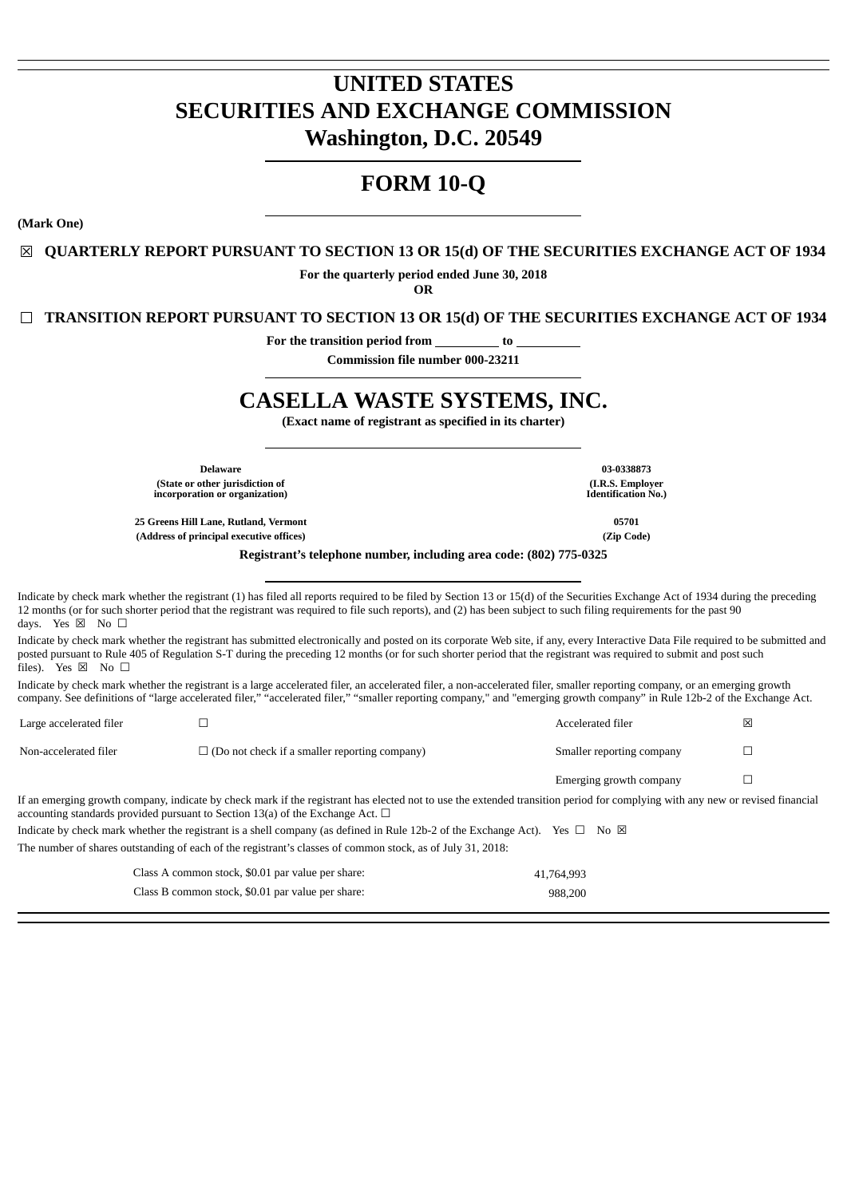# **UNITED STATES SECURITIES AND EXCHANGE COMMISSION Washington, D.C. 20549**

# **FORM 10-Q**

**(Mark One)**

☒ **QUARTERLY REPORT PURSUANT TO SECTION 13 OR 15(d) OF THE SECURITIES EXCHANGE ACT OF 1934**

**For the quarterly period ended June 30, 2018**

**OR**

☐ **TRANSITION REPORT PURSUANT TO SECTION 13 OR 15(d) OF THE SECURITIES EXCHANGE ACT OF 1934**

**For the transition period from to**

**Commission file number 000-23211**

# **CASELLA WASTE SYSTEMS, INC.**

**(Exact name of registrant as specified in its charter)**

**Delaware 03-0338873 (State or other jurisdiction of incorporation or organization)**

**25 Greens Hill Lane, Rutland, Vermont 05701 (Address of principal executive offices) (Zip Code)**

**Registrant's telephone number, including area code: (802) 775-0325**

Indicate by check mark whether the registrant (1) has filed all reports required to be filed by Section 13 or 15(d) of the Securities Exchange Act of 1934 during the preceding 12 months (or for such shorter period that the registrant was required to file such reports), and (2) has been subject to such filing requirements for the past 90 days. Yes  $\boxtimes$  No  $\square$ 

Indicate by check mark whether the registrant has submitted electronically and posted on its corporate Web site, if any, every Interactive Data File required to be submitted and posted pursuant to Rule 405 of Regulation S-T during the preceding 12 months (or for such shorter period that the registrant was required to submit and post such files). Yes  $\boxtimes$  No  $\Box$ 

Indicate by check mark whether the registrant is a large accelerated filer, an accelerated filer, a non-accelerated filer, smaller reporting company, or an emerging growth company. See definitions of "large accelerated filer," "accelerated filer," "smaller reporting company," and "emerging growth company" in Rule 12b-2 of the Exchange Act.

| Large accelerated filer |                                                                                                                                                                                                                                                                         | Accelerated filer         | ⊠ |
|-------------------------|-------------------------------------------------------------------------------------------------------------------------------------------------------------------------------------------------------------------------------------------------------------------------|---------------------------|---|
| Non-accelerated filer   | $\Box$ (Do not check if a smaller reporting company)                                                                                                                                                                                                                    | Smaller reporting company |   |
|                         |                                                                                                                                                                                                                                                                         | Emerging growth company   |   |
|                         | If an emerging growth company, indicate by check mark if the registrant has elected not to use the extended transition period for complying with any new or revised financial<br>accounting standards provided pursuant to Section 13(a) of the Exchange Act. $\square$ |                           |   |

| Indicate by check mark whether the registrant is a shell company (as defined in Rule 12b-2 of the Exchange Act). Yes $\Box$ No $\boxtimes$ |  |
|--------------------------------------------------------------------------------------------------------------------------------------------|--|
| The number of shares outstanding of each of the registrant's classes of common stock, as of July 31, 2018:                                 |  |

Class A common stock, \$0.01 par value per share: 41,764,993 Class B common stock, \$0.01 par value per share: 988,200

**(I.R.S. Employer Identification No.)**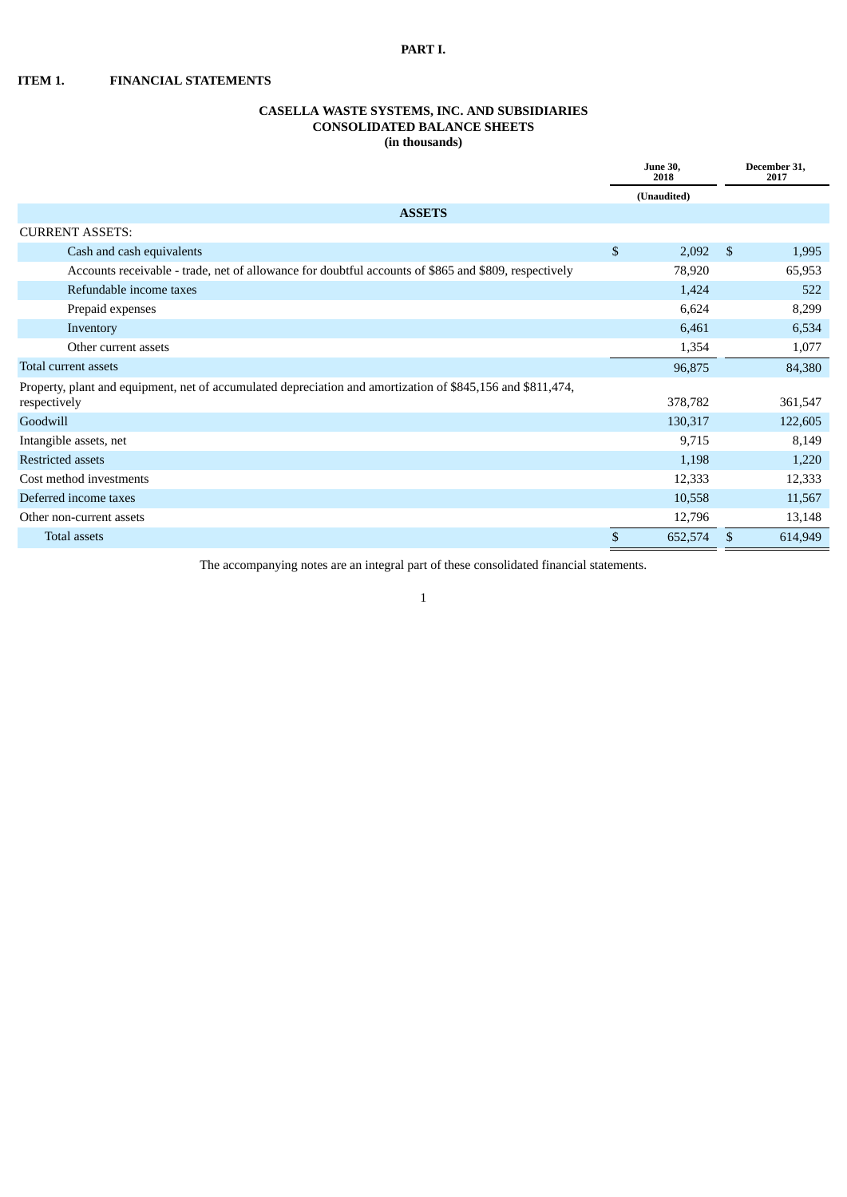## **PART I.**

**ITEM 1. FINANCIAL STATEMENTS**

## **CASELLA WASTE SYSTEMS, INC. AND SUBSIDIARIES CONSOLIDATED BALANCE SHEETS (in thousands)**

|                                                                                                             | <b>June 30,</b><br>2018 |             |               | December 31,<br>2017 |
|-------------------------------------------------------------------------------------------------------------|-------------------------|-------------|---------------|----------------------|
|                                                                                                             |                         | (Unaudited) |               |                      |
| <b>ASSETS</b>                                                                                               |                         |             |               |                      |
| <b>CURRENT ASSETS:</b>                                                                                      |                         |             |               |                      |
| Cash and cash equivalents                                                                                   | \$                      | 2,092       | - \$          | 1,995                |
| Accounts receivable - trade, net of allowance for doubtful accounts of \$865 and \$809, respectively        |                         | 78,920      |               | 65,953               |
| Refundable income taxes                                                                                     |                         | 1,424       |               | 522                  |
| Prepaid expenses                                                                                            |                         | 6,624       |               | 8,299                |
| Inventory                                                                                                   |                         | 6,461       |               | 6,534                |
| Other current assets                                                                                        |                         | 1,354       |               | 1,077                |
| Total current assets                                                                                        |                         | 96,875      |               | 84,380               |
| Property, plant and equipment, net of accumulated depreciation and amortization of \$845,156 and \$811,474, |                         |             |               |                      |
| respectively                                                                                                |                         | 378,782     |               | 361,547              |
| Goodwill                                                                                                    |                         | 130,317     |               | 122,605              |
| Intangible assets, net                                                                                      |                         | 9,715       |               | 8,149                |
| <b>Restricted assets</b>                                                                                    |                         | 1,198       |               | 1,220                |
| Cost method investments                                                                                     |                         | 12,333      |               | 12,333               |
| Deferred income taxes                                                                                       |                         | 10,558      |               | 11,567               |
| Other non-current assets                                                                                    |                         | 12,796      |               | 13,148               |
| <b>Total assets</b>                                                                                         | \$                      | 652,574     | <sup>\$</sup> | 614,949              |

The accompanying notes are an integral part of these consolidated financial statements.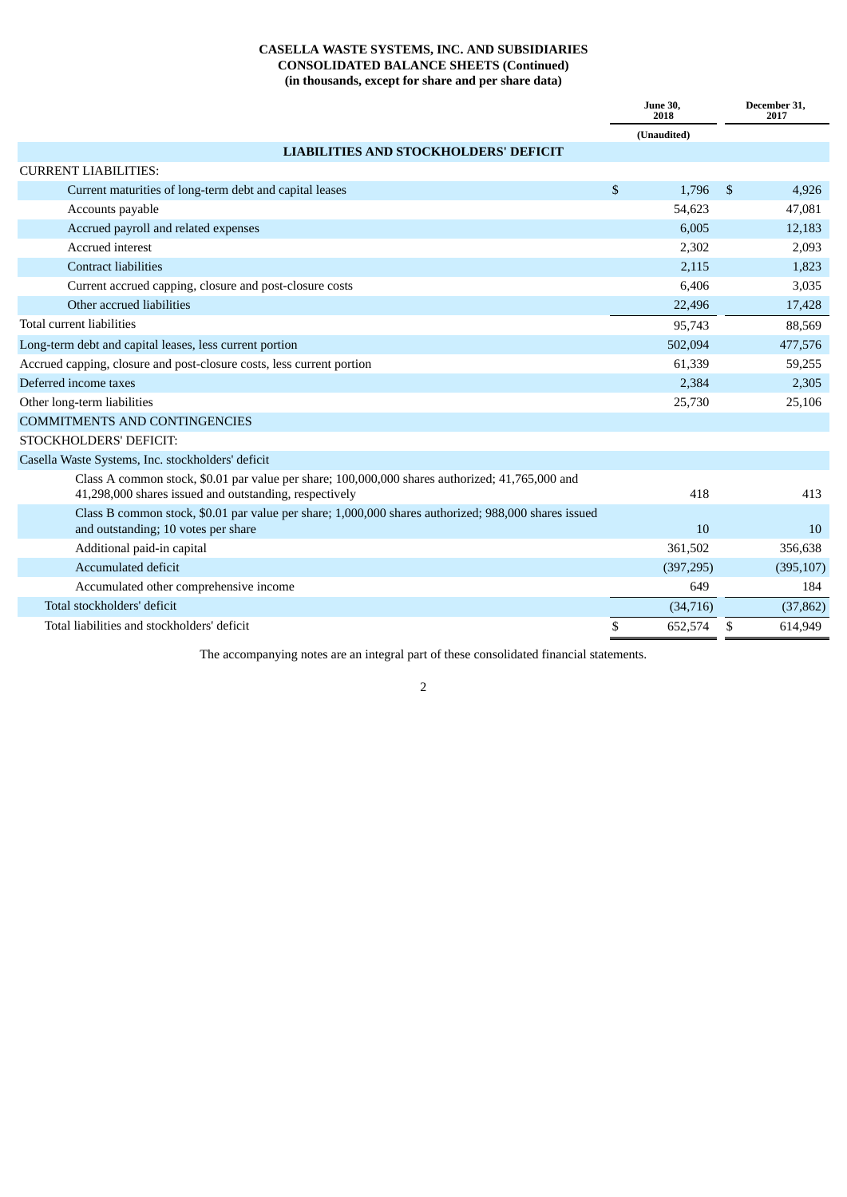# **CASELLA WASTE SYSTEMS, INC. AND SUBSIDIARIES CONSOLIDATED BALANCE SHEETS (Continued) (in thousands, except for share and per share data)**

|                                                                                                                                                           | <b>June 30,</b><br>2018 |             |                | December 31,<br>2017 |
|-----------------------------------------------------------------------------------------------------------------------------------------------------------|-------------------------|-------------|----------------|----------------------|
|                                                                                                                                                           |                         | (Unaudited) |                |                      |
| <b>LIABILITIES AND STOCKHOLDERS' DEFICIT</b>                                                                                                              |                         |             |                |                      |
| <b>CURRENT LIABILITIES:</b>                                                                                                                               |                         |             |                |                      |
| Current maturities of long-term debt and capital leases                                                                                                   | \$                      | 1.796       | $\mathfrak{s}$ | 4,926                |
| Accounts payable                                                                                                                                          |                         | 54,623      |                | 47,081               |
| Accrued payroll and related expenses                                                                                                                      |                         | 6,005       |                | 12,183               |
| Accrued interest                                                                                                                                          |                         | 2,302       |                | 2,093                |
| <b>Contract liabilities</b>                                                                                                                               |                         | 2,115       |                | 1,823                |
| Current accrued capping, closure and post-closure costs                                                                                                   |                         | 6.406       |                | 3,035                |
| Other accrued liabilities                                                                                                                                 |                         | 22,496      |                | 17,428               |
| Total current liabilities                                                                                                                                 |                         | 95,743      |                | 88,569               |
| Long-term debt and capital leases, less current portion                                                                                                   |                         | 502,094     |                | 477,576              |
| Accrued capping, closure and post-closure costs, less current portion                                                                                     |                         | 61,339      |                | 59,255               |
| Deferred income taxes                                                                                                                                     |                         | 2,384       |                | 2,305                |
| Other long-term liabilities                                                                                                                               |                         | 25,730      |                | 25,106               |
| <b>COMMITMENTS AND CONTINGENCIES</b>                                                                                                                      |                         |             |                |                      |
| STOCKHOLDERS' DEFICIT:                                                                                                                                    |                         |             |                |                      |
| Casella Waste Systems, Inc. stockholders' deficit                                                                                                         |                         |             |                |                      |
| Class A common stock, \$0.01 par value per share; 100,000,000 shares authorized; 41,765,000 and<br>41,298,000 shares issued and outstanding, respectively |                         | 418         |                | 413                  |
| Class B common stock, \$0.01 par value per share; 1,000,000 shares authorized; 988,000 shares issued<br>and outstanding; 10 votes per share               |                         | 10          |                | 10                   |
| Additional paid-in capital                                                                                                                                |                         | 361,502     |                | 356,638              |
| <b>Accumulated deficit</b>                                                                                                                                |                         | (397, 295)  |                | (395, 107)           |
| Accumulated other comprehensive income                                                                                                                    |                         | 649         |                | 184                  |
| Total stockholders' deficit                                                                                                                               |                         | (34,716)    |                | (37, 862)            |
| Total liabilities and stockholders' deficit                                                                                                               | \$                      | 652,574     | \$             | 614,949              |

The accompanying notes are an integral part of these consolidated financial statements.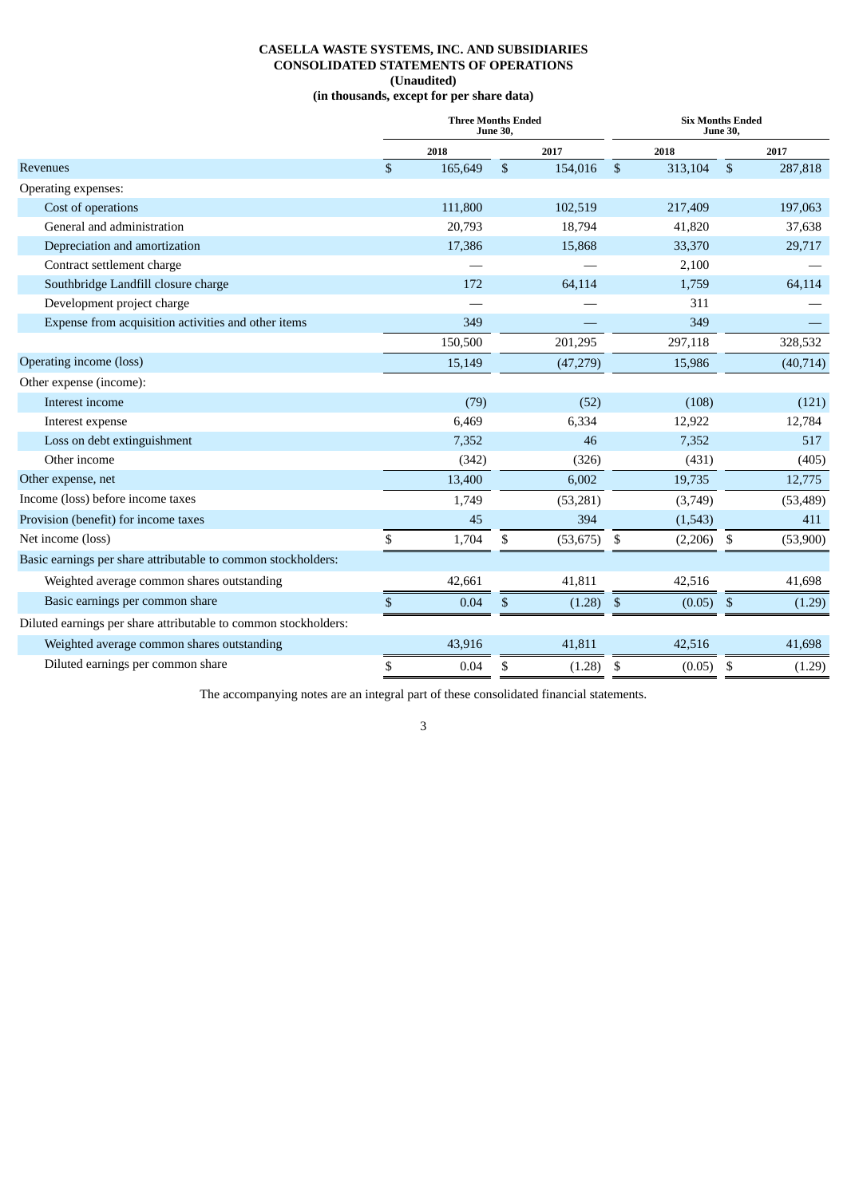## **CASELLA WASTE SYSTEMS, INC. AND SUBSIDIARIES CONSOLIDATED STATEMENTS OF OPERATIONS (Unaudited) (in thousands, except for per share data)**

|                                                                 | <b>Three Months Ended</b><br><b>June 30.</b> |         |              |           |                | <b>Six Months Ended</b><br>June 30, |                           |           |  |
|-----------------------------------------------------------------|----------------------------------------------|---------|--------------|-----------|----------------|-------------------------------------|---------------------------|-----------|--|
|                                                                 |                                              | 2018    |              | 2017      |                | 2018                                |                           | 2017      |  |
| Revenues                                                        | $\mathbf{s}$                                 | 165,649 | $\mathbb{S}$ | 154,016   | $\mathfrak{S}$ | 313,104                             | $\mathfrak{S}$            | 287,818   |  |
| Operating expenses:                                             |                                              |         |              |           |                |                                     |                           |           |  |
| Cost of operations                                              |                                              | 111,800 |              | 102,519   |                | 217,409                             |                           | 197,063   |  |
| General and administration                                      |                                              | 20,793  |              | 18,794    |                | 41,820                              |                           | 37,638    |  |
| Depreciation and amortization                                   |                                              | 17,386  |              | 15,868    |                | 33,370                              |                           | 29,717    |  |
| Contract settlement charge                                      |                                              |         |              |           |                | 2,100                               |                           |           |  |
| Southbridge Landfill closure charge                             |                                              | 172     |              | 64,114    |                | 1,759                               |                           | 64,114    |  |
| Development project charge                                      |                                              |         |              |           |                | 311                                 |                           |           |  |
| Expense from acquisition activities and other items             |                                              | 349     |              |           |                | 349                                 |                           |           |  |
|                                                                 |                                              | 150,500 |              | 201,295   |                | 297,118                             |                           | 328,532   |  |
| Operating income (loss)                                         |                                              | 15,149  |              | (47, 279) |                | 15,986                              |                           | (40, 714) |  |
| Other expense (income):                                         |                                              |         |              |           |                |                                     |                           |           |  |
| Interest income                                                 |                                              | (79)    |              | (52)      |                | (108)                               |                           | (121)     |  |
| Interest expense                                                |                                              | 6,469   |              | 6,334     |                | 12,922                              |                           | 12,784    |  |
| Loss on debt extinguishment                                     |                                              | 7,352   |              | 46        |                | 7,352                               |                           | 517       |  |
| Other income                                                    |                                              | (342)   |              | (326)     |                | (431)                               |                           | (405)     |  |
| Other expense, net                                              |                                              | 13,400  |              | 6,002     |                | 19,735                              |                           | 12,775    |  |
| Income (loss) before income taxes                               |                                              | 1,749   |              | (53, 281) |                | (3,749)                             |                           | (53, 489) |  |
| Provision (benefit) for income taxes                            |                                              | 45      |              | 394       |                | (1,543)                             |                           | 411       |  |
| Net income (loss)                                               | \$                                           | 1,704   | \$           | (53, 675) | \$             | (2,206)                             | \$                        | (53,900)  |  |
| Basic earnings per share attributable to common stockholders:   |                                              |         |              |           |                |                                     |                           |           |  |
| Weighted average common shares outstanding                      |                                              | 42,661  |              | 41,811    |                | 42,516                              |                           | 41,698    |  |
| Basic earnings per common share                                 | \$                                           | 0.04    | \$           | (1.28)    | \$             | (0.05)                              | $\boldsymbol{\mathsf{S}}$ | (1.29)    |  |
| Diluted earnings per share attributable to common stockholders: |                                              |         |              |           |                |                                     |                           |           |  |
| Weighted average common shares outstanding                      |                                              | 43,916  |              | 41,811    |                | 42,516                              |                           | 41,698    |  |
| Diluted earnings per common share                               | \$                                           | 0.04    | \$           | (1.28)    | \$             | (0.05)                              | \$                        | (1.29)    |  |
|                                                                 |                                              |         |              |           |                |                                     |                           |           |  |

The accompanying notes are an integral part of these consolidated financial statements.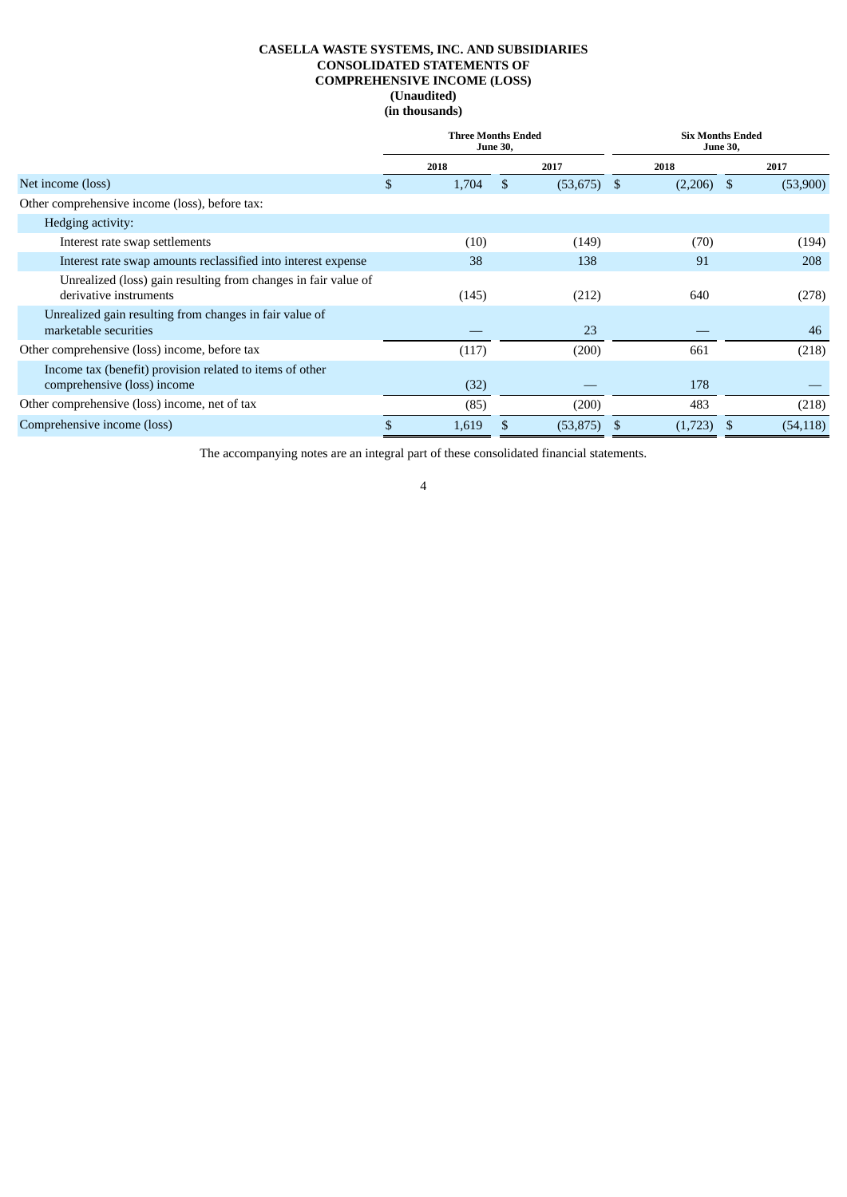## **CASELLA WASTE SYSTEMS, INC. AND SUBSIDIARIES CONSOLIDATED STATEMENTS OF COMPREHENSIVE INCOME (LOSS) (Unaudited) (in thousands)**

|                                                                                          | <b>Three Months Ended</b><br><b>June 30,</b> |       |   |           | <b>Six Months Ended</b><br><b>June 30,</b> |              |      |           |
|------------------------------------------------------------------------------------------|----------------------------------------------|-------|---|-----------|--------------------------------------------|--------------|------|-----------|
|                                                                                          |                                              | 2018  |   | 2017      |                                            | 2018         |      | 2017      |
| Net income (loss)                                                                        | \$                                           | 1,704 | S | (53, 675) | -S                                         | $(2,206)$ \$ |      | (53,900)  |
| Other comprehensive income (loss), before tax:                                           |                                              |       |   |           |                                            |              |      |           |
| Hedging activity:                                                                        |                                              |       |   |           |                                            |              |      |           |
| Interest rate swap settlements                                                           |                                              | (10)  |   | (149)     |                                            | (70)         |      | (194)     |
| Interest rate swap amounts reclassified into interest expense                            |                                              | 38    |   | 138       |                                            | 91           |      | 208       |
| Unrealized (loss) gain resulting from changes in fair value of<br>derivative instruments |                                              | (145) |   | (212)     |                                            | 640          |      | (278)     |
| Unrealized gain resulting from changes in fair value of<br>marketable securities         |                                              |       |   | 23        |                                            |              |      | 46        |
| Other comprehensive (loss) income, before tax                                            |                                              | (117) |   | (200)     |                                            | 661          |      | (218)     |
| Income tax (benefit) provision related to items of other<br>comprehensive (loss) income  |                                              | (32)  |   |           |                                            | 178          |      |           |
| Other comprehensive (loss) income, net of tax                                            |                                              | (85)  |   | (200)     |                                            | 483          |      | (218)     |
| Comprehensive income (loss)                                                              | \$                                           | 1,619 |   | (53, 875) | S                                          | (1,723)      | - \$ | (54, 118) |

The accompanying notes are an integral part of these consolidated financial statements.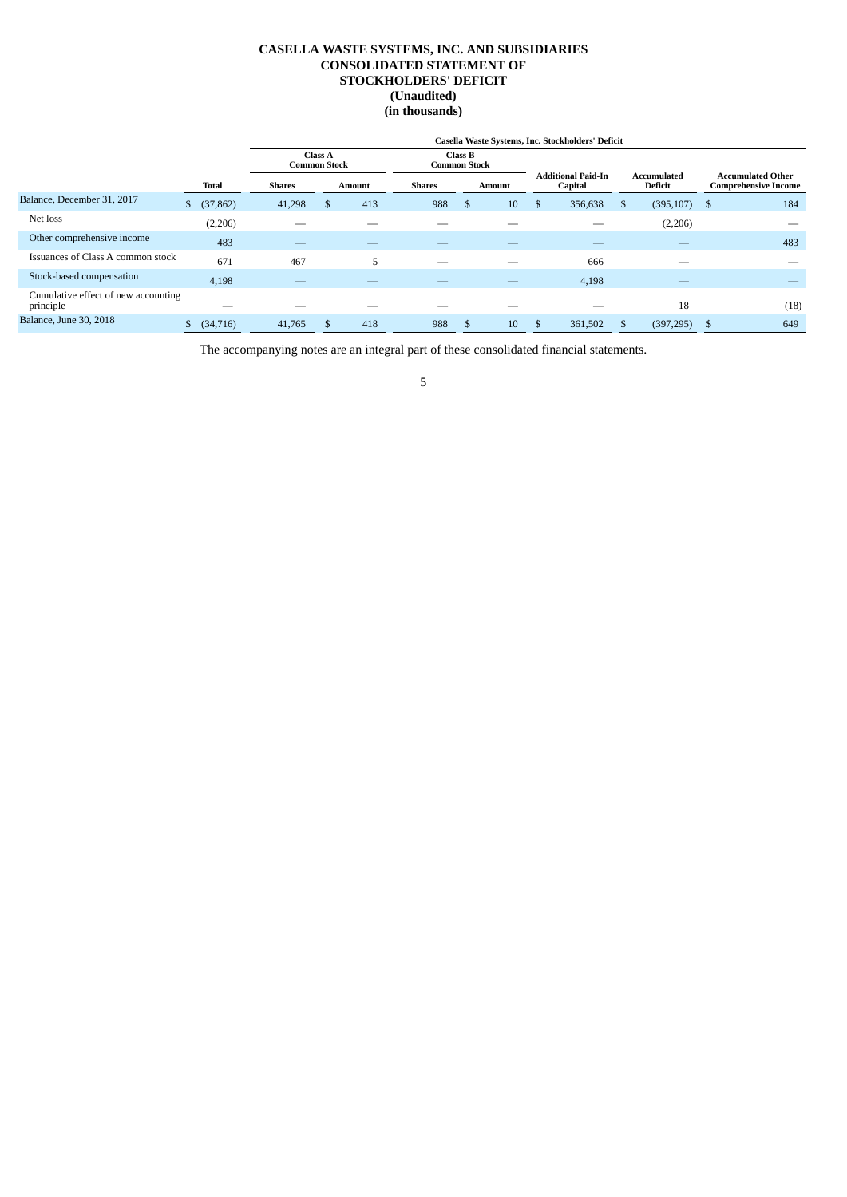## **CASELLA WASTE SYSTEMS, INC. AND SUBSIDIARIES CONSOLIDATED STATEMENT OF STOCKHOLDERS' DEFICIT (Unaudited) (in thousands)**

|                                                  |                 |                     | Casella Waste Systems, Inc. Stockholders' Deficit |     |               |                                |    |    |                                      |   |                          |      |                                                         |  |
|--------------------------------------------------|-----------------|---------------------|---------------------------------------------------|-----|---------------|--------------------------------|----|----|--------------------------------------|---|--------------------------|------|---------------------------------------------------------|--|
|                                                  |                 | <b>Common Stock</b> | <b>Class A</b>                                    |     |               | Class B<br><b>Common Stock</b> |    |    |                                      |   |                          |      |                                                         |  |
|                                                  | <b>Total</b>    | <b>Shares</b>       | Amount                                            |     | <b>Shares</b> | Amount                         |    |    | <b>Additional Paid-In</b><br>Capital |   | Accumulated<br>Deficit   |      | <b>Accumulated Other</b><br><b>Comprehensive Income</b> |  |
| Balance, December 31, 2017                       | (37, 862)<br>\$ | 41,298              | \$                                                | 413 | 988           | S                              | 10 | \$ | 356,638                              | S | (395, 107)               | - \$ | 184                                                     |  |
| Net loss                                         | (2,206)         | __                  |                                                   |     |               |                                |    |    |                                      |   | (2,206)                  |      |                                                         |  |
| Other comprehensive income                       | 483             | –                   |                                                   |     |               |                                |    |    |                                      |   |                          |      | 483                                                     |  |
| Issuances of Class A common stock                | 671             | 467                 |                                                   | 5   |               |                                |    |    | 666                                  |   |                          |      |                                                         |  |
| Stock-based compensation                         | 4,198           | __                  |                                                   |     |               |                                |    |    | 4,198                                |   | $\overline{\phantom{a}}$ |      |                                                         |  |
| Cumulative effect of new accounting<br>principle | __              |                     |                                                   |     |               |                                |    |    |                                      |   | 18                       |      | (18)                                                    |  |
| Balance, June 30, 2018                           | (34,716)        | 41,765              |                                                   | 418 | 988           | Эħ.                            | 10 | \$ | 361,502                              |   | (397, 295)               | -S   | 649                                                     |  |

The accompanying notes are an integral part of these consolidated financial statements.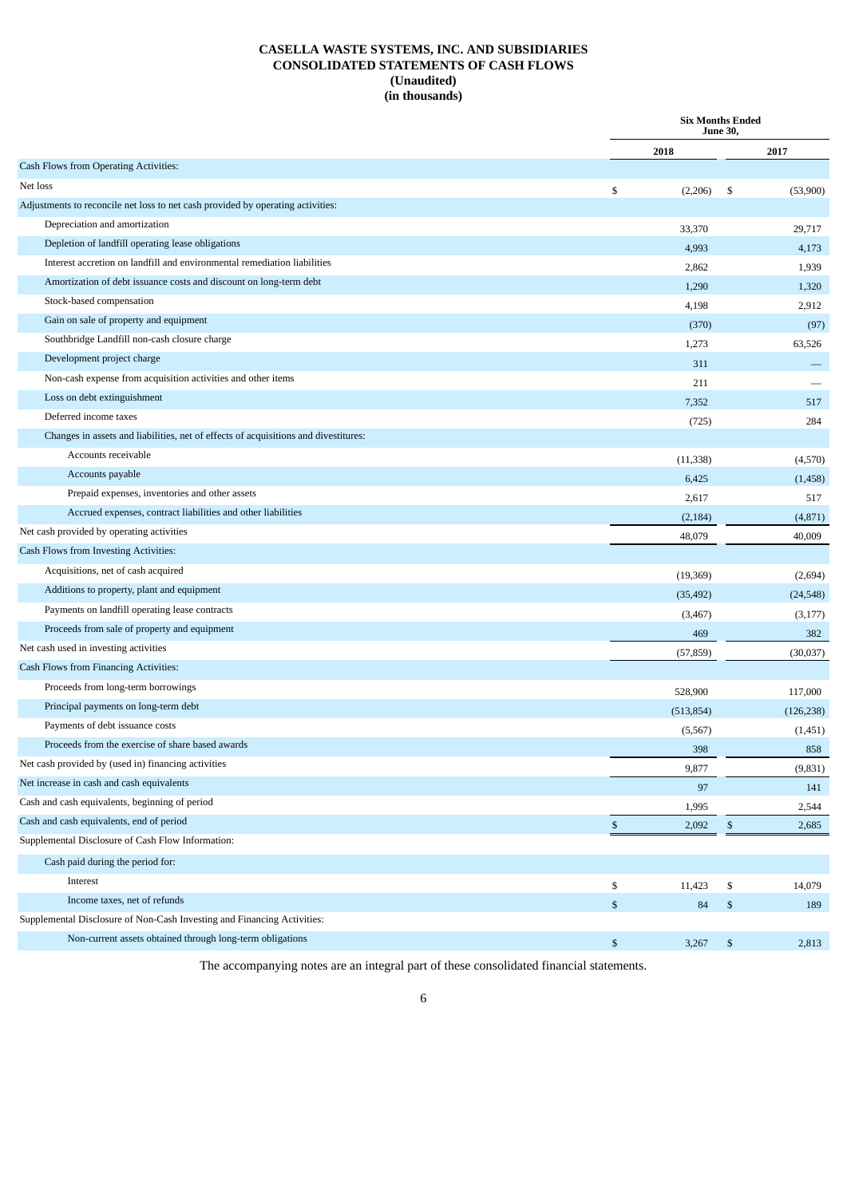## **CASELLA WASTE SYSTEMS, INC. AND SUBSIDIARIES CONSOLIDATED STATEMENTS OF CASH FLOWS (Unaudited) (in thousands)**

|                                                                                     | <b>Six Months Ended</b><br>June 30, |            |                |            |  |  |
|-------------------------------------------------------------------------------------|-------------------------------------|------------|----------------|------------|--|--|
|                                                                                     |                                     | 2018       |                | 2017       |  |  |
| Cash Flows from Operating Activities:                                               |                                     |            |                |            |  |  |
| Net loss                                                                            | \$                                  | (2,206)    | \$             | (53,900)   |  |  |
| Adjustments to reconcile net loss to net cash provided by operating activities:     |                                     |            |                |            |  |  |
| Depreciation and amortization                                                       |                                     | 33,370     |                | 29,717     |  |  |
| Depletion of landfill operating lease obligations                                   |                                     | 4,993      |                | 4,173      |  |  |
| Interest accretion on landfill and environmental remediation liabilities            |                                     | 2,862      |                | 1,939      |  |  |
| Amortization of debt issuance costs and discount on long-term debt                  |                                     | 1,290      |                | 1,320      |  |  |
| Stock-based compensation                                                            |                                     | 4,198      |                | 2,912      |  |  |
| Gain on sale of property and equipment                                              |                                     | (370)      |                | (97)       |  |  |
| Southbridge Landfill non-cash closure charge                                        |                                     | 1,273      |                | 63,526     |  |  |
| Development project charge                                                          |                                     | 311        |                |            |  |  |
| Non-cash expense from acquisition activities and other items                        |                                     | 211        |                |            |  |  |
| Loss on debt extinguishment                                                         |                                     | 7,352      |                | 517        |  |  |
| Deferred income taxes                                                               |                                     | (725)      |                | 284        |  |  |
| Changes in assets and liabilities, net of effects of acquisitions and divestitures: |                                     |            |                |            |  |  |
| Accounts receivable                                                                 |                                     | (11, 338)  |                | (4,570)    |  |  |
| Accounts payable                                                                    |                                     | 6,425      |                | (1, 458)   |  |  |
| Prepaid expenses, inventories and other assets                                      |                                     | 2,617      |                | 517        |  |  |
| Accrued expenses, contract liabilities and other liabilities                        |                                     | (2, 184)   |                | (4,871)    |  |  |
| Net cash provided by operating activities                                           |                                     | 48,079     |                | 40,009     |  |  |
| Cash Flows from Investing Activities:                                               |                                     |            |                |            |  |  |
| Acquisitions, net of cash acquired                                                  |                                     | (19, 369)  |                | (2,694)    |  |  |
| Additions to property, plant and equipment                                          |                                     | (35, 492)  |                | (24, 548)  |  |  |
| Payments on landfill operating lease contracts                                      |                                     | (3, 467)   |                | (3,177)    |  |  |
| Proceeds from sale of property and equipment                                        |                                     | 469        |                | 382        |  |  |
| Net cash used in investing activities                                               |                                     | (57, 859)  |                | (30,037)   |  |  |
| Cash Flows from Financing Activities:                                               |                                     |            |                |            |  |  |
| Proceeds from long-term borrowings                                                  |                                     | 528,900    |                | 117,000    |  |  |
| Principal payments on long-term debt                                                |                                     | (513, 854) |                | (126, 238) |  |  |
| Payments of debt issuance costs                                                     |                                     | (5, 567)   |                | (1,451)    |  |  |
| Proceeds from the exercise of share based awards                                    |                                     | 398        |                | 858        |  |  |
| Net cash provided by (used in) financing activities                                 |                                     | 9,877      |                | (9, 831)   |  |  |
| Net increase in cash and cash equivalents                                           |                                     | 97         |                | 141        |  |  |
| Cash and cash equivalents, beginning of period                                      |                                     | 1,995      |                | 2,544      |  |  |
| Cash and cash equivalents, end of period                                            | \$                                  | 2,092      | \$             | 2,685      |  |  |
| Supplemental Disclosure of Cash Flow Information:                                   |                                     |            |                |            |  |  |
| Cash paid during the period for:                                                    |                                     |            |                |            |  |  |
| Interest                                                                            | \$                                  | 11,423     | \$             | 14,079     |  |  |
| Income taxes, net of refunds                                                        | $\mathbb{S}$                        | 84         | $\mathbb{S}$   | 189        |  |  |
| Supplemental Disclosure of Non-Cash Investing and Financing Activities:             |                                     |            |                |            |  |  |
| Non-current assets obtained through long-term obligations                           | \$                                  | 3,267      | $\mathfrak{F}$ | 2,813      |  |  |

The accompanying notes are an integral part of these consolidated financial statements.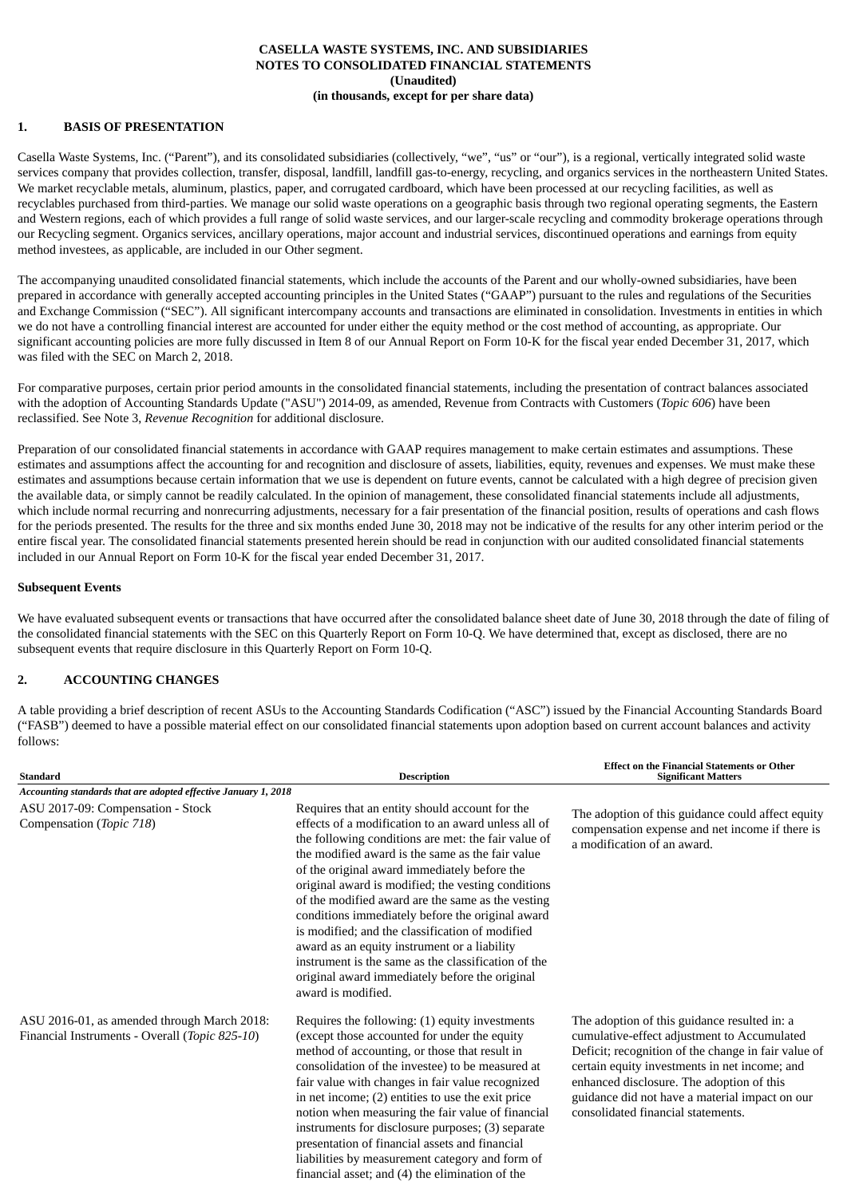## **CASELLA WASTE SYSTEMS, INC. AND SUBSIDIARIES NOTES TO CONSOLIDATED FINANCIAL STATEMENTS (Unaudited) (in thousands, except for per share data)**

## **1. BASIS OF PRESENTATION**

Casella Waste Systems, Inc. ("Parent"), and its consolidated subsidiaries (collectively, "we", "us" or "our"), is a regional, vertically integrated solid waste services company that provides collection, transfer, disposal, landfill, landfill gas-to-energy, recycling, and organics services in the northeastern United States. We market recyclable metals, aluminum, plastics, paper, and corrugated cardboard, which have been processed at our recycling facilities, as well as recyclables purchased from third-parties. We manage our solid waste operations on a geographic basis through two regional operating segments, the Eastern and Western regions, each of which provides a full range of solid waste services, and our larger-scale recycling and commodity brokerage operations through our Recycling segment. Organics services, ancillary operations, major account and industrial services, discontinued operations and earnings from equity method investees, as applicable, are included in our Other segment.

The accompanying unaudited consolidated financial statements, which include the accounts of the Parent and our wholly-owned subsidiaries, have been prepared in accordance with generally accepted accounting principles in the United States ("GAAP") pursuant to the rules and regulations of the Securities and Exchange Commission ("SEC"). All significant intercompany accounts and transactions are eliminated in consolidation. Investments in entities in which we do not have a controlling financial interest are accounted for under either the equity method or the cost method of accounting, as appropriate. Our significant accounting policies are more fully discussed in Item 8 of our Annual Report on Form 10-K for the fiscal year ended December 31, 2017, which was filed with the SEC on March 2, 2018.

For comparative purposes, certain prior period amounts in the consolidated financial statements, including the presentation of contract balances associated with the adoption of Accounting Standards Update ("ASU") 2014-09, as amended, Revenue from Contracts with Customers (*Topic 606*) have been reclassified. See Note 3, *Revenue Recognition* for additional disclosure.

Preparation of our consolidated financial statements in accordance with GAAP requires management to make certain estimates and assumptions. These estimates and assumptions affect the accounting for and recognition and disclosure of assets, liabilities, equity, revenues and expenses. We must make these estimates and assumptions because certain information that we use is dependent on future events, cannot be calculated with a high degree of precision given the available data, or simply cannot be readily calculated. In the opinion of management, these consolidated financial statements include all adjustments, which include normal recurring and nonrecurring adjustments, necessary for a fair presentation of the financial position, results of operations and cash flows for the periods presented. The results for the three and six months ended June 30, 2018 may not be indicative of the results for any other interim period or the entire fiscal year. The consolidated financial statements presented herein should be read in conjunction with our audited consolidated financial statements included in our Annual Report on Form 10-K for the fiscal year ended December 31, 2017.

## **Subsequent Events**

We have evaluated subsequent events or transactions that have occurred after the consolidated balance sheet date of June 30, 2018 through the date of filing of the consolidated financial statements with the SEC on this Quarterly Report on Form 10-Q. We have determined that, except as disclosed, there are no subsequent events that require disclosure in this Quarterly Report on Form 10-Q.

## **2. ACCOUNTING CHANGES**

A table providing a brief description of recent ASUs to the Accounting Standards Codification ("ASC") issued by the Financial Accounting Standards Board ("FASB") deemed to have a possible material effect on our consolidated financial statements upon adoption based on current account balances and activity follows:

**Effect on the Financial Statements or Other**

| <b>Standard</b>                                                                               | <b>Description</b>                                                                                                                                                                                                                                                                                                                                                                                                                                                                                                                                                                                                                                                | <b>Significant Matters</b>                                                                                                                                                                                                                                                                                                               |  |  |  |  |  |
|-----------------------------------------------------------------------------------------------|-------------------------------------------------------------------------------------------------------------------------------------------------------------------------------------------------------------------------------------------------------------------------------------------------------------------------------------------------------------------------------------------------------------------------------------------------------------------------------------------------------------------------------------------------------------------------------------------------------------------------------------------------------------------|------------------------------------------------------------------------------------------------------------------------------------------------------------------------------------------------------------------------------------------------------------------------------------------------------------------------------------------|--|--|--|--|--|
| Accounting standards that are adopted effective January 1, 2018                               |                                                                                                                                                                                                                                                                                                                                                                                                                                                                                                                                                                                                                                                                   |                                                                                                                                                                                                                                                                                                                                          |  |  |  |  |  |
| ASU 2017-09: Compensation - Stock<br>Compensation (Topic 718)                                 | Requires that an entity should account for the<br>effects of a modification to an award unless all of<br>the following conditions are met: the fair value of<br>the modified award is the same as the fair value<br>of the original award immediately before the<br>original award is modified; the vesting conditions<br>of the modified award are the same as the vesting<br>conditions immediately before the original award<br>is modified; and the classification of modified<br>award as an equity instrument or a liability<br>instrument is the same as the classification of the<br>original award immediately before the original<br>award is modified. | The adoption of this guidance could affect equity<br>compensation expense and net income if there is<br>a modification of an award.                                                                                                                                                                                                      |  |  |  |  |  |
| ASU 2016-01, as amended through March 2018:<br>Financial Instruments - Overall (Topic 825-10) | Requires the following: (1) equity investments<br>(except those accounted for under the equity<br>method of accounting, or those that result in<br>consolidation of the investee) to be measured at<br>fair value with changes in fair value recognized<br>in net income; (2) entities to use the exit price<br>notion when measuring the fair value of financial<br>instruments for disclosure purposes; (3) separate<br>presentation of financial assets and financial<br>liabilities by measurement category and form of<br>financial asset: and (4) the elimination of the                                                                                    | The adoption of this guidance resulted in: a<br>cumulative-effect adjustment to Accumulated<br>Deficit; recognition of the change in fair value of<br>certain equity investments in net income; and<br>enhanced disclosure. The adoption of this<br>guidance did not have a material impact on our<br>consolidated financial statements. |  |  |  |  |  |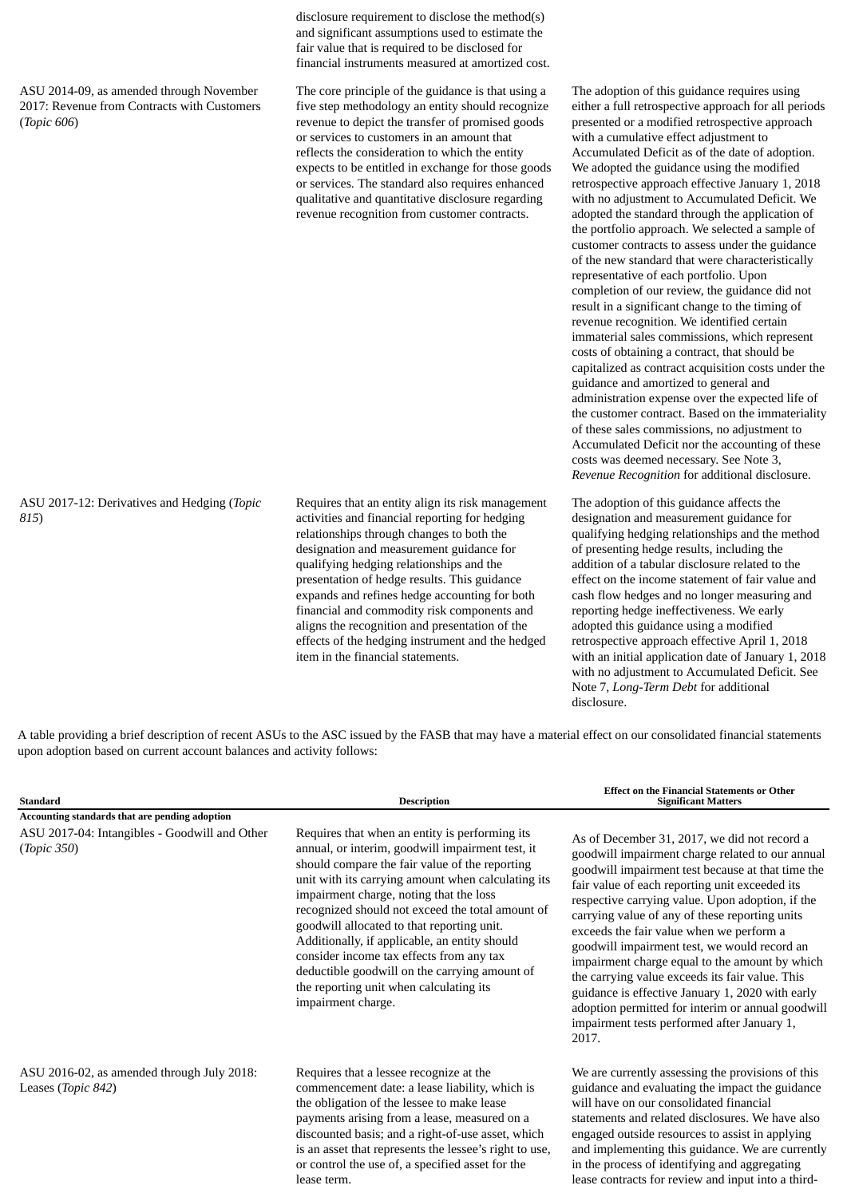ASU 2014-09, as amended through November 2017: Revenue from Contracts with Customers (*Topic 606*)

disclosure requirement to disclose the method(s) and significant assumptions used to estimate the fair value that is required to be disclosed for financial instruments measured at amortized cost.

The core principle of the guidance is that using a five step methodology an entity should recognize revenue to depict the transfer of promised goods or services to customers in an amount that reflects the consideration to which the entity expects to be entitled in exchange for those goods or services. The standard also requires enhanced qualitative and quantitative disclosure regarding revenue recognition from customer contracts.

ASU 2017-12: Derivatives and Hedging (*Topic 815*)

Requires that an entity align its risk management activities and financial reporting for hedging relationships through changes to both the designation and measurement guidance for qualifying hedging relationships and the presentation of hedge results. This guidance expands and refines hedge accounting for both financial and commodity risk components and aligns the recognition and presentation of the effects of the hedging instrument and the hedged item in the financial statements.

The adoption of this guidance requires using either a full retrospective approach for all periods presented or a modified retrospective approach with a cumulative effect adjustment to Accumulated Deficit as of the date of adoption. We adopted the guidance using the modified retrospective approach effective January 1, 2018 with no adjustment to Accumulated Deficit. We adopted the standard through the application of the portfolio approach. We selected a sample of customer contracts to assess under the guidance of the new standard that were characteristically representative of each portfolio. Upon completion of our review, the guidance did not result in a significant change to the timing of revenue recognition. We identified certain immaterial sales commissions, which represent costs of obtaining a contract, that should be capitalized as contract acquisition costs under the guidance and amortized to general and administration expense over the expected life of the customer contract. Based on the immateriality of these sales commissions, no adjustment to Accumulated Deficit nor the accounting of these costs was deemed necessary. See Note 3, *Revenue Recognition* for additional disclosure.

The adoption of this guidance affects the designation and measurement guidance for qualifying hedging relationships and the method of presenting hedge results, including the addition of a tabular disclosure related to the effect on the income statement of fair value and cash flow hedges and no longer measuring and reporting hedge ineffectiveness. We early adopted this guidance using a modified retrospective approach effective April 1, 2018 with an initial application date of January 1, 2018 with no adjustment to Accumulated Deficit. See Note 7, *Long-Term Debt* for additional disclosure.

lease contracts for review and input into a third-

A table providing a brief description of recent ASUs to the ASC issued by the FASB that may have a material effect on our consolidated financial statements upon adoption based on current account balances and activity follows:

| <b>Standard</b>                                                  | <b>Description</b>                                                                                                                                                                                                                                                                                                                                                                                                                                                                                                                                                     | <b>Effect on the Financial Statements or Other</b><br><b>Significant Matters</b>                                                                                                                                                                                                                                                                                                                                                                                                                                                                                                                                                                                                |
|------------------------------------------------------------------|------------------------------------------------------------------------------------------------------------------------------------------------------------------------------------------------------------------------------------------------------------------------------------------------------------------------------------------------------------------------------------------------------------------------------------------------------------------------------------------------------------------------------------------------------------------------|---------------------------------------------------------------------------------------------------------------------------------------------------------------------------------------------------------------------------------------------------------------------------------------------------------------------------------------------------------------------------------------------------------------------------------------------------------------------------------------------------------------------------------------------------------------------------------------------------------------------------------------------------------------------------------|
| Accounting standards that are pending adoption                   |                                                                                                                                                                                                                                                                                                                                                                                                                                                                                                                                                                        |                                                                                                                                                                                                                                                                                                                                                                                                                                                                                                                                                                                                                                                                                 |
| ASU 2017-04: Intangibles - Goodwill and Other<br>(Topic 350)     | Requires that when an entity is performing its<br>annual, or interim, goodwill impairment test, it<br>should compare the fair value of the reporting<br>unit with its carrying amount when calculating its<br>impairment charge, noting that the loss<br>recognized should not exceed the total amount of<br>goodwill allocated to that reporting unit.<br>Additionally, if applicable, an entity should<br>consider income tax effects from any tax<br>deductible goodwill on the carrying amount of<br>the reporting unit when calculating its<br>impairment charge. | As of December 31, 2017, we did not record a<br>goodwill impairment charge related to our annual<br>goodwill impairment test because at that time the<br>fair value of each reporting unit exceeded its<br>respective carrying value. Upon adoption, if the<br>carrying value of any of these reporting units<br>exceeds the fair value when we perform a<br>goodwill impairment test, we would record an<br>impairment charge equal to the amount by which<br>the carrying value exceeds its fair value. This<br>guidance is effective January 1, 2020 with early<br>adoption permitted for interim or annual goodwill<br>impairment tests performed after January 1,<br>2017. |
| ASU 2016-02, as amended through July 2018:<br>Leases (Topic 842) | Requires that a lessee recognize at the<br>commencement date: a lease liability, which is<br>the obligation of the lessee to make lease<br>payments arising from a lease, measured on a<br>discounted basis; and a right-of-use asset, which<br>is an asset that represents the lessee's right to use,<br>or control the use of, a specified asset for the                                                                                                                                                                                                             | We are currently assessing the provisions of this<br>guidance and evaluating the impact the guidance<br>will have on our consolidated financial<br>statements and related disclosures. We have also<br>engaged outside resources to assist in applying<br>and implementing this guidance. We are currently<br>in the process of identifying and aggregating                                                                                                                                                                                                                                                                                                                     |

lease term.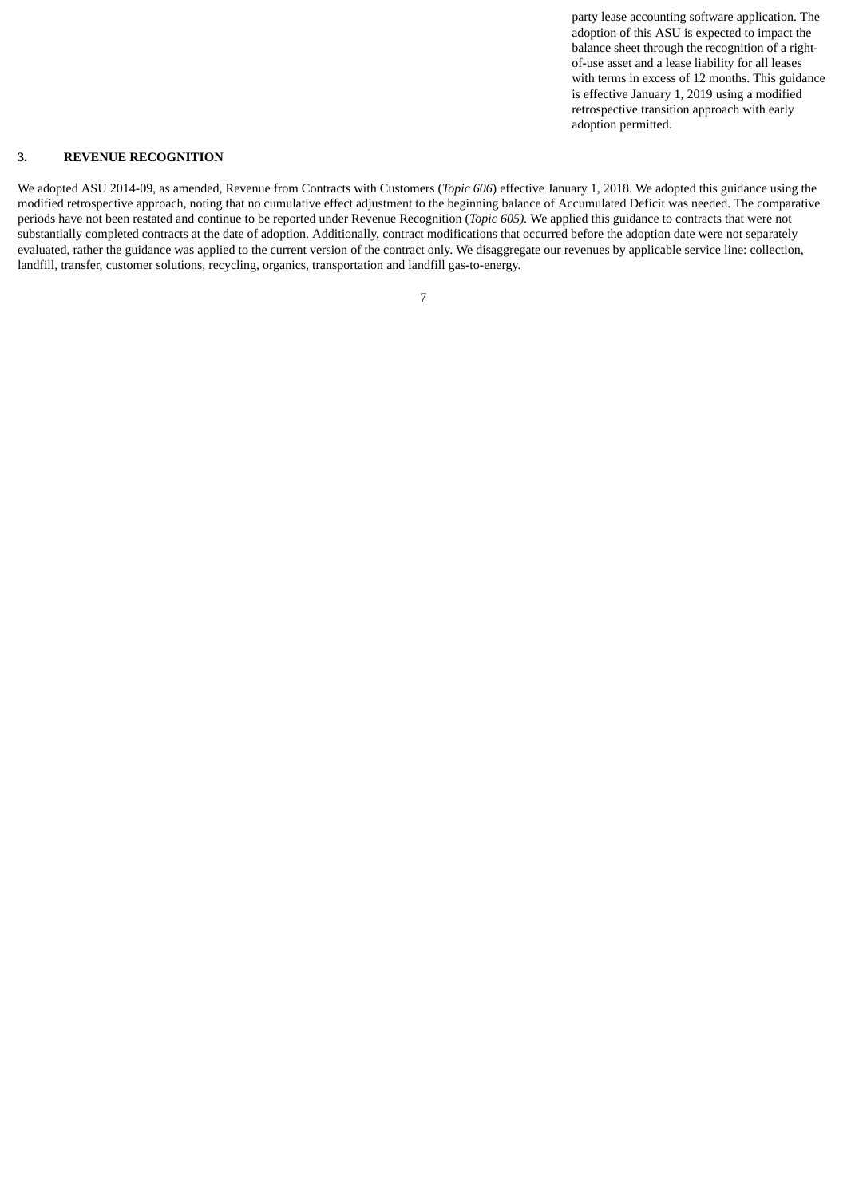party lease accounting software application. The adoption of this ASU is expected to impact the balance sheet through the recognition of a rightof-use asset and a lease liability for all leases with terms in excess of 12 months. This guidance is effective January 1, 2019 using a modified retrospective transition approach with early adoption permitted.

# **3. REVENUE RECOGNITION**

We adopted ASU 2014-09, as amended, Revenue from Contracts with Customers (*Topic 606*) effective January 1, 2018. We adopted this guidance using the modified retrospective approach, noting that no cumulative effect adjustment to the beginning balance of Accumulated Deficit was needed. The comparative periods have not been restated and continue to be reported under Revenue Recognition (*Topic 605).* We applied this guidance to contracts that were not substantially completed contracts at the date of adoption. Additionally, contract modifications that occurred before the adoption date were not separately evaluated, rather the guidance was applied to the current version of the contract only. We disaggregate our revenues by applicable service line: collection, landfill, transfer, customer solutions, recycling, organics, transportation and landfill gas-to-energy.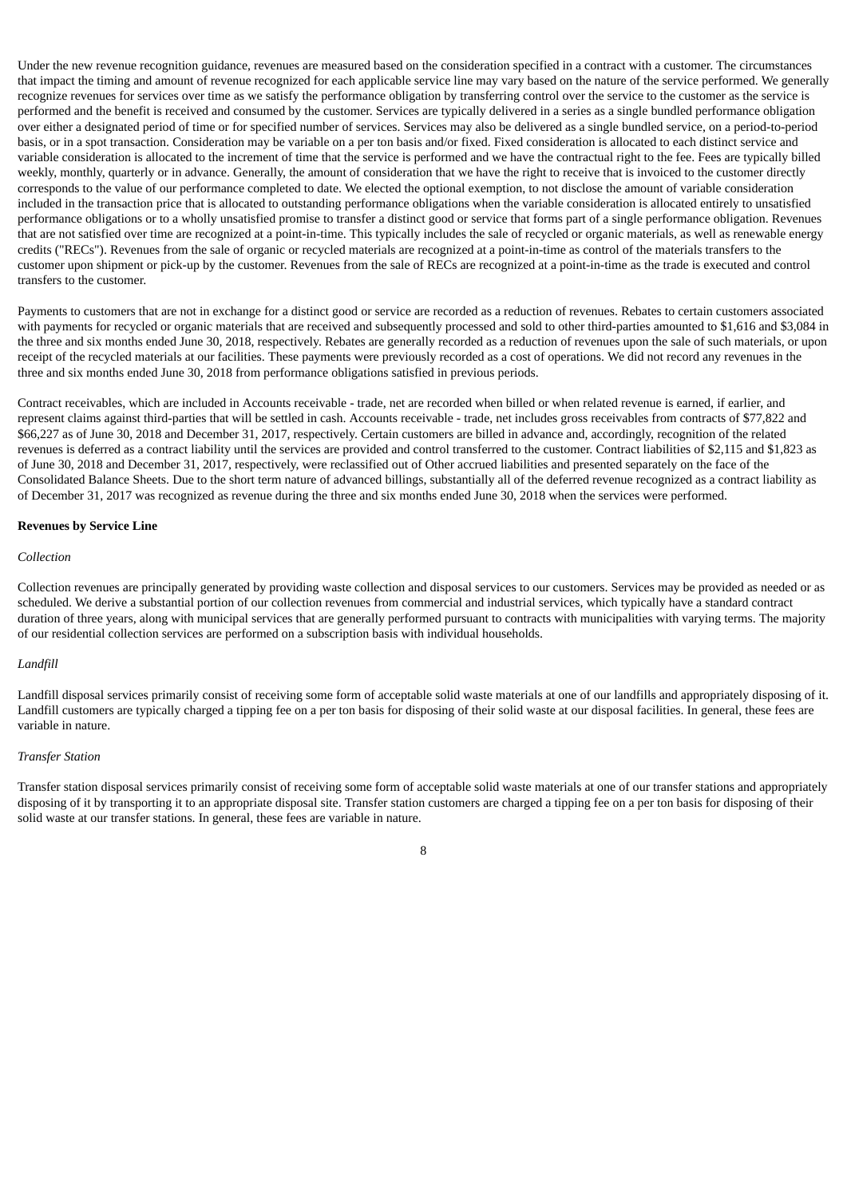Under the new revenue recognition guidance, revenues are measured based on the consideration specified in a contract with a customer. The circumstances that impact the timing and amount of revenue recognized for each applicable service line may vary based on the nature of the service performed. We generally recognize revenues for services over time as we satisfy the performance obligation by transferring control over the service to the customer as the service is performed and the benefit is received and consumed by the customer. Services are typically delivered in a series as a single bundled performance obligation over either a designated period of time or for specified number of services. Services may also be delivered as a single bundled service, on a period-to-period basis, or in a spot transaction. Consideration may be variable on a per ton basis and/or fixed. Fixed consideration is allocated to each distinct service and variable consideration is allocated to the increment of time that the service is performed and we have the contractual right to the fee. Fees are typically billed weekly, monthly, quarterly or in advance. Generally, the amount of consideration that we have the right to receive that is invoiced to the customer directly corresponds to the value of our performance completed to date. We elected the optional exemption, to not disclose the amount of variable consideration included in the transaction price that is allocated to outstanding performance obligations when the variable consideration is allocated entirely to unsatisfied performance obligations or to a wholly unsatisfied promise to transfer a distinct good or service that forms part of a single performance obligation. Revenues that are not satisfied over time are recognized at a point-in-time. This typically includes the sale of recycled or organic materials, as well as renewable energy credits ("RECs"). Revenues from the sale of organic or recycled materials are recognized at a point-in-time as control of the materials transfers to the customer upon shipment or pick-up by the customer. Revenues from the sale of RECs are recognized at a point-in-time as the trade is executed and control transfers to the customer.

Payments to customers that are not in exchange for a distinct good or service are recorded as a reduction of revenues. Rebates to certain customers associated with payments for recycled or organic materials that are received and subsequently processed and sold to other third-parties amounted to \$1,616 and \$3,084 in the three and six months ended June 30, 2018, respectively. Rebates are generally recorded as a reduction of revenues upon the sale of such materials, or upon receipt of the recycled materials at our facilities. These payments were previously recorded as a cost of operations. We did not record any revenues in the three and six months ended June 30, 2018 from performance obligations satisfied in previous periods.

Contract receivables, which are included in Accounts receivable - trade, net are recorded when billed or when related revenue is earned, if earlier, and represent claims against third-parties that will be settled in cash. Accounts receivable - trade, net includes gross receivables from contracts of \$77,822 and \$66,227 as of June 30, 2018 and December 31, 2017, respectively. Certain customers are billed in advance and, accordingly, recognition of the related revenues is deferred as a contract liability until the services are provided and control transferred to the customer. Contract liabilities of \$2,115 and \$1,823 as of June 30, 2018 and December 31, 2017, respectively, were reclassified out of Other accrued liabilities and presented separately on the face of the Consolidated Balance Sheets. Due to the short term nature of advanced billings, substantially all of the deferred revenue recognized as a contract liability as of December 31, 2017 was recognized as revenue during the three and six months ended June 30, 2018 when the services were performed.

#### **Revenues by Service Line**

#### *Collection*

Collection revenues are principally generated by providing waste collection and disposal services to our customers. Services may be provided as needed or as scheduled. We derive a substantial portion of our collection revenues from commercial and industrial services, which typically have a standard contract duration of three years, along with municipal services that are generally performed pursuant to contracts with municipalities with varying terms. The majority of our residential collection services are performed on a subscription basis with individual households.

### *Landfill*

Landfill disposal services primarily consist of receiving some form of acceptable solid waste materials at one of our landfills and appropriately disposing of it. Landfill customers are typically charged a tipping fee on a per ton basis for disposing of their solid waste at our disposal facilities. In general, these fees are variable in nature.

#### *Transfer Station*

Transfer station disposal services primarily consist of receiving some form of acceptable solid waste materials at one of our transfer stations and appropriately disposing of it by transporting it to an appropriate disposal site. Transfer station customers are charged a tipping fee on a per ton basis for disposing of their solid waste at our transfer stations. In general, these fees are variable in nature.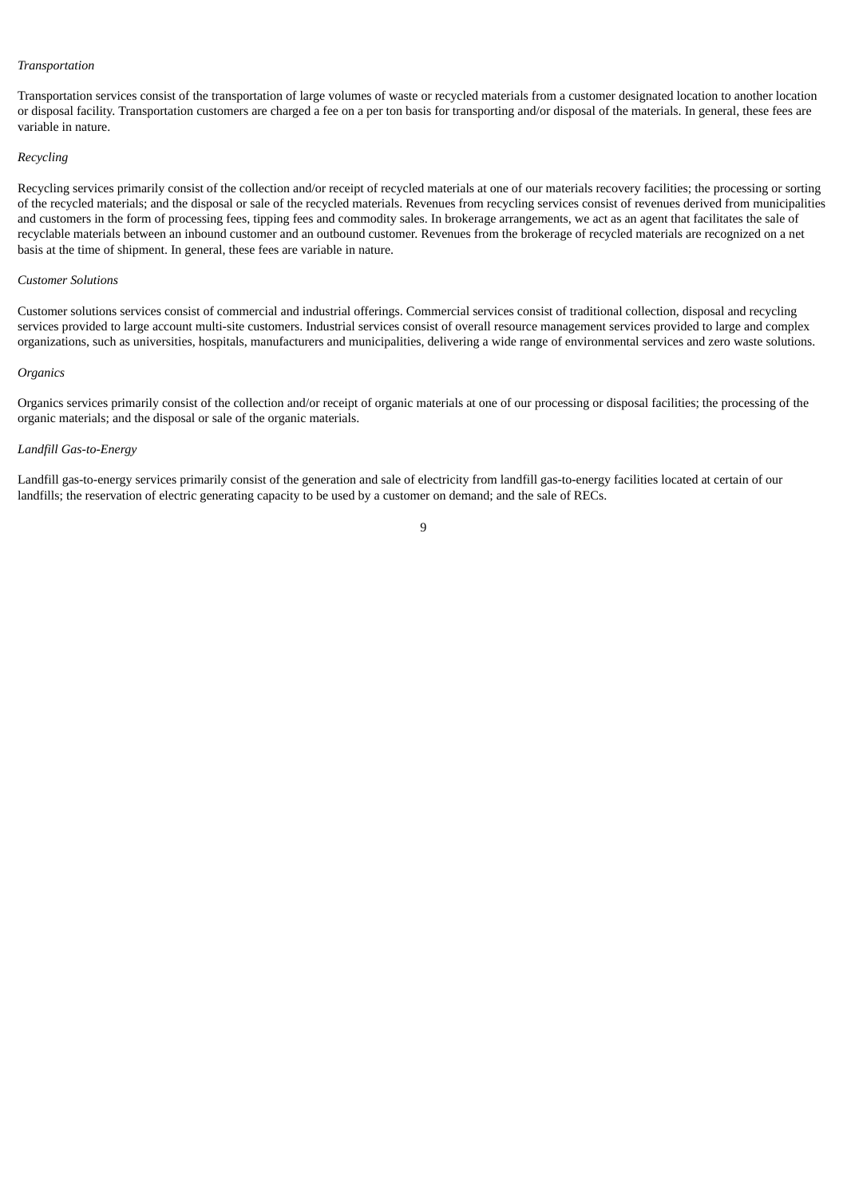#### *Transportation*

Transportation services consist of the transportation of large volumes of waste or recycled materials from a customer designated location to another location or disposal facility. Transportation customers are charged a fee on a per ton basis for transporting and/or disposal of the materials. In general, these fees are variable in nature.

#### *Recycling*

Recycling services primarily consist of the collection and/or receipt of recycled materials at one of our materials recovery facilities; the processing or sorting of the recycled materials; and the disposal or sale of the recycled materials. Revenues from recycling services consist of revenues derived from municipalities and customers in the form of processing fees, tipping fees and commodity sales. In brokerage arrangements, we act as an agent that facilitates the sale of recyclable materials between an inbound customer and an outbound customer. Revenues from the brokerage of recycled materials are recognized on a net basis at the time of shipment. In general, these fees are variable in nature.

### *Customer Solutions*

Customer solutions services consist of commercial and industrial offerings. Commercial services consist of traditional collection, disposal and recycling services provided to large account multi-site customers. Industrial services consist of overall resource management services provided to large and complex organizations, such as universities, hospitals, manufacturers and municipalities, delivering a wide range of environmental services and zero waste solutions.

#### *Organics*

Organics services primarily consist of the collection and/or receipt of organic materials at one of our processing or disposal facilities; the processing of the organic materials; and the disposal or sale of the organic materials.

## *Landfill Gas-to-Energy*

Landfill gas-to-energy services primarily consist of the generation and sale of electricity from landfill gas-to-energy facilities located at certain of our landfills; the reservation of electric generating capacity to be used by a customer on demand; and the sale of RECs.

## $\alpha$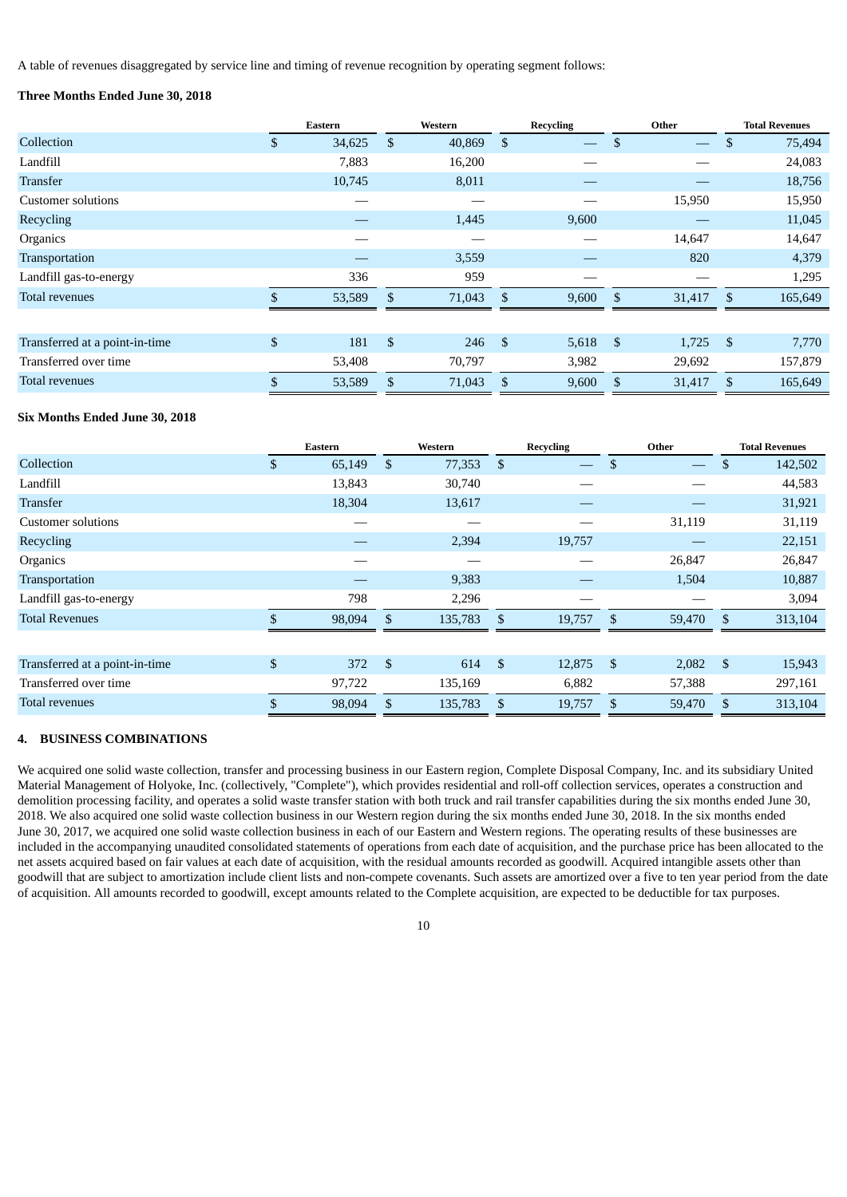A table of revenues disaggregated by service line and timing of revenue recognition by operating segment follows:

# **Three Months Ended June 30, 2018**

|                                |               | Eastern |              | Western |                | <b>Recycling</b>  |                | Other  |               | <b>Total Revenues</b> |
|--------------------------------|---------------|---------|--------------|---------|----------------|-------------------|----------------|--------|---------------|-----------------------|
| Collection                     | \$            | 34,625  | $\mathbb{S}$ | 40,869  | $\mathbb{S}$   | $\hspace{0.05cm}$ | \$             |        | <sup>\$</sup> | 75,494                |
| Landfill                       |               | 7,883   |              | 16,200  |                |                   |                |        |               | 24,083                |
| <b>Transfer</b>                |               | 10,745  |              | 8,011   |                |                   |                |        |               | 18,756                |
| Customer solutions             |               |         |              |         |                |                   |                | 15,950 |               | 15,950                |
| Recycling                      |               |         |              | 1,445   |                | 9,600             |                |        |               | 11,045                |
| Organics                       |               |         |              |         |                |                   |                | 14,647 |               | 14,647                |
| Transportation                 |               |         |              | 3,559   |                |                   |                | 820    |               | 4,379                 |
| Landfill gas-to-energy         |               | 336     |              | 959     |                |                   |                |        |               | 1,295                 |
| <b>Total revenues</b>          |               | 53,589  | \$           | 71,043  | $\mathbf{s}$   | 9,600             | <sup>\$</sup>  | 31,417 | -\$           | 165,649               |
|                                |               |         |              |         |                |                   |                |        |               |                       |
| Transferred at a point-in-time | \$            | 181     | \$           | 246     | $\mathfrak{S}$ | 5,618             | $\mathfrak{s}$ | 1,725  | - \$          | 7,770                 |
| Transferred over time          |               | 53,408  |              | 70,797  |                | 3,982             |                | 29,692 |               | 157,879               |
| <b>Total revenues</b>          | $\mathcal{S}$ | 53,589  | \$           | 71,043  | $\mathbb{S}$   | 9,600             | \$             | 31,417 | <sup>\$</sup> | 165,649               |

## **Six Months Ended June 30, 2018**

|                                | Eastern      |                           | Western |                | <b>Recycling</b> |               | Other                    |                    | <b>Total Revenues</b> |
|--------------------------------|--------------|---------------------------|---------|----------------|------------------|---------------|--------------------------|--------------------|-----------------------|
| Collection                     | \$<br>65,149 | \$                        | 77,353  | $\mathfrak{s}$ |                  | \$            | $\overline{\phantom{0}}$ | \$                 | 142,502               |
| Landfill                       | 13,843       |                           | 30,740  |                |                  |               |                          |                    | 44,583                |
| <b>Transfer</b>                | 18,304       |                           | 13,617  |                |                  |               |                          |                    | 31,921                |
| <b>Customer solutions</b>      |              |                           |         |                |                  |               | 31,119                   |                    | 31,119                |
| Recycling                      |              |                           | 2,394   |                | 19,757           |               |                          |                    | 22,151                |
| Organics                       |              |                           |         |                |                  |               | 26,847                   |                    | 26,847                |
| Transportation                 |              |                           | 9,383   |                |                  |               | 1,504                    |                    | 10,887                |
| Landfill gas-to-energy         | 798          |                           | 2,296   |                |                  |               |                          |                    | 3,094                 |
| <b>Total Revenues</b>          | 98,094       | \$.                       | 135,783 | <sup>\$</sup>  | 19,757           | \$            | 59,470                   | -\$                | 313,104               |
|                                |              |                           |         |                |                  |               |                          |                    |                       |
| Transferred at a point-in-time | \$<br>372    | $\boldsymbol{\mathsf{S}}$ | 614     | $\mathbb{S}$   | 12,875           | \$            | 2,082                    | $\mathbf{\hat{S}}$ | 15,943                |
| Transferred over time          | 97,722       |                           | 135,169 |                | 6,882            |               | 57,388                   |                    | 297,161               |
| <b>Total revenues</b>          | \$<br>98,094 | \$                        | 135,783 | \$             | 19,757           | <sup>\$</sup> | 59,470                   | \$                 | 313,104               |

## **4. BUSINESS COMBINATIONS**

We acquired one solid waste collection, transfer and processing business in our Eastern region, Complete Disposal Company, Inc. and its subsidiary United Material Management of Holyoke, Inc. (collectively, "Complete"), which provides residential and roll-off collection services, operates a construction and demolition processing facility, and operates a solid waste transfer station with both truck and rail transfer capabilities during the six months ended June 30, 2018. We also acquired one solid waste collection business in our Western region during the six months ended June 30, 2018. In the six months ended June 30, 2017, we acquired one solid waste collection business in each of our Eastern and Western regions. The operating results of these businesses are included in the accompanying unaudited consolidated statements of operations from each date of acquisition, and the purchase price has been allocated to the net assets acquired based on fair values at each date of acquisition, with the residual amounts recorded as goodwill. Acquired intangible assets other than goodwill that are subject to amortization include client lists and non-compete covenants. Such assets are amortized over a five to ten year period from the date of acquisition. All amounts recorded to goodwill, except amounts related to the Complete acquisition, are expected to be deductible for tax purposes.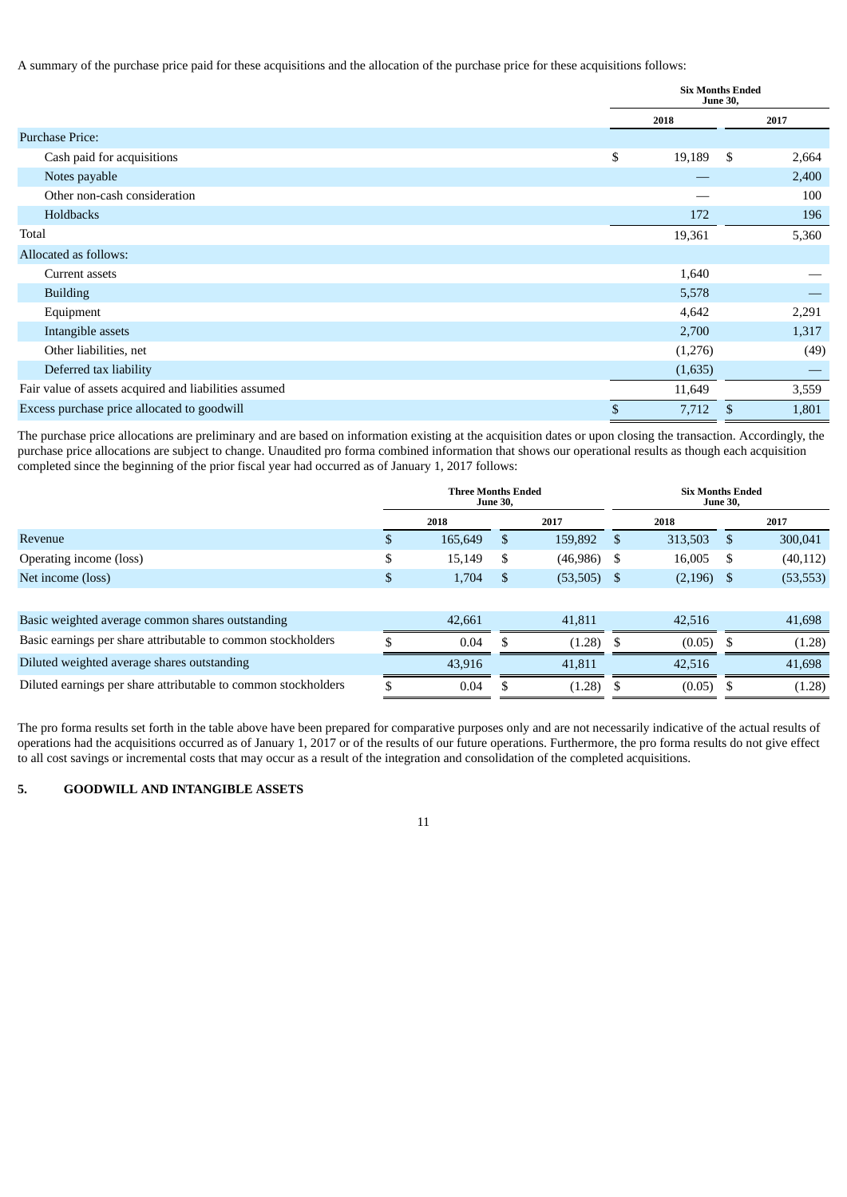A summary of the purchase price paid for these acquisitions and the allocation of the purchase price for these acquisitions follows:

|                                                       | <b>Six Months Ended</b><br><b>June 30,</b> |         |     |       |  |
|-------------------------------------------------------|--------------------------------------------|---------|-----|-------|--|
|                                                       | 2018                                       |         |     | 2017  |  |
| <b>Purchase Price:</b>                                |                                            |         |     |       |  |
| Cash paid for acquisitions                            | \$                                         | 19,189  | -\$ | 2,664 |  |
| Notes payable                                         |                                            |         |     | 2,400 |  |
| Other non-cash consideration                          |                                            |         |     | 100   |  |
| Holdbacks                                             |                                            | 172     |     | 196   |  |
| Total                                                 |                                            | 19,361  |     | 5,360 |  |
| Allocated as follows:                                 |                                            |         |     |       |  |
| Current assets                                        |                                            | 1,640   |     |       |  |
| <b>Building</b>                                       |                                            | 5,578   |     |       |  |
| Equipment                                             |                                            | 4,642   |     | 2,291 |  |
| Intangible assets                                     |                                            | 2,700   |     | 1,317 |  |
| Other liabilities, net                                |                                            | (1,276) |     | (49)  |  |
| Deferred tax liability                                |                                            | (1,635) |     |       |  |
| Fair value of assets acquired and liabilities assumed |                                            | 11,649  |     | 3,559 |  |
| Excess purchase price allocated to goodwill           | \$                                         | 7,712   | \$  | 1,801 |  |

The purchase price allocations are preliminary and are based on information existing at the acquisition dates or upon closing the transaction. Accordingly, the purchase price allocations are subject to change. Unaudited pro forma combined information that shows our operational results as though each acquisition completed since the beginning of the prior fiscal year had occurred as of January 1, 2017 follows:

|                                                                | <b>Three Months Ended</b><br><b>June 30,</b> |         |    |           |               | <b>Six Months Ended</b> | <b>June 30,</b> |           |
|----------------------------------------------------------------|----------------------------------------------|---------|----|-----------|---------------|-------------------------|-----------------|-----------|
|                                                                |                                              | 2018    |    | 2017      |               | 2018                    |                 | 2017      |
| Revenue                                                        | S                                            | 165,649 | -S | 159,892   | <sup>\$</sup> | 313,503                 | -S              | 300,041   |
| Operating income (loss)                                        | \$                                           | 15,149  | S  | (46, 986) | S             | 16,005                  | -S              | (40, 112) |
| Net income (loss)                                              | \$                                           | 1,704   | S  | (53, 505) | - \$          | $(2,196)$ \$            |                 | (53, 553) |
|                                                                |                                              |         |    |           |               |                         |                 |           |
| Basic weighted average common shares outstanding               |                                              | 42,661  |    | 41,811    |               | 42,516                  |                 | 41,698    |
| Basic earnings per share attributable to common stockholders   |                                              | 0.04    |    | (1.28)    | S             | (0.05)                  | - \$            | (1.28)    |
| Diluted weighted average shares outstanding                    |                                              | 43,916  |    | 41,811    |               | 42,516                  |                 | 41.698    |
| Diluted earnings per share attributable to common stockholders | \$                                           | 0.04    |    | (1.28)    | S             | (0.05)                  | - S             | (1.28)    |

The pro forma results set forth in the table above have been prepared for comparative purposes only and are not necessarily indicative of the actual results of operations had the acquisitions occurred as of January 1, 2017 or of the results of our future operations. Furthermore, the pro forma results do not give effect to all cost savings or incremental costs that may occur as a result of the integration and consolidation of the completed acquisitions.

11

# **5. GOODWILL AND INTANGIBLE ASSETS**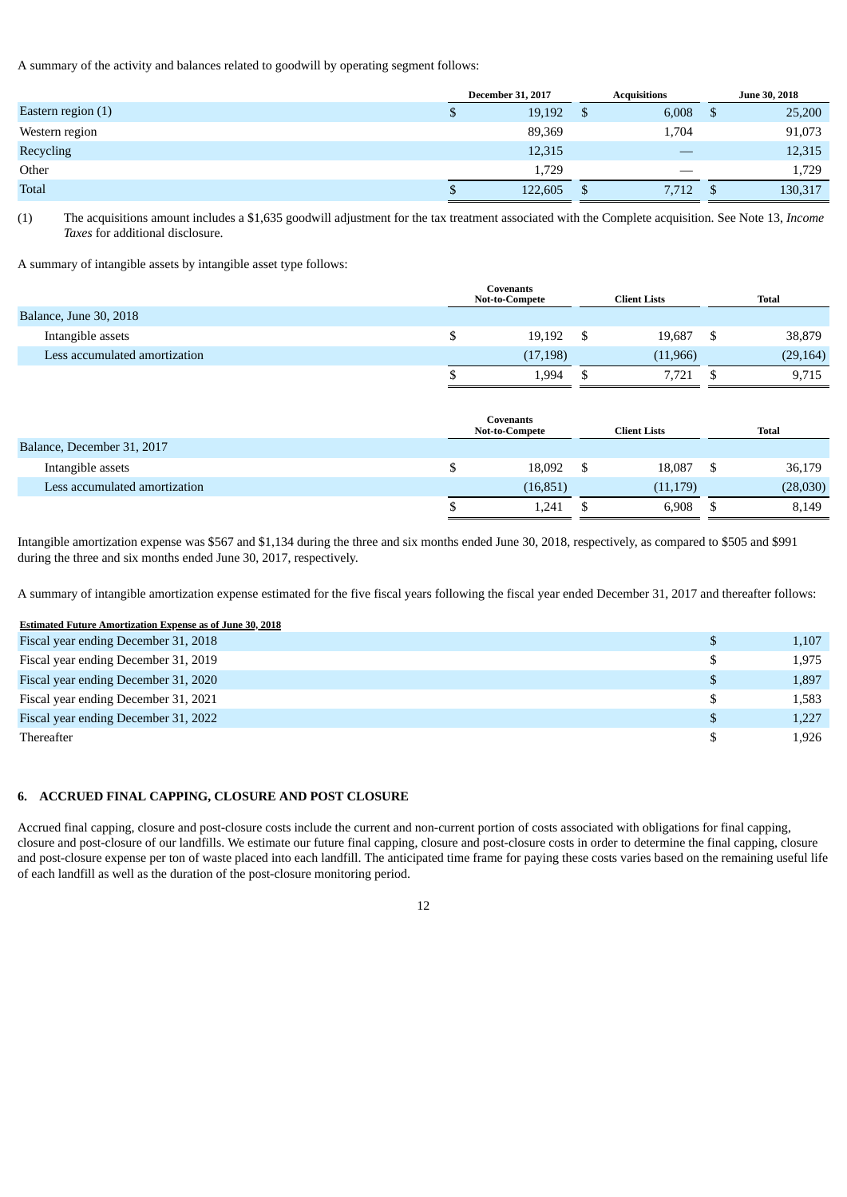A summary of the activity and balances related to goodwill by operating segment follows:

|                      | <b>December 31, 2017</b> |         |  | <b>Acquisitions</b> |         |  | <b>June 30, 2018</b> |
|----------------------|--------------------------|---------|--|---------------------|---------|--|----------------------|
| Eastern region $(1)$ | $\mathbf{D}$             | 19,192  |  | 6,008               | 25,200  |  |                      |
| Western region       |                          | 89,369  |  | 1,704               | 91,073  |  |                      |
| Recycling            |                          | 12,315  |  |                     | 12,315  |  |                      |
| Other                |                          | 1,729   |  |                     | 1,729   |  |                      |
| <b>Total</b>         | S                        | 122,605 |  | 7,712               | 130,317 |  |                      |

(1) The acquisitions amount includes a \$1,635 goodwill adjustment for the tax treatment associated with the Complete acquisition. See Note 13, *Income Taxes* for additional disclosure.

A summary of intangible assets by intangible asset type follows:

|                               | Covenants<br><b>Not-to-Compete</b> | <b>Client Lists</b> | <b>Total</b> |           |  |  |
|-------------------------------|------------------------------------|---------------------|--------------|-----------|--|--|
| <b>Balance, June 30, 2018</b> |                                    |                     |              |           |  |  |
| Intangible assets             | 19,192                             | 19,687              |              | 38,879    |  |  |
| Less accumulated amortization | (17, 198)                          | (11, 966)           |              | (29, 164) |  |  |
|                               | 1,994                              | 7,721               |              | 9,715     |  |  |

|                               | Covenants<br><b>Not-to-Compete</b> | <b>Client Lists</b> | Total    |
|-------------------------------|------------------------------------|---------------------|----------|
| Balance, December 31, 2017    |                                    |                     |          |
| Intangible assets             | 18,092                             | 18,087              | 36,179   |
| Less accumulated amortization | (16, 851)                          | (11, 179)           | (28,030) |
|                               | 1,241                              | 6,908               | 8,149    |

Intangible amortization expense was \$567 and \$1,134 during the three and six months ended June 30, 2018, respectively, as compared to \$505 and \$991 during the three and six months ended June 30, 2017, respectively.

A summary of intangible amortization expense estimated for the five fiscal years following the fiscal year ended December 31, 2017 and thereafter follows:

## **Estimated Future Amortization Expense as of June 30, 2018**

| Fiscal year ending December 31, 2018 | 1,107 |
|--------------------------------------|-------|
| Fiscal year ending December 31, 2019 | 1,975 |
| Fiscal year ending December 31, 2020 | 1,897 |
| Fiscal year ending December 31, 2021 | 1,583 |
| Fiscal year ending December 31, 2022 | 1,227 |
| Thereafter                           | 1,926 |

## **6. ACCRUED FINAL CAPPING, CLOSURE AND POST CLOSURE**

Accrued final capping, closure and post-closure costs include the current and non-current portion of costs associated with obligations for final capping, closure and post-closure of our landfills. We estimate our future final capping, closure and post-closure costs in order to determine the final capping, closure and post-closure expense per ton of waste placed into each landfill. The anticipated time frame for paying these costs varies based on the remaining useful life of each landfill as well as the duration of the post-closure monitoring period.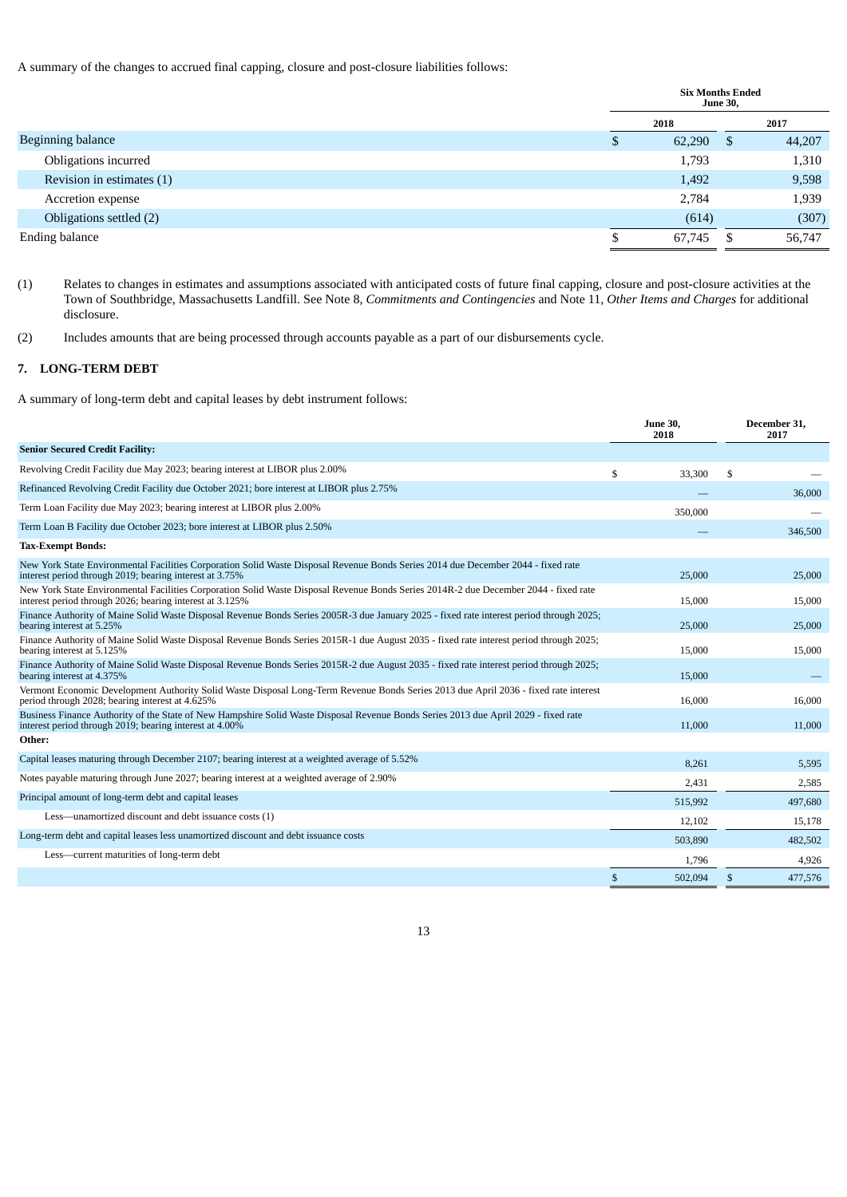A summary of the changes to accrued final capping, closure and post-closure liabilities follows:

|                           | <b>Six Months Ended</b><br><b>June 30,</b> |        |      |        |  |
|---------------------------|--------------------------------------------|--------|------|--------|--|
|                           |                                            | 2018   |      | 2017   |  |
| Beginning balance         |                                            | 62,290 | - \$ | 44,207 |  |
| Obligations incurred      |                                            | 1,793  |      | 1,310  |  |
| Revision in estimates (1) |                                            | 1,492  |      | 9,598  |  |
| <b>Accretion expense</b>  |                                            | 2,784  |      | 1,939  |  |
| Obligations settled (2)   |                                            | (614)  |      | (307)  |  |
| <b>Ending balance</b>     |                                            | 67,745 |      | 56,747 |  |

(1) Relates to changes in estimates and assumptions associated with anticipated costs of future final capping, closure and post-closure activities at the Town of Southbridge, Massachusetts Landfill. See Note 8, *Commitments and Contingencies* and Note 11, *Other Items and Charges* for additional disclosure.

(2) Includes amounts that are being processed through accounts payable as a part of our disbursements cycle.

# **7. LONG-TERM DEBT**

A summary of long-term debt and capital leases by debt instrument follows:

|                                                                                                                                                                                                  | <b>June 30,</b><br>2018 |    | December 31,<br>2017 |
|--------------------------------------------------------------------------------------------------------------------------------------------------------------------------------------------------|-------------------------|----|----------------------|
| <b>Senior Secured Credit Facility:</b>                                                                                                                                                           |                         |    |                      |
| Revolving Credit Facility due May 2023; bearing interest at LIBOR plus 2.00%                                                                                                                     | \$<br>33,300            | \$ |                      |
| Refinanced Revolving Credit Facility due October 2021; bore interest at LIBOR plus 2.75%                                                                                                         |                         |    | 36,000               |
| Term Loan Facility due May 2023; bearing interest at LIBOR plus 2.00%                                                                                                                            | 350,000                 |    |                      |
| Term Loan B Facility due October 2023; bore interest at LIBOR plus 2.50%                                                                                                                         |                         |    | 346,500              |
| <b>Tax-Exempt Bonds:</b>                                                                                                                                                                         |                         |    |                      |
| New York State Environmental Facilities Corporation Solid Waste Disposal Revenue Bonds Series 2014 due December 2044 - fixed rate<br>interest period through 2019; bearing interest at 3.75%     | 25,000                  |    | 25,000               |
| New York State Environmental Facilities Corporation Solid Waste Disposal Revenue Bonds Series 2014R-2 due December 2044 - fixed rate<br>interest period through 2026; bearing interest at 3.125% | 15,000                  |    | 15,000               |
| Finance Authority of Maine Solid Waste Disposal Revenue Bonds Series 2005R-3 due January 2025 - fixed rate interest period through 2025;<br>bearing interest at 5.25%                            | 25,000                  |    | 25,000               |
| Finance Authority of Maine Solid Waste Disposal Revenue Bonds Series 2015R-1 due August 2035 - fixed rate interest period through 2025;<br>bearing interest at 5.125%                            | 15,000                  |    | 15,000               |
| Finance Authority of Maine Solid Waste Disposal Revenue Bonds Series 2015R-2 due August 2035 - fixed rate interest period through 2025;<br>bearing interest at 4.375%                            | 15,000                  |    |                      |
| Vermont Economic Development Authority Solid Waste Disposal Long-Term Revenue Bonds Series 2013 due April 2036 - fixed rate interest<br>period through 2028; bearing interest at 4.625%          | 16,000                  |    | 16,000               |
| Business Finance Authority of the State of New Hampshire Solid Waste Disposal Revenue Bonds Series 2013 due April 2029 - fixed rate<br>interest period through 2019; bearing interest at 4.00%   | 11,000                  |    | 11,000               |
| Other:                                                                                                                                                                                           |                         |    |                      |
| Capital leases maturing through December 2107; bearing interest at a weighted average of 5.52%                                                                                                   | 8,261                   |    | 5,595                |
| Notes payable maturing through June 2027; bearing interest at a weighted average of 2.90%                                                                                                        | 2,431                   |    | 2,585                |
| Principal amount of long-term debt and capital leases                                                                                                                                            | 515,992                 |    | 497,680              |
| Less-unamortized discount and debt issuance costs (1)                                                                                                                                            | 12,102                  |    | 15,178               |
| Long-term debt and capital leases less unamortized discount and debt issuance costs                                                                                                              | 503,890                 |    | 482,502              |
| Less-current maturities of long-term debt                                                                                                                                                        | 1,796                   |    | 4,926                |
|                                                                                                                                                                                                  | \$<br>502,094           | \$ | 477,576              |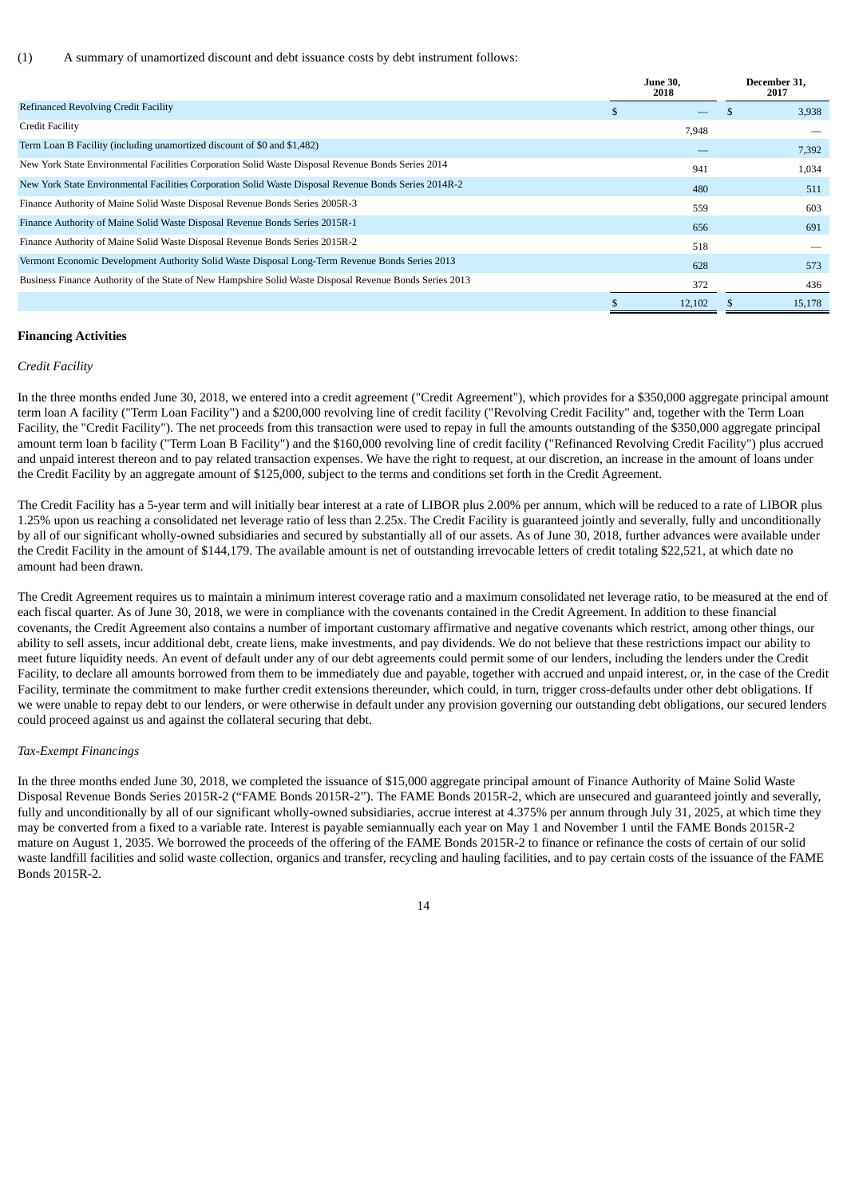(1) A summary of unamortized discount and debt issuance costs by debt instrument follows:

|                                                                                                         |   | <b>June 30.</b><br>2018 |  | December 31.<br>2017 |
|---------------------------------------------------------------------------------------------------------|---|-------------------------|--|----------------------|
| <b>Refinanced Revolving Credit Facility</b>                                                             | æ |                         |  | 3,938                |
| Credit Facility                                                                                         |   | 7,948                   |  |                      |
| Term Loan B Facility (including unamortized discount of \$0 and \$1,482)                                |   |                         |  | 7,392                |
| New York State Environmental Facilities Corporation Solid Waste Disposal Revenue Bonds Series 2014      |   | 941                     |  | 1,034                |
| New York State Environmental Facilities Corporation Solid Waste Disposal Revenue Bonds Series 2014R-2   |   | 480                     |  | 511                  |
| Finance Authority of Maine Solid Waste Disposal Revenue Bonds Series 2005R-3                            |   | 559                     |  | 603                  |
| Finance Authority of Maine Solid Waste Disposal Revenue Bonds Series 2015R-1                            |   | 656                     |  | 691                  |
| Finance Authority of Maine Solid Waste Disposal Revenue Bonds Series 2015R-2                            |   | 518                     |  |                      |
| Vermont Economic Development Authority Solid Waste Disposal Long-Term Revenue Bonds Series 2013         |   | 628                     |  | 573                  |
| Business Finance Authority of the State of New Hampshire Solid Waste Disposal Revenue Bonds Series 2013 |   | 372                     |  | 436                  |
|                                                                                                         |   | 12,102                  |  | 15,178               |

## **Financing Activities**

#### *Credit Facility*

In the three months ended June 30, 2018, we entered into a credit agreement ("Credit Agreement"), which provides for a \$350,000 aggregate principal amount term loan A facility ("Term Loan Facility") and a \$200,000 revolving line of credit facility ("Revolving Credit Facility" and, together with the Term Loan Facility, the "Credit Facility"). The net proceeds from this transaction were used to repay in full the amounts outstanding of the \$350,000 aggregate principal amount term loan b facility ("Term Loan B Facility") and the \$160,000 revolving line of credit facility ("Refinanced Revolving Credit Facility") plus accrued and unpaid interest thereon and to pay related transaction expenses. We have the right to request, at our discretion, an increase in the amount of loans under the Credit Facility by an aggregate amount of \$125,000, subject to the terms and conditions set forth in the Credit Agreement.

The Credit Facility has a 5-year term and will initially bear interest at a rate of LIBOR plus 2.00% per annum, which will be reduced to a rate of LIBOR plus 1.25% upon us reaching a consolidated net leverage ratio of less than 2.25x. The Credit Facility is guaranteed jointly and severally, fully and unconditionally by all of our significant wholly-owned subsidiaries and secured by substantially all of our assets. As of June 30, 2018, further advances were available under the Credit Facility in the amount of \$144,179. The available amount is net of outstanding irrevocable letters of credit totaling \$22,521, at which date no amount had been drawn.

The Credit Agreement requires us to maintain a minimum interest coverage ratio and a maximum consolidated net leverage ratio, to be measured at the end of each fiscal quarter. As of June 30, 2018, we were in compliance with the covenants contained in the Credit Agreement. In addition to these financial covenants, the Credit Agreement also contains a number of important customary affirmative and negative covenants which restrict, among other things, our ability to sell assets, incur additional debt, create liens, make investments, and pay dividends. We do not believe that these restrictions impact our ability to meet future liquidity needs. An event of default under any of our debt agreements could permit some of our lenders, including the lenders under the Credit Facility, to declare all amounts borrowed from them to be immediately due and payable, together with accrued and unpaid interest, or, in the case of the Credit Facility, terminate the commitment to make further credit extensions thereunder, which could, in turn, trigger cross-defaults under other debt obligations. If we were unable to repay debt to our lenders, or were otherwise in default under any provision governing our outstanding debt obligations, our secured lenders could proceed against us and against the collateral securing that debt.

#### *Tax-Exempt Financings*

In the three months ended June 30, 2018, we completed the issuance of \$15,000 aggregate principal amount of Finance Authority of Maine Solid Waste Disposal Revenue Bonds Series 2015R-2 ("FAME Bonds 2015R-2"). The FAME Bonds 2015R-2, which are unsecured and guaranteed jointly and severally, fully and unconditionally by all of our significant wholly-owned subsidiaries, accrue interest at 4.375% per annum through July 31, 2025, at which time they may be converted from a fixed to a variable rate. Interest is payable semiannually each year on May 1 and November 1 until the FAME Bonds 2015R-2 mature on August 1, 2035. We borrowed the proceeds of the offering of the FAME Bonds 2015R-2 to finance or refinance the costs of certain of our solid waste landfill facilities and solid waste collection, organics and transfer, recycling and hauling facilities, and to pay certain costs of the issuance of the FAME Bonds 2015R-2.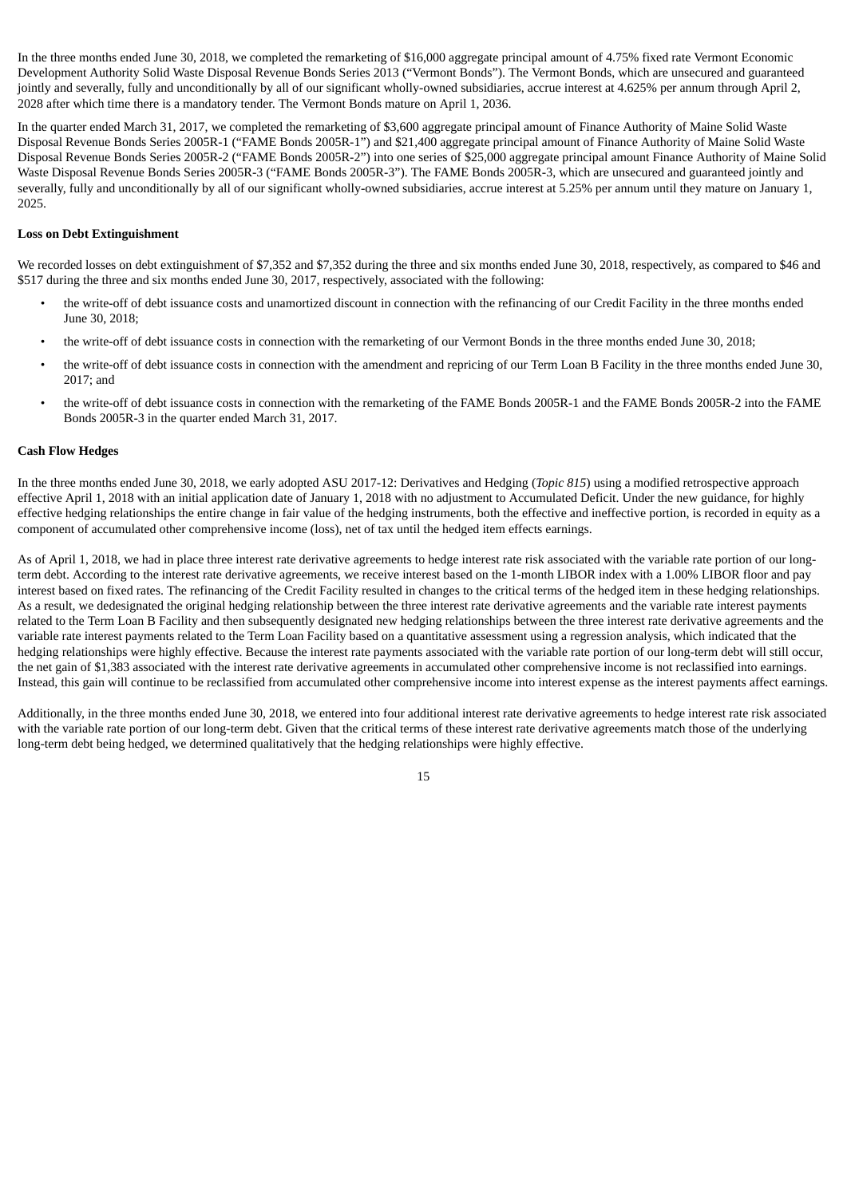In the three months ended June 30, 2018, we completed the remarketing of \$16,000 aggregate principal amount of 4.75% fixed rate Vermont Economic Development Authority Solid Waste Disposal Revenue Bonds Series 2013 ("Vermont Bonds"). The Vermont Bonds, which are unsecured and guaranteed jointly and severally, fully and unconditionally by all of our significant wholly-owned subsidiaries, accrue interest at 4.625% per annum through April 2, 2028 after which time there is a mandatory tender. The Vermont Bonds mature on April 1, 2036.

In the quarter ended March 31, 2017, we completed the remarketing of \$3,600 aggregate principal amount of Finance Authority of Maine Solid Waste Disposal Revenue Bonds Series 2005R-1 ("FAME Bonds 2005R-1") and \$21,400 aggregate principal amount of Finance Authority of Maine Solid Waste Disposal Revenue Bonds Series 2005R-2 ("FAME Bonds 2005R-2") into one series of \$25,000 aggregate principal amount Finance Authority of Maine Solid Waste Disposal Revenue Bonds Series 2005R-3 ("FAME Bonds 2005R-3"). The FAME Bonds 2005R-3, which are unsecured and guaranteed jointly and severally, fully and unconditionally by all of our significant wholly-owned subsidiaries, accrue interest at 5.25% per annum until they mature on January 1, 2025.

#### **Loss on Debt Extinguishment**

We recorded losses on debt extinguishment of \$7,352 and \$7,352 during the three and six months ended June 30, 2018, respectively, as compared to \$46 and \$517 during the three and six months ended June 30, 2017, respectively, associated with the following:

- the write-off of debt issuance costs and unamortized discount in connection with the refinancing of our Credit Facility in the three months ended June 30, 2018;
- the write-off of debt issuance costs in connection with the remarketing of our Vermont Bonds in the three months ended June 30, 2018;
- the write-off of debt issuance costs in connection with the amendment and repricing of our Term Loan B Facility in the three months ended June 30, 2017; and
- the write-off of debt issuance costs in connection with the remarketing of the FAME Bonds 2005R-1 and the FAME Bonds 2005R-2 into the FAME Bonds 2005R-3 in the quarter ended March 31, 2017.

#### **Cash Flow Hedges**

In the three months ended June 30, 2018, we early adopted ASU 2017-12: Derivatives and Hedging (*Topic 815*) using a modified retrospective approach effective April 1, 2018 with an initial application date of January 1, 2018 with no adjustment to Accumulated Deficit. Under the new guidance, for highly effective hedging relationships the entire change in fair value of the hedging instruments, both the effective and ineffective portion, is recorded in equity as a component of accumulated other comprehensive income (loss), net of tax until the hedged item effects earnings.

As of April 1, 2018, we had in place three interest rate derivative agreements to hedge interest rate risk associated with the variable rate portion of our longterm debt. According to the interest rate derivative agreements, we receive interest based on the 1-month LIBOR index with a 1.00% LIBOR floor and pay interest based on fixed rates. The refinancing of the Credit Facility resulted in changes to the critical terms of the hedged item in these hedging relationships. As a result, we dedesignated the original hedging relationship between the three interest rate derivative agreements and the variable rate interest payments related to the Term Loan B Facility and then subsequently designated new hedging relationships between the three interest rate derivative agreements and the variable rate interest payments related to the Term Loan Facility based on a quantitative assessment using a regression analysis, which indicated that the hedging relationships were highly effective. Because the interest rate payments associated with the variable rate portion of our long-term debt will still occur, the net gain of \$1,383 associated with the interest rate derivative agreements in accumulated other comprehensive income is not reclassified into earnings. Instead, this gain will continue to be reclassified from accumulated other comprehensive income into interest expense as the interest payments affect earnings.

Additionally, in the three months ended June 30, 2018, we entered into four additional interest rate derivative agreements to hedge interest rate risk associated with the variable rate portion of our long-term debt. Given that the critical terms of these interest rate derivative agreements match those of the underlying long-term debt being hedged, we determined qualitatively that the hedging relationships were highly effective.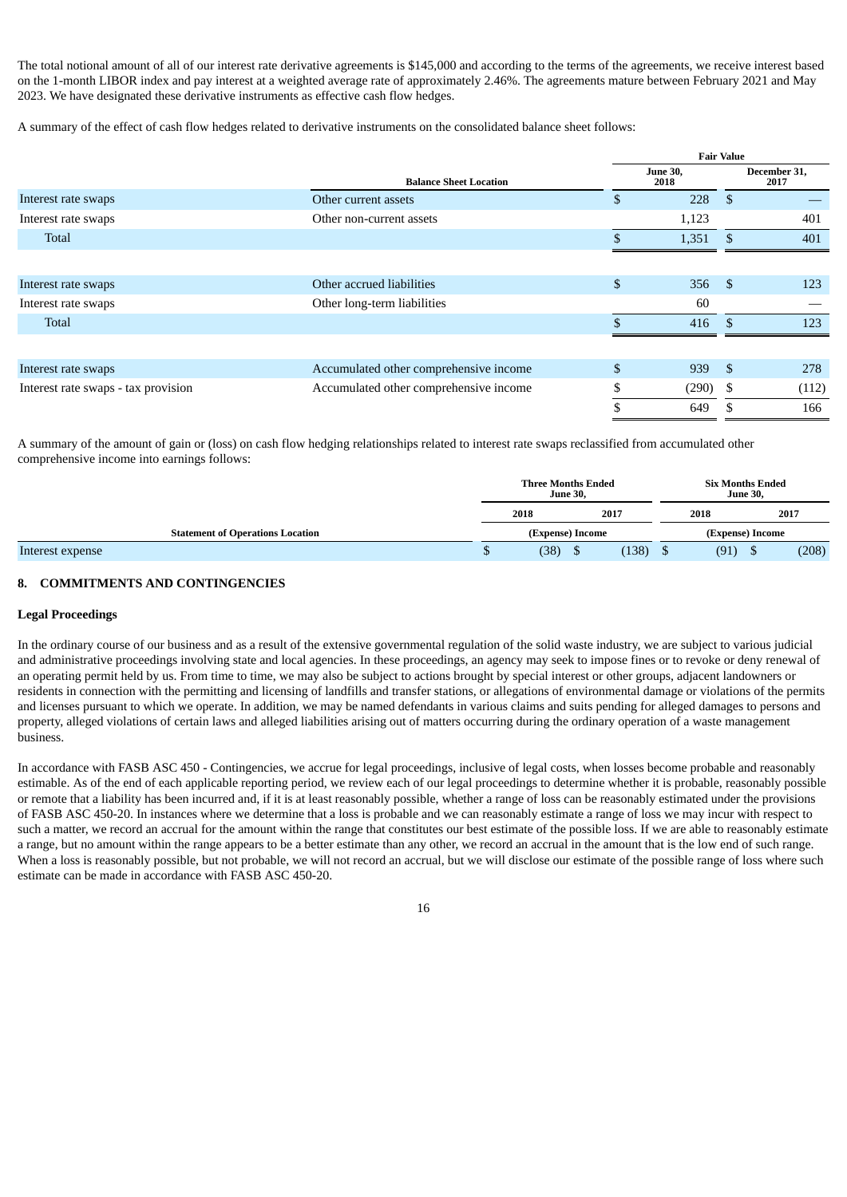The total notional amount of all of our interest rate derivative agreements is \$145,000 and according to the terms of the agreements, we receive interest based on the 1-month LIBOR index and pay interest at a weighted average rate of approximately 2.46%. The agreements mature between February 2021 and May 2023. We have designated these derivative instruments as effective cash flow hedges.

A summary of the effect of cash flow hedges related to derivative instruments on the consolidated balance sheet follows:

|                                     |                                        | <b>Fair Value</b>       |                      |       |  |  |  |  |
|-------------------------------------|----------------------------------------|-------------------------|----------------------|-------|--|--|--|--|
|                                     | <b>Balance Sheet Location</b>          | <b>June 30,</b><br>2018 | December 31,<br>2017 |       |  |  |  |  |
| Interest rate swaps                 | Other current assets                   | \$<br>228               | -\$                  |       |  |  |  |  |
| Interest rate swaps                 | Other non-current assets               | 1,123                   |                      | 401   |  |  |  |  |
| Total                               |                                        | 1,351                   | <sup>\$</sup>        | 401   |  |  |  |  |
|                                     |                                        |                         |                      |       |  |  |  |  |
| Interest rate swaps                 | Other accrued liabilities              | \$<br>356               | -\$                  | 123   |  |  |  |  |
| Interest rate swaps                 | Other long-term liabilities            | 60                      |                      |       |  |  |  |  |
| Total                               |                                        | 416                     | -\$                  | 123   |  |  |  |  |
|                                     |                                        |                         |                      |       |  |  |  |  |
| Interest rate swaps                 | Accumulated other comprehensive income | \$<br>939               | -\$                  | 278   |  |  |  |  |
| Interest rate swaps - tax provision | Accumulated other comprehensive income | (290)                   | -S                   | (112) |  |  |  |  |
|                                     |                                        | 649                     | S                    | 166   |  |  |  |  |

A summary of the amount of gain or (loss) on cash flow hedging relationships related to interest rate swaps reclassified from accumulated other comprehensive income into earnings follows:

|                                         |                  | <b>Three Months Ended</b><br><b>June 30.</b> |  |       |                  | <b>Six Months Ended</b> |      |       |
|-----------------------------------------|------------------|----------------------------------------------|--|-------|------------------|-------------------------|------|-------|
|                                         | 2017<br>2018     |                                              |  |       | 2018             |                         | 2017 |       |
| <b>Statement of Operations Location</b> | (Expense) Income |                                              |  |       | (Expense) Income |                         |      |       |
| Interest expense                        |                  | (38)                                         |  | (138) |                  | (91)                    |      | (208) |

# **8. COMMITMENTS AND CONTINGENCIES**

## **Legal Proceedings**

In the ordinary course of our business and as a result of the extensive governmental regulation of the solid waste industry, we are subject to various judicial and administrative proceedings involving state and local agencies. In these proceedings, an agency may seek to impose fines or to revoke or deny renewal of an operating permit held by us. From time to time, we may also be subject to actions brought by special interest or other groups, adjacent landowners or residents in connection with the permitting and licensing of landfills and transfer stations, or allegations of environmental damage or violations of the permits and licenses pursuant to which we operate. In addition, we may be named defendants in various claims and suits pending for alleged damages to persons and property, alleged violations of certain laws and alleged liabilities arising out of matters occurring during the ordinary operation of a waste management business.

In accordance with FASB ASC 450 - Contingencies, we accrue for legal proceedings, inclusive of legal costs, when losses become probable and reasonably estimable. As of the end of each applicable reporting period, we review each of our legal proceedings to determine whether it is probable, reasonably possible or remote that a liability has been incurred and, if it is at least reasonably possible, whether a range of loss can be reasonably estimated under the provisions of FASB ASC 450-20. In instances where we determine that a loss is probable and we can reasonably estimate a range of loss we may incur with respect to such a matter, we record an accrual for the amount within the range that constitutes our best estimate of the possible loss. If we are able to reasonably estimate a range, but no amount within the range appears to be a better estimate than any other, we record an accrual in the amount that is the low end of such range. When a loss is reasonably possible, but not probable, we will not record an accrual, but we will disclose our estimate of the possible range of loss where such estimate can be made in accordance with FASB ASC 450-20.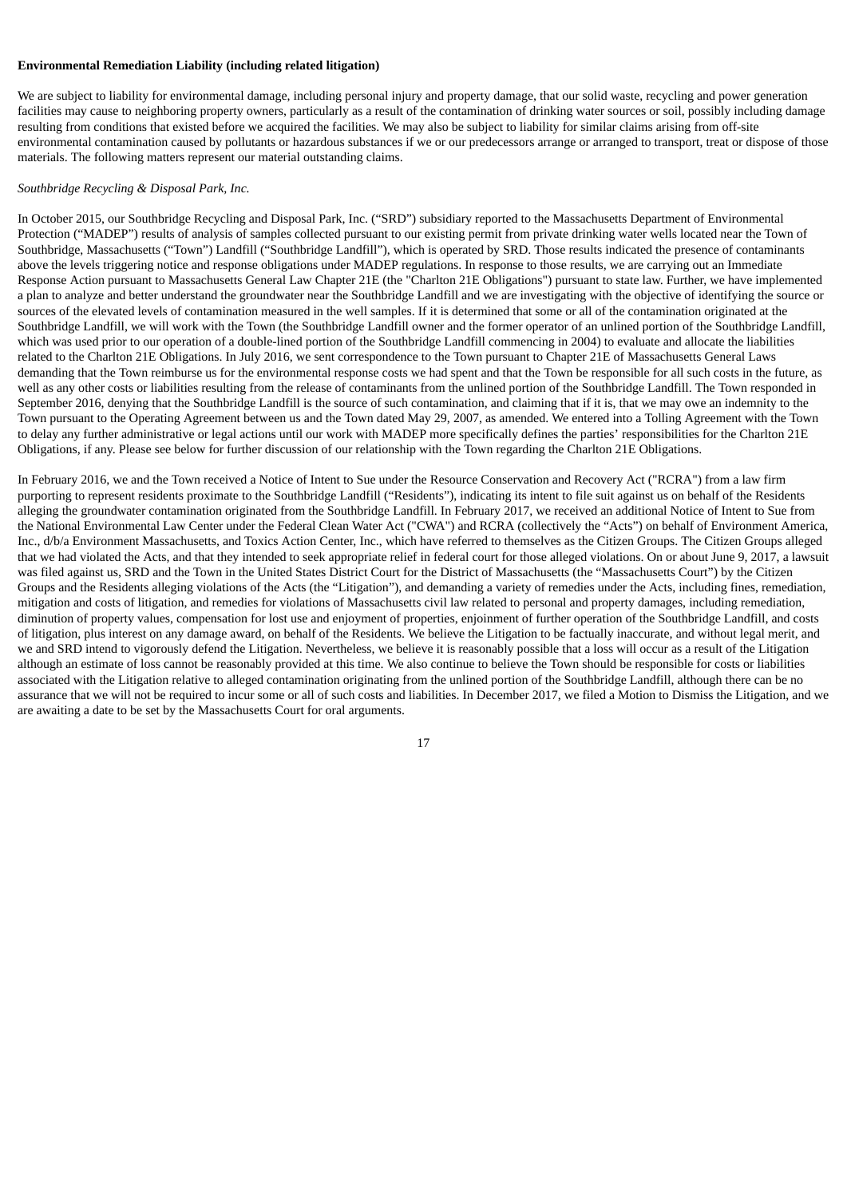## **Environmental Remediation Liability (including related litigation)**

We are subject to liability for environmental damage, including personal injury and property damage, that our solid waste, recycling and power generation facilities may cause to neighboring property owners, particularly as a result of the contamination of drinking water sources or soil, possibly including damage resulting from conditions that existed before we acquired the facilities. We may also be subject to liability for similar claims arising from off-site environmental contamination caused by pollutants or hazardous substances if we or our predecessors arrange or arranged to transport, treat or dispose of those materials. The following matters represent our material outstanding claims.

#### *Southbridge Recycling & Disposal Park, Inc.*

In October 2015, our Southbridge Recycling and Disposal Park, Inc. ("SRD") subsidiary reported to the Massachusetts Department of Environmental Protection ("MADEP") results of analysis of samples collected pursuant to our existing permit from private drinking water wells located near the Town of Southbridge, Massachusetts ("Town") Landfill ("Southbridge Landfill"), which is operated by SRD. Those results indicated the presence of contaminants above the levels triggering notice and response obligations under MADEP regulations. In response to those results, we are carrying out an Immediate Response Action pursuant to Massachusetts General Law Chapter 21E (the "Charlton 21E Obligations") pursuant to state law. Further, we have implemented a plan to analyze and better understand the groundwater near the Southbridge Landfill and we are investigating with the objective of identifying the source or sources of the elevated levels of contamination measured in the well samples. If it is determined that some or all of the contamination originated at the Southbridge Landfill, we will work with the Town (the Southbridge Landfill owner and the former operator of an unlined portion of the Southbridge Landfill, which was used prior to our operation of a double-lined portion of the Southbridge Landfill commencing in 2004) to evaluate and allocate the liabilities related to the Charlton 21E Obligations. In July 2016, we sent correspondence to the Town pursuant to Chapter 21E of Massachusetts General Laws demanding that the Town reimburse us for the environmental response costs we had spent and that the Town be responsible for all such costs in the future, as well as any other costs or liabilities resulting from the release of contaminants from the unlined portion of the Southbridge Landfill. The Town responded in September 2016, denying that the Southbridge Landfill is the source of such contamination, and claiming that if it is, that we may owe an indemnity to the Town pursuant to the Operating Agreement between us and the Town dated May 29, 2007, as amended. We entered into a Tolling Agreement with the Town to delay any further administrative or legal actions until our work with MADEP more specifically defines the parties' responsibilities for the Charlton 21E Obligations, if any. Please see below for further discussion of our relationship with the Town regarding the Charlton 21E Obligations.

In February 2016, we and the Town received a Notice of Intent to Sue under the Resource Conservation and Recovery Act ("RCRA") from a law firm purporting to represent residents proximate to the Southbridge Landfill ("Residents"), indicating its intent to file suit against us on behalf of the Residents alleging the groundwater contamination originated from the Southbridge Landfill. In February 2017, we received an additional Notice of Intent to Sue from the National Environmental Law Center under the Federal Clean Water Act ("CWA") and RCRA (collectively the "Acts") on behalf of Environment America, Inc., d/b/a Environment Massachusetts, and Toxics Action Center, Inc., which have referred to themselves as the Citizen Groups. The Citizen Groups alleged that we had violated the Acts, and that they intended to seek appropriate relief in federal court for those alleged violations. On or about June 9, 2017, a lawsuit was filed against us, SRD and the Town in the United States District Court for the District of Massachusetts (the "Massachusetts Court") by the Citizen Groups and the Residents alleging violations of the Acts (the "Litigation"), and demanding a variety of remedies under the Acts, including fines, remediation, mitigation and costs of litigation, and remedies for violations of Massachusetts civil law related to personal and property damages, including remediation, diminution of property values, compensation for lost use and enjoyment of properties, enjoinment of further operation of the Southbridge Landfill, and costs of litigation, plus interest on any damage award, on behalf of the Residents. We believe the Litigation to be factually inaccurate, and without legal merit, and we and SRD intend to vigorously defend the Litigation. Nevertheless, we believe it is reasonably possible that a loss will occur as a result of the Litigation although an estimate of loss cannot be reasonably provided at this time. We also continue to believe the Town should be responsible for costs or liabilities associated with the Litigation relative to alleged contamination originating from the unlined portion of the Southbridge Landfill, although there can be no assurance that we will not be required to incur some or all of such costs and liabilities. In December 2017, we filed a Motion to Dismiss the Litigation, and we are awaiting a date to be set by the Massachusetts Court for oral arguments.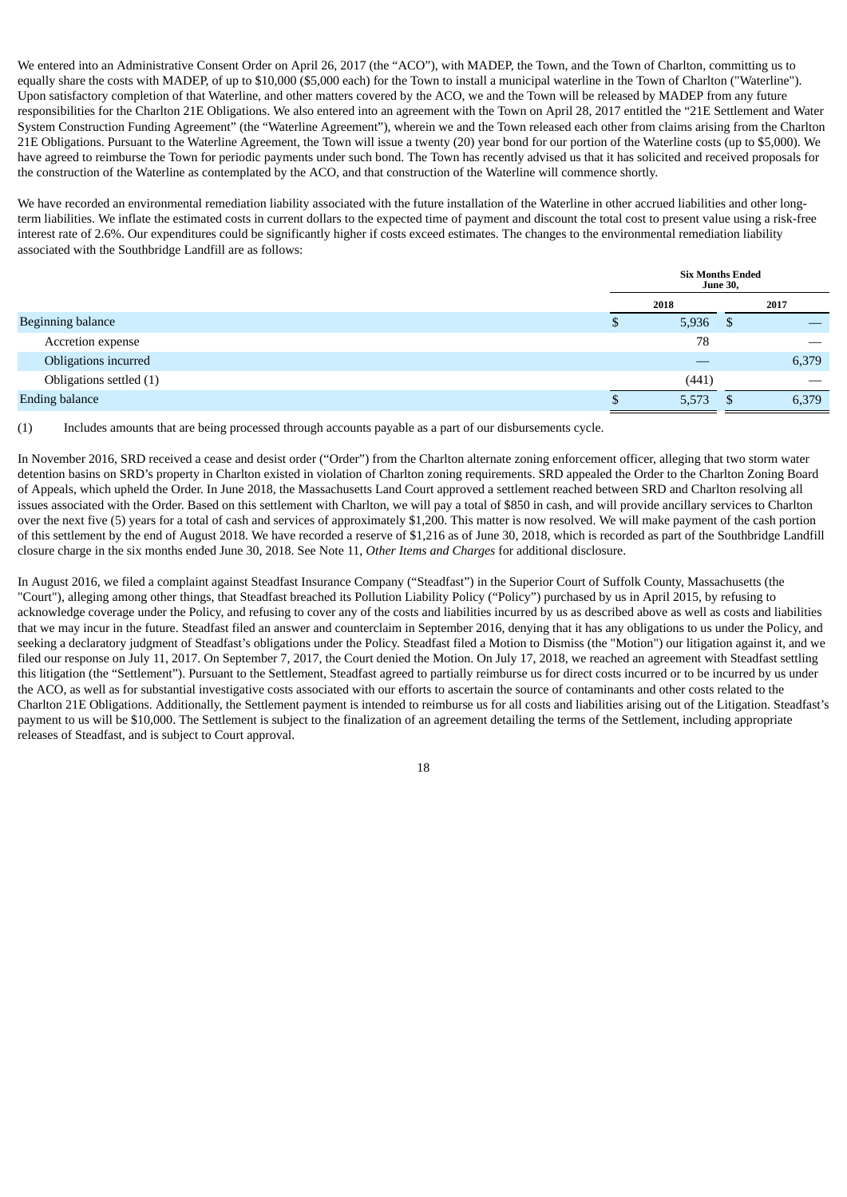We entered into an Administrative Consent Order on April 26, 2017 (the "ACO"), with MADEP, the Town, and the Town of Charlton, committing us to equally share the costs with MADEP, of up to \$10,000 (\$5,000 each) for the Town to install a municipal waterline in the Town of Charlton ("Waterline"). Upon satisfactory completion of that Waterline, and other matters covered by the ACO, we and the Town will be released by MADEP from any future responsibilities for the Charlton 21E Obligations. We also entered into an agreement with the Town on April 28, 2017 entitled the "21E Settlement and Water System Construction Funding Agreement" (the "Waterline Agreement"), wherein we and the Town released each other from claims arising from the Charlton 21E Obligations. Pursuant to the Waterline Agreement, the Town will issue a twenty (20) year bond for our portion of the Waterline costs (up to \$5,000). We have agreed to reimburse the Town for periodic payments under such bond. The Town has recently advised us that it has solicited and received proposals for the construction of the Waterline as contemplated by the ACO, and that construction of the Waterline will commence shortly.

We have recorded an environmental remediation liability associated with the future installation of the Waterline in other accrued liabilities and other longterm liabilities. We inflate the estimated costs in current dollars to the expected time of payment and discount the total cost to present value using a risk-free interest rate of 2.6%. Our expenditures could be significantly higher if costs exceed estimates. The changes to the environmental remediation liability associated with the Southbridge Landfill are as follows:

|                          | <b>Six Months Ended</b><br><b>June 30,</b> |       |    |       |  |
|--------------------------|--------------------------------------------|-------|----|-------|--|
|                          | 2018                                       |       |    | 2017  |  |
| <b>Beginning balance</b> |                                            | 5,936 | -5 |       |  |
| Accretion expense        |                                            | 78    |    |       |  |
| Obligations incurred     |                                            |       |    | 6,379 |  |
| Obligations settled (1)  |                                            | (441) |    | __    |  |
| <b>Ending balance</b>    |                                            | 5,573 | 5  | 6,379 |  |

(1) Includes amounts that are being processed through accounts payable as a part of our disbursements cycle.

In November 2016, SRD received a cease and desist order ("Order") from the Charlton alternate zoning enforcement officer, alleging that two storm water detention basins on SRD's property in Charlton existed in violation of Charlton zoning requirements. SRD appealed the Order to the Charlton Zoning Board of Appeals, which upheld the Order. In June 2018, the Massachusetts Land Court approved a settlement reached between SRD and Charlton resolving all issues associated with the Order. Based on this settlement with Charlton, we will pay a total of \$850 in cash, and will provide ancillary services to Charlton over the next five (5) years for a total of cash and services of approximately \$1,200. This matter is now resolved. We will make payment of the cash portion of this settlement by the end of August 2018. We have recorded a reserve of \$1,216 as of June 30, 2018, which is recorded as part of the Southbridge Landfill closure charge in the six months ended June 30, 2018. See Note 11, *Other Items and Charges* for additional disclosure.

In August 2016, we filed a complaint against Steadfast Insurance Company ("Steadfast") in the Superior Court of Suffolk County, Massachusetts (the "Court"), alleging among other things, that Steadfast breached its Pollution Liability Policy ("Policy") purchased by us in April 2015, by refusing to acknowledge coverage under the Policy, and refusing to cover any of the costs and liabilities incurred by us as described above as well as costs and liabilities that we may incur in the future. Steadfast filed an answer and counterclaim in September 2016, denying that it has any obligations to us under the Policy, and seeking a declaratory judgment of Steadfast's obligations under the Policy. Steadfast filed a Motion to Dismiss (the "Motion") our litigation against it, and we filed our response on July 11, 2017. On September 7, 2017, the Court denied the Motion. On July 17, 2018, we reached an agreement with Steadfast settling this litigation (the "Settlement"). Pursuant to the Settlement, Steadfast agreed to partially reimburse us for direct costs incurred or to be incurred by us under the ACO, as well as for substantial investigative costs associated with our efforts to ascertain the source of contaminants and other costs related to the Charlton 21E Obligations. Additionally, the Settlement payment is intended to reimburse us for all costs and liabilities arising out of the Litigation. Steadfast's payment to us will be \$10,000. The Settlement is subject to the finalization of an agreement detailing the terms of the Settlement, including appropriate releases of Steadfast, and is subject to Court approval.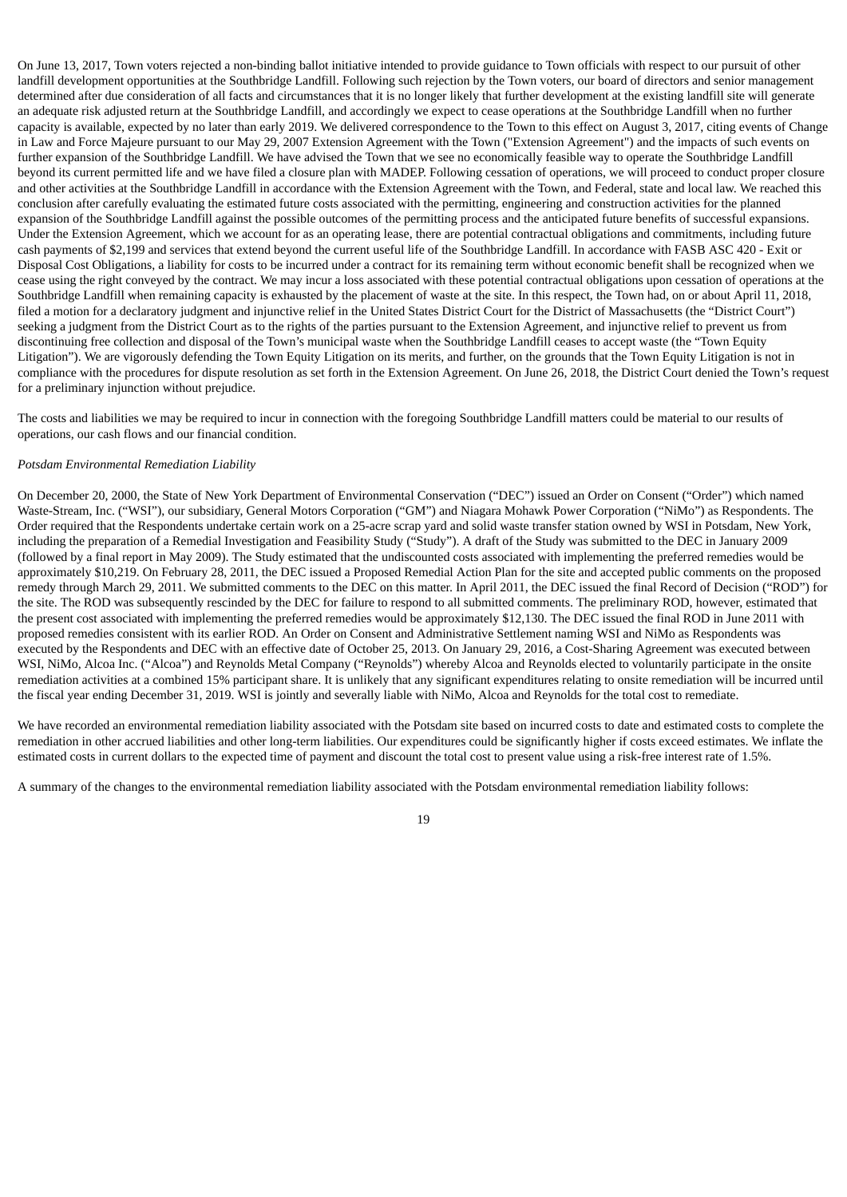On June 13, 2017, Town voters rejected a non-binding ballot initiative intended to provide guidance to Town officials with respect to our pursuit of other landfill development opportunities at the Southbridge Landfill. Following such rejection by the Town voters, our board of directors and senior management determined after due consideration of all facts and circumstances that it is no longer likely that further development at the existing landfill site will generate an adequate risk adjusted return at the Southbridge Landfill, and accordingly we expect to cease operations at the Southbridge Landfill when no further capacity is available, expected by no later than early 2019. We delivered correspondence to the Town to this effect on August 3, 2017, citing events of Change in Law and Force Majeure pursuant to our May 29, 2007 Extension Agreement with the Town ("Extension Agreement") and the impacts of such events on further expansion of the Southbridge Landfill. We have advised the Town that we see no economically feasible way to operate the Southbridge Landfill beyond its current permitted life and we have filed a closure plan with MADEP. Following cessation of operations, we will proceed to conduct proper closure and other activities at the Southbridge Landfill in accordance with the Extension Agreement with the Town, and Federal, state and local law. We reached this conclusion after carefully evaluating the estimated future costs associated with the permitting, engineering and construction activities for the planned expansion of the Southbridge Landfill against the possible outcomes of the permitting process and the anticipated future benefits of successful expansions. Under the Extension Agreement, which we account for as an operating lease, there are potential contractual obligations and commitments, including future cash payments of \$2,199 and services that extend beyond the current useful life of the Southbridge Landfill. In accordance with FASB ASC 420 - Exit or Disposal Cost Obligations, a liability for costs to be incurred under a contract for its remaining term without economic benefit shall be recognized when we cease using the right conveyed by the contract. We may incur a loss associated with these potential contractual obligations upon cessation of operations at the Southbridge Landfill when remaining capacity is exhausted by the placement of waste at the site. In this respect, the Town had, on or about April 11, 2018, filed a motion for a declaratory judgment and injunctive relief in the United States District Court for the District of Massachusetts (the "District Court") seeking a judgment from the District Court as to the rights of the parties pursuant to the Extension Agreement, and injunctive relief to prevent us from discontinuing free collection and disposal of the Town's municipal waste when the Southbridge Landfill ceases to accept waste (the "Town Equity Litigation"). We are vigorously defending the Town Equity Litigation on its merits, and further, on the grounds that the Town Equity Litigation is not in compliance with the procedures for dispute resolution as set forth in the Extension Agreement. On June 26, 2018, the District Court denied the Town's request for a preliminary injunction without prejudice.

The costs and liabilities we may be required to incur in connection with the foregoing Southbridge Landfill matters could be material to our results of operations, our cash flows and our financial condition.

## *Potsdam Environmental Remediation Liability*

On December 20, 2000, the State of New York Department of Environmental Conservation ("DEC") issued an Order on Consent ("Order") which named Waste-Stream, Inc. ("WSI"), our subsidiary, General Motors Corporation ("GM") and Niagara Mohawk Power Corporation ("NiMo") as Respondents. The Order required that the Respondents undertake certain work on a 25-acre scrap yard and solid waste transfer station owned by WSI in Potsdam, New York, including the preparation of a Remedial Investigation and Feasibility Study ("Study"). A draft of the Study was submitted to the DEC in January 2009 (followed by a final report in May 2009). The Study estimated that the undiscounted costs associated with implementing the preferred remedies would be approximately \$10,219. On February 28, 2011, the DEC issued a Proposed Remedial Action Plan for the site and accepted public comments on the proposed remedy through March 29, 2011. We submitted comments to the DEC on this matter. In April 2011, the DEC issued the final Record of Decision ("ROD") for the site. The ROD was subsequently rescinded by the DEC for failure to respond to all submitted comments. The preliminary ROD, however, estimated that the present cost associated with implementing the preferred remedies would be approximately \$12,130. The DEC issued the final ROD in June 2011 with proposed remedies consistent with its earlier ROD. An Order on Consent and Administrative Settlement naming WSI and NiMo as Respondents was executed by the Respondents and DEC with an effective date of October 25, 2013. On January 29, 2016, a Cost-Sharing Agreement was executed between WSI, NiMo, Alcoa Inc. ("Alcoa") and Reynolds Metal Company ("Reynolds") whereby Alcoa and Reynolds elected to voluntarily participate in the onsite remediation activities at a combined 15% participant share. It is unlikely that any significant expenditures relating to onsite remediation will be incurred until the fiscal year ending December 31, 2019. WSI is jointly and severally liable with NiMo, Alcoa and Reynolds for the total cost to remediate.

We have recorded an environmental remediation liability associated with the Potsdam site based on incurred costs to date and estimated costs to complete the remediation in other accrued liabilities and other long-term liabilities. Our expenditures could be significantly higher if costs exceed estimates. We inflate the estimated costs in current dollars to the expected time of payment and discount the total cost to present value using a risk-free interest rate of 1.5%.

A summary of the changes to the environmental remediation liability associated with the Potsdam environmental remediation liability follows: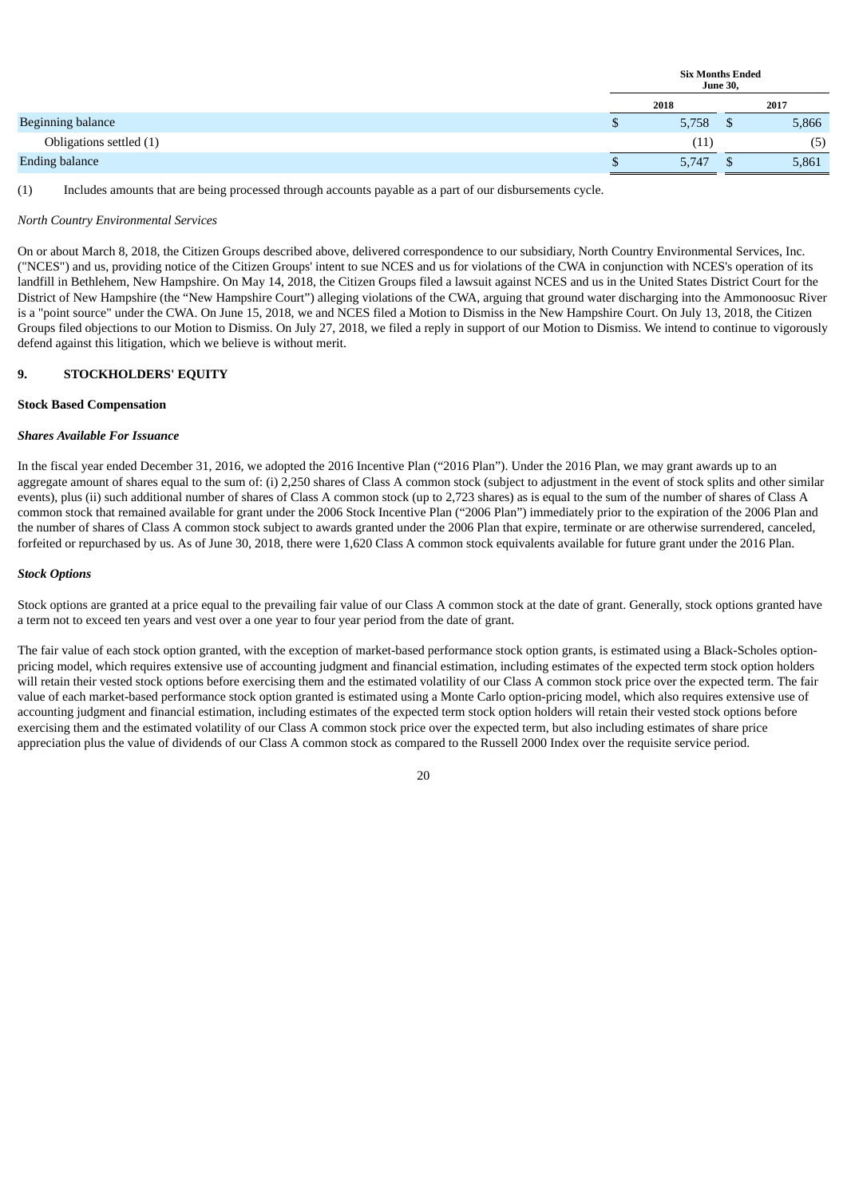|                          | <b>Six Months Ended</b> | <b>June 30,</b> |       |
|--------------------------|-------------------------|-----------------|-------|
|                          | 2018                    |                 | 2017  |
| <b>Beginning balance</b> | 5,758                   | ъ               | 5,866 |
| Obligations settled (1)  | (11)                    |                 | (5)   |
| <b>Ending balance</b>    | 5,747                   |                 | 5,861 |

(1) Includes amounts that are being processed through accounts payable as a part of our disbursements cycle.

#### *North Country Environmental Services*

On or about March 8, 2018, the Citizen Groups described above, delivered correspondence to our subsidiary, North Country Environmental Services, Inc. ("NCES") and us, providing notice of the Citizen Groups' intent to sue NCES and us for violations of the CWA in conjunction with NCES's operation of its landfill in Bethlehem, New Hampshire. On May 14, 2018, the Citizen Groups filed a lawsuit against NCES and us in the United States District Court for the District of New Hampshire (the "New Hampshire Court") alleging violations of the CWA, arguing that ground water discharging into the Ammonoosuc River is a "point source" under the CWA. On June 15, 2018, we and NCES filed a Motion to Dismiss in the New Hampshire Court. On July 13, 2018, the Citizen Groups filed objections to our Motion to Dismiss. On July 27, 2018, we filed a reply in support of our Motion to Dismiss. We intend to continue to vigorously defend against this litigation, which we believe is without merit.

## **9. STOCKHOLDERS' EQUITY**

#### **Stock Based Compensation**

#### *Shares Available For Issuance*

In the fiscal year ended December 31, 2016, we adopted the 2016 Incentive Plan ("2016 Plan"). Under the 2016 Plan, we may grant awards up to an aggregate amount of shares equal to the sum of: (i) 2,250 shares of Class A common stock (subject to adjustment in the event of stock splits and other similar events), plus (ii) such additional number of shares of Class A common stock (up to 2,723 shares) as is equal to the sum of the number of shares of Class A common stock that remained available for grant under the 2006 Stock Incentive Plan ("2006 Plan") immediately prior to the expiration of the 2006 Plan and the number of shares of Class A common stock subject to awards granted under the 2006 Plan that expire, terminate or are otherwise surrendered, canceled, forfeited or repurchased by us. As of June 30, 2018, there were 1,620 Class A common stock equivalents available for future grant under the 2016 Plan.

#### *Stock Options*

Stock options are granted at a price equal to the prevailing fair value of our Class A common stock at the date of grant. Generally, stock options granted have a term not to exceed ten years and vest over a one year to four year period from the date of grant.

The fair value of each stock option granted, with the exception of market-based performance stock option grants, is estimated using a Black-Scholes optionpricing model, which requires extensive use of accounting judgment and financial estimation, including estimates of the expected term stock option holders will retain their vested stock options before exercising them and the estimated volatility of our Class A common stock price over the expected term. The fair value of each market-based performance stock option granted is estimated using a Monte Carlo option-pricing model, which also requires extensive use of accounting judgment and financial estimation, including estimates of the expected term stock option holders will retain their vested stock options before exercising them and the estimated volatility of our Class A common stock price over the expected term, but also including estimates of share price appreciation plus the value of dividends of our Class A common stock as compared to the Russell 2000 Index over the requisite service period.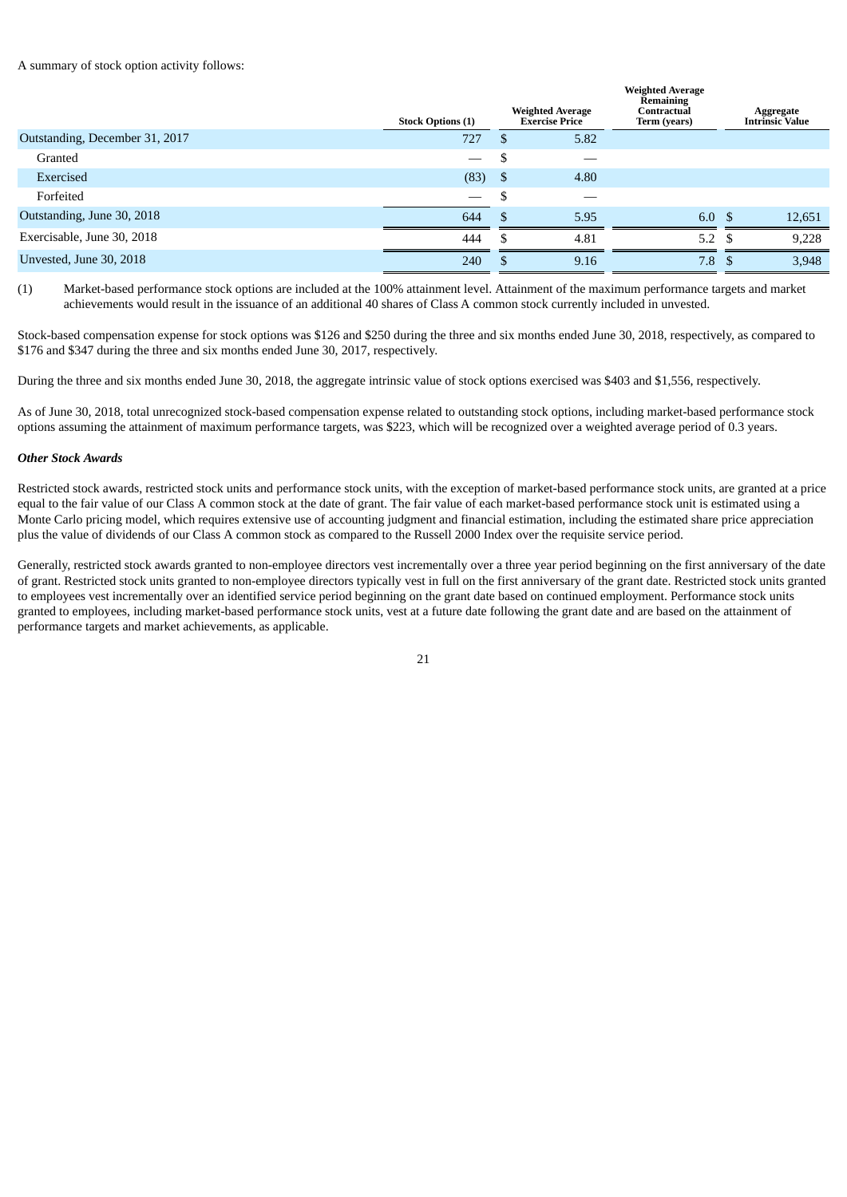A summary of stock option activity follows:

|                                | <b>Stock Options (1)</b> |      | <b>Weighted Average</b><br><b>Exercise Price</b> | <b>Weighted Average</b><br>Remaining<br>Contractual<br>Term (years) | Aggregate<br><b>Intrinsic Value</b> |
|--------------------------------|--------------------------|------|--------------------------------------------------|---------------------------------------------------------------------|-------------------------------------|
| Outstanding, December 31, 2017 | 727                      | S    | 5.82                                             |                                                                     |                                     |
| Granted                        |                          | - \$ |                                                  |                                                                     |                                     |
| Exercised                      | (83)                     | - \$ | 4.80                                             |                                                                     |                                     |
| Forfeited                      |                          | -S   |                                                  |                                                                     |                                     |
| Outstanding, June 30, 2018     | 644                      |      | 5.95                                             | 6.0 <sup>5</sup>                                                    | 12,651                              |
| Exercisable, June 30, 2018     | 444                      | S    | 4.81                                             | 5.2 $\sqrt{5}$                                                      | 9,228                               |
| Unvested, June 30, 2018        | 240                      | \$   | 9.16                                             | 7.8 <sup>5</sup>                                                    | 3,948                               |

(1) Market-based performance stock options are included at the 100% attainment level. Attainment of the maximum performance targets and market achievements would result in the issuance of an additional 40 shares of Class A common stock currently included in unvested.

Stock-based compensation expense for stock options was \$126 and \$250 during the three and six months ended June 30, 2018, respectively, as compared to \$176 and \$347 during the three and six months ended June 30, 2017, respectively.

During the three and six months ended June 30, 2018, the aggregate intrinsic value of stock options exercised was \$403 and \$1,556, respectively.

As of June 30, 2018, total unrecognized stock-based compensation expense related to outstanding stock options, including market-based performance stock options assuming the attainment of maximum performance targets, was \$223, which will be recognized over a weighted average period of 0.3 years.

## *Other Stock Awards*

Restricted stock awards, restricted stock units and performance stock units, with the exception of market-based performance stock units, are granted at a price equal to the fair value of our Class A common stock at the date of grant. The fair value of each market-based performance stock unit is estimated using a Monte Carlo pricing model, which requires extensive use of accounting judgment and financial estimation, including the estimated share price appreciation plus the value of dividends of our Class A common stock as compared to the Russell 2000 Index over the requisite service period.

Generally, restricted stock awards granted to non-employee directors vest incrementally over a three year period beginning on the first anniversary of the date of grant. Restricted stock units granted to non-employee directors typically vest in full on the first anniversary of the grant date. Restricted stock units granted to employees vest incrementally over an identified service period beginning on the grant date based on continued employment. Performance stock units granted to employees, including market-based performance stock units, vest at a future date following the grant date and are based on the attainment of performance targets and market achievements, as applicable.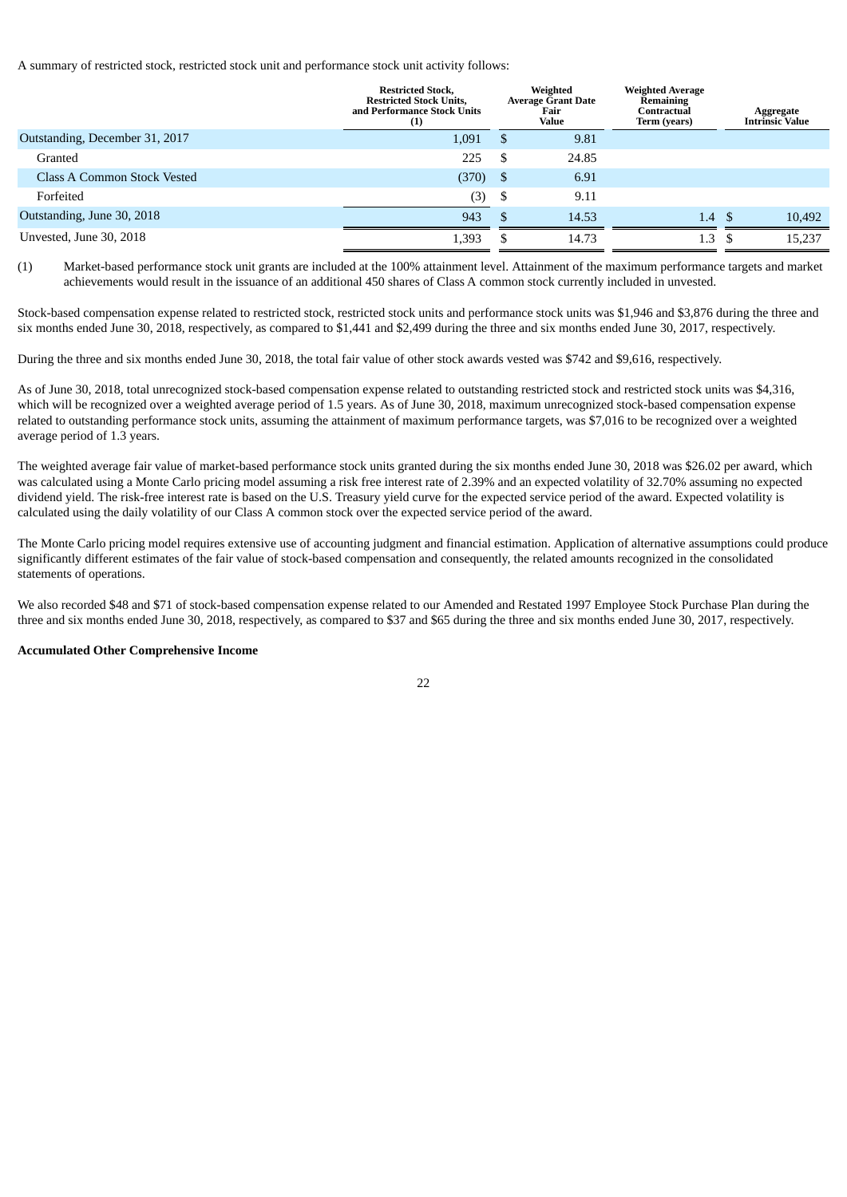A summary of restricted stock, restricted stock unit and performance stock unit activity follows:

|                                | <b>Restricted Stock,</b><br><b>Restricted Stock Units,</b><br>and Performance Stock Units<br>(1) |      | Weighted<br><b>Average Grant Date</b><br>Fair<br>Value | <b>Weighted Average</b><br>Remaining<br>Contractual<br>Term (years) |      | Aggregate<br><b>Intrinsic Value</b> |
|--------------------------------|--------------------------------------------------------------------------------------------------|------|--------------------------------------------------------|---------------------------------------------------------------------|------|-------------------------------------|
| Outstanding, December 31, 2017 | 1,091                                                                                            | -S   | 9.81                                                   |                                                                     |      |                                     |
| Granted                        | 225                                                                                              | -S   | 24.85                                                  |                                                                     |      |                                     |
| Class A Common Stock Vested    | (370)                                                                                            | - \$ | 6.91                                                   |                                                                     |      |                                     |
| Forfeited                      | (3)                                                                                              | - \$ | 9.11                                                   |                                                                     |      |                                     |
| Outstanding, June 30, 2018     | 943                                                                                              |      | 14.53                                                  | 1.4                                                                 | - \$ | 10,492                              |
| Unvested, June 30, 2018        | 1,393                                                                                            |      | 14.73                                                  | 1.3                                                                 |      | 15,237                              |

(1) Market-based performance stock unit grants are included at the 100% attainment level. Attainment of the maximum performance targets and market achievements would result in the issuance of an additional 450 shares of Class A common stock currently included in unvested.

Stock-based compensation expense related to restricted stock, restricted stock units and performance stock units was \$1,946 and \$3,876 during the three and six months ended June 30, 2018, respectively, as compared to \$1,441 and \$2,499 during the three and six months ended June 30, 2017, respectively.

During the three and six months ended June 30, 2018, the total fair value of other stock awards vested was \$742 and \$9,616, respectively.

As of June 30, 2018, total unrecognized stock-based compensation expense related to outstanding restricted stock and restricted stock units was \$4,316, which will be recognized over a weighted average period of 1.5 years. As of June 30, 2018, maximum unrecognized stock-based compensation expense related to outstanding performance stock units, assuming the attainment of maximum performance targets, was \$7,016 to be recognized over a weighted average period of 1.3 years.

The weighted average fair value of market-based performance stock units granted during the six months ended June 30, 2018 was \$26.02 per award, which was calculated using a Monte Carlo pricing model assuming a risk free interest rate of 2.39% and an expected volatility of 32.70% assuming no expected dividend yield. The risk-free interest rate is based on the U.S. Treasury yield curve for the expected service period of the award. Expected volatility is calculated using the daily volatility of our Class A common stock over the expected service period of the award.

The Monte Carlo pricing model requires extensive use of accounting judgment and financial estimation. Application of alternative assumptions could produce significantly different estimates of the fair value of stock-based compensation and consequently, the related amounts recognized in the consolidated statements of operations.

We also recorded \$48 and \$71 of stock-based compensation expense related to our Amended and Restated 1997 Employee Stock Purchase Plan during the three and six months ended June 30, 2018, respectively, as compared to \$37 and \$65 during the three and six months ended June 30, 2017, respectively.

## **Accumulated Other Comprehensive Income**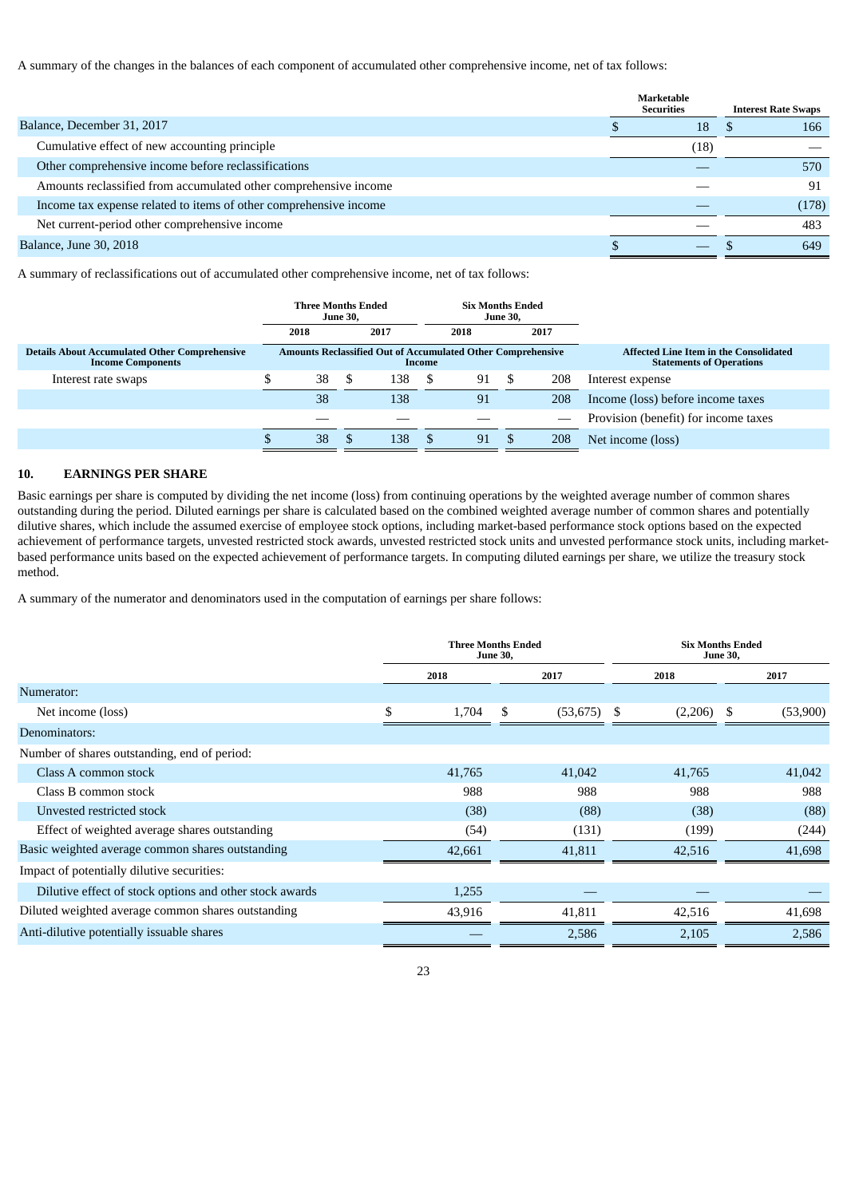A summary of the changes in the balances of each component of accumulated other comprehensive income, net of tax follows:

|                                                                   | <b>Marketable</b><br><b>Securities</b> |      | <b>Interest Rate Swaps</b> |       |
|-------------------------------------------------------------------|----------------------------------------|------|----------------------------|-------|
| Balance, December 31, 2017                                        |                                        | 18   |                            | 166   |
| Cumulative effect of new accounting principle                     |                                        | (18) |                            |       |
| Other comprehensive income before reclassifications               |                                        |      |                            | 570   |
| Amounts reclassified from accumulated other comprehensive income  |                                        |      |                            | 91    |
| Income tax expense related to items of other comprehensive income |                                        |      |                            | (178) |
| Net current-period other comprehensive income                     |                                        |      |                            | 483   |
| <b>Balance, June 30, 2018</b>                                     |                                        |      |                            | 649   |

A summary of reclassifications out of accumulated other comprehensive income, net of tax follows:

|                                                      | <b>Six Months Ended</b><br>Three Months Ended<br><b>June 30,</b><br><b>June 30,</b><br>2018<br>2017<br>2017<br>2018 |   |     |        |                                                                    |  |     |                                               |  |  |  |  |  |  |  |                                      |
|------------------------------------------------------|---------------------------------------------------------------------------------------------------------------------|---|-----|--------|--------------------------------------------------------------------|--|-----|-----------------------------------------------|--|--|--|--|--|--|--|--------------------------------------|
| <b>Details About Accumulated Other Comprehensive</b> |                                                                                                                     |   |     |        | <b>Amounts Reclassified Out of Accumulated Other Comprehensive</b> |  |     | <b>Affected Line Item in the Consolidated</b> |  |  |  |  |  |  |  |                                      |
| <b>Income Components</b>                             |                                                                                                                     |   |     | Income |                                                                    |  |     | <b>Statements of Operations</b>               |  |  |  |  |  |  |  |                                      |
| Interest rate swaps                                  | 38                                                                                                                  | S | 138 | -S     | 91                                                                 |  | 208 | Interest expense                              |  |  |  |  |  |  |  |                                      |
|                                                      | 38                                                                                                                  |   | 138 |        | 91                                                                 |  | 208 | Income (loss) before income taxes             |  |  |  |  |  |  |  |                                      |
|                                                      |                                                                                                                     |   |     |        |                                                                    |  |     |                                               |  |  |  |  |  |  |  | Provision (benefit) for income taxes |
|                                                      | 38                                                                                                                  |   | 138 |        | 91                                                                 |  | 208 | Net income (loss)                             |  |  |  |  |  |  |  |                                      |

# **10. EARNINGS PER SHARE**

Basic earnings per share is computed by dividing the net income (loss) from continuing operations by the weighted average number of common shares outstanding during the period. Diluted earnings per share is calculated based on the combined weighted average number of common shares and potentially dilutive shares, which include the assumed exercise of employee stock options, including market-based performance stock options based on the expected achievement of performance targets, unvested restricted stock awards, unvested restricted stock units and unvested performance stock units, including marketbased performance units based on the expected achievement of performance targets. In computing diluted earnings per share, we utilize the treasury stock method.

A summary of the numerator and denominators used in the computation of earnings per share follows:

|                                                         |             | <b>Three Months Ended</b><br><b>June 30,</b> |               | <b>Six Months Ended</b><br><b>June 30,</b> |
|---------------------------------------------------------|-------------|----------------------------------------------|---------------|--------------------------------------------|
|                                                         | 2018        | 2017                                         | 2018          | 2017                                       |
| Numerator:                                              |             |                                              |               |                                            |
| Net income (loss)                                       | \$<br>1,704 | \$.<br>(53, 675)                             | -S<br>(2,206) | - \$<br>(53,900)                           |
| Denominators:                                           |             |                                              |               |                                            |
| Number of shares outstanding, end of period:            |             |                                              |               |                                            |
| Class A common stock                                    | 41,765      | 41,042                                       | 41,765        | 41,042                                     |
| Class B common stock                                    | 988         | 988                                          | 988           | 988                                        |
| Unvested restricted stock                               | (38)        | (88)                                         | (38)          | (88)                                       |
| Effect of weighted average shares outstanding           | (54)        | (131)                                        | (199)         | (244)                                      |
| Basic weighted average common shares outstanding        | 42,661      | 41,811                                       | 42,516        | 41,698                                     |
| Impact of potentially dilutive securities:              |             |                                              |               |                                            |
| Dilutive effect of stock options and other stock awards | 1,255       |                                              |               |                                            |
| Diluted weighted average common shares outstanding      | 43,916      | 41,811                                       | 42,516        | 41,698                                     |
| Anti-dilutive potentially issuable shares               |             | 2,586                                        | 2,105         | 2,586                                      |
|                                                         |             |                                              |               |                                            |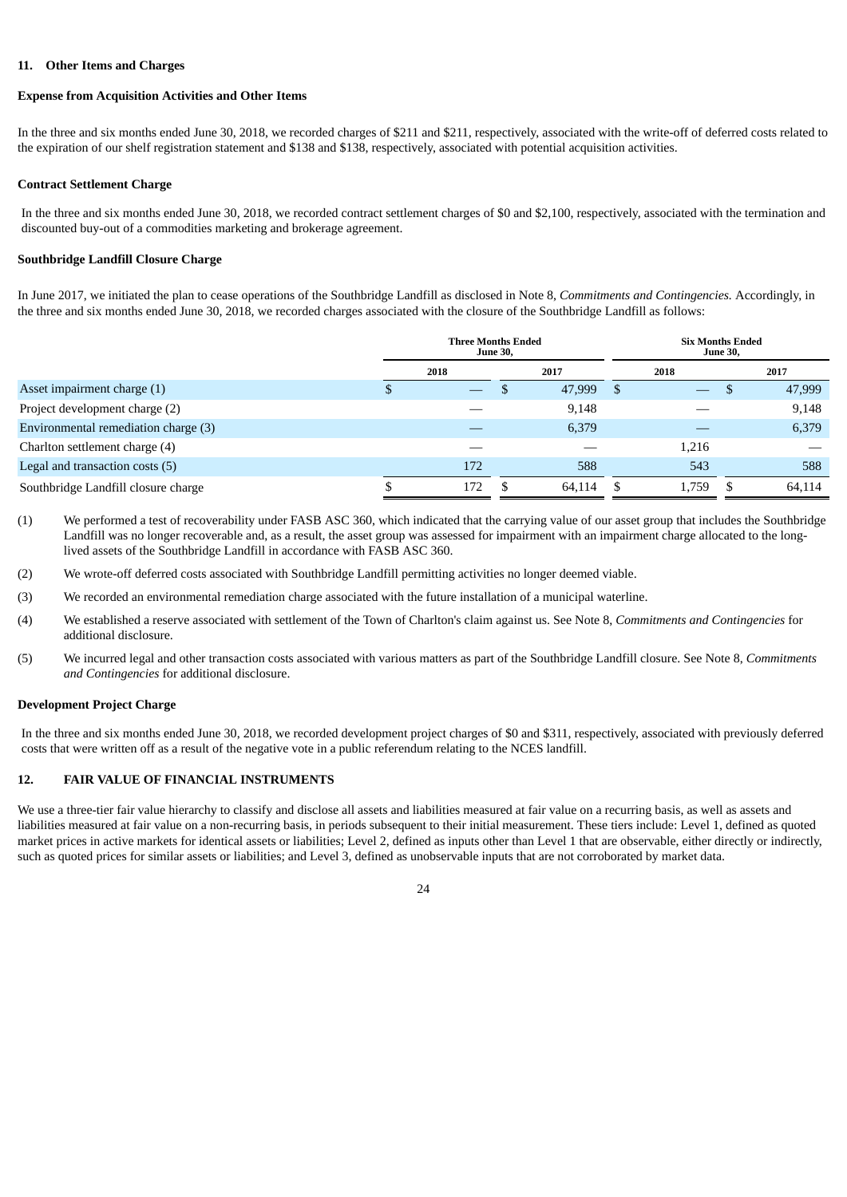## **11. Other Items and Charges**

## **Expense from Acquisition Activities and Other Items**

In the three and six months ended June 30, 2018, we recorded charges of \$211 and \$211, respectively, associated with the write-off of deferred costs related to the expiration of our shelf registration statement and \$138 and \$138, respectively, associated with potential acquisition activities.

#### **Contract Settlement Charge**

In the three and six months ended June 30, 2018, we recorded contract settlement charges of \$0 and \$2,100, respectively, associated with the termination and discounted buy-out of a commodities marketing and brokerage agreement.

## **Southbridge Landfill Closure Charge**

In June 2017, we initiated the plan to cease operations of the Southbridge Landfill as disclosed in Note 8, *Commitments and Contingencies.* Accordingly, in the three and six months ended June 30, 2018, we recorded charges associated with the closure of the Southbridge Landfill as follows:

|                                      | <b>Three Months Ended</b><br><b>June 30,</b> |                          |    |        |    | <b>Six Months Ended</b><br><b>June 30,</b> |     |        |  |
|--------------------------------------|----------------------------------------------|--------------------------|----|--------|----|--------------------------------------------|-----|--------|--|
|                                      |                                              | 2018                     |    | 2017   |    | 2018                                       |     | 2017   |  |
| Asset impairment charge (1)          |                                              | $\overline{\phantom{0}}$ | ۰D | 47,999 | -S | $\qquad \qquad \longleftarrow$             | D   | 47,999 |  |
| Project development charge (2)       |                                              |                          |    | 9,148  |    |                                            |     | 9,148  |  |
| Environmental remediation charge (3) |                                              |                          |    | 6,379  |    |                                            |     | 6,379  |  |
| Charlton settlement charge (4)       |                                              |                          |    |        |    | 1,216                                      |     |        |  |
| Legal and transaction costs (5)      |                                              | 172                      |    | 588    |    | 543                                        |     | 588    |  |
| Southbridge Landfill closure charge  |                                              | 172                      |    | 64,114 | .S | 1,759                                      | - 5 | 64,114 |  |

(1) We performed a test of recoverability under FASB ASC 360, which indicated that the carrying value of our asset group that includes the Southbridge Landfill was no longer recoverable and, as a result, the asset group was assessed for impairment with an impairment charge allocated to the longlived assets of the Southbridge Landfill in accordance with FASB ASC 360.

- (2) We wrote-off deferred costs associated with Southbridge Landfill permitting activities no longer deemed viable.
- (3) We recorded an environmental remediation charge associated with the future installation of a municipal waterline.
- (4) We established a reserve associated with settlement of the Town of Charlton's claim against us. See Note 8, *Commitments and Contingencies* for additional disclosure.
- (5) We incurred legal and other transaction costs associated with various matters as part of the Southbridge Landfill closure. See Note 8, *Commitments and Contingencies* for additional disclosure.

#### **Development Project Charge**

In the three and six months ended June 30, 2018, we recorded development project charges of \$0 and \$311, respectively, associated with previously deferred costs that were written off as a result of the negative vote in a public referendum relating to the NCES landfill.

## **12. FAIR VALUE OF FINANCIAL INSTRUMENTS**

We use a three-tier fair value hierarchy to classify and disclose all assets and liabilities measured at fair value on a recurring basis, as well as assets and liabilities measured at fair value on a non-recurring basis, in periods subsequent to their initial measurement. These tiers include: Level 1, defined as quoted market prices in active markets for identical assets or liabilities; Level 2, defined as inputs other than Level 1 that are observable, either directly or indirectly, such as quoted prices for similar assets or liabilities; and Level 3, defined as unobservable inputs that are not corroborated by market data.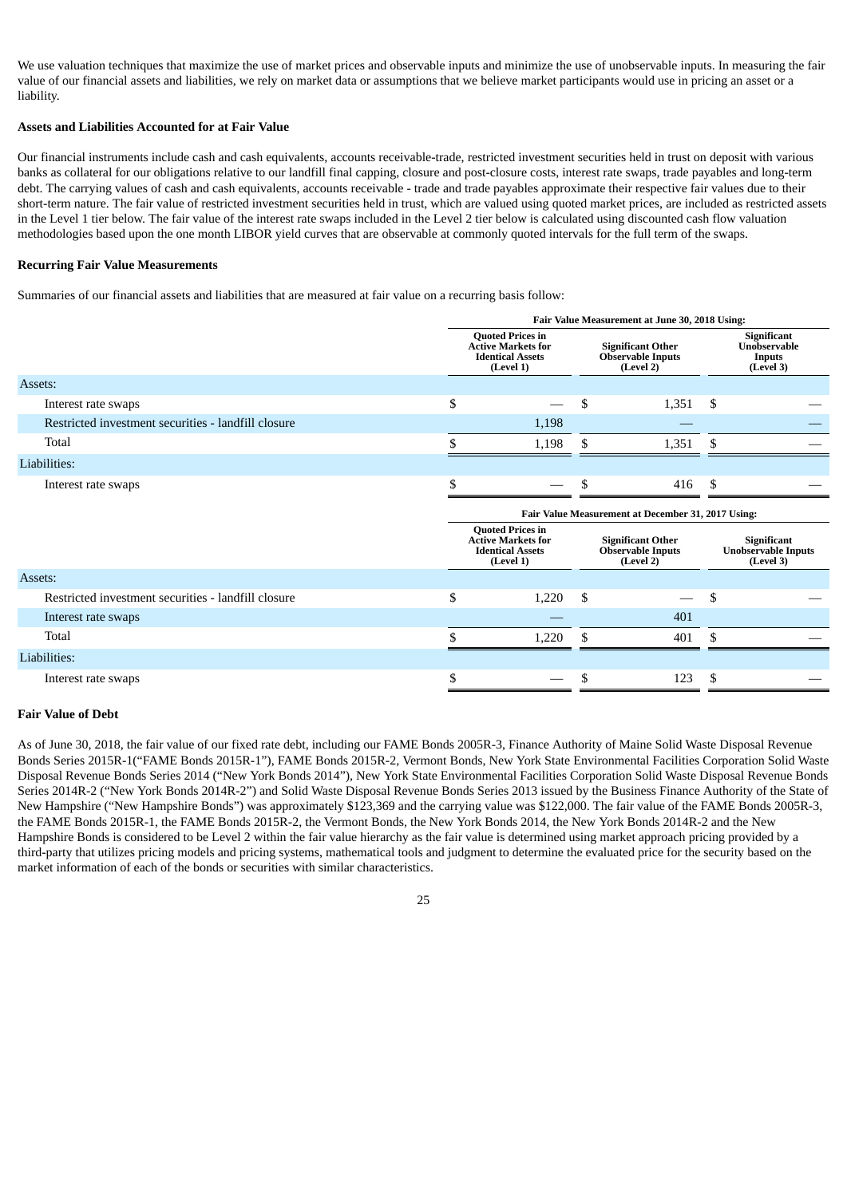We use valuation techniques that maximize the use of market prices and observable inputs and minimize the use of unobservable inputs. In measuring the fair value of our financial assets and liabilities, we rely on market data or assumptions that we believe market participants would use in pricing an asset or a liability.

## **Assets and Liabilities Accounted for at Fair Value**

Our financial instruments include cash and cash equivalents, accounts receivable-trade, restricted investment securities held in trust on deposit with various banks as collateral for our obligations relative to our landfill final capping, closure and post-closure costs, interest rate swaps, trade payables and long-term debt. The carrying values of cash and cash equivalents, accounts receivable - trade and trade payables approximate their respective fair values due to their short-term nature. The fair value of restricted investment securities held in trust, which are valued using quoted market prices, are included as restricted assets in the Level 1 tier below. The fair value of the interest rate swaps included in the Level 2 tier below is calculated using discounted cash flow valuation methodologies based upon the one month LIBOR yield curves that are observable at commonly quoted intervals for the full term of the swaps.

#### **Recurring Fair Value Measurements**

Summaries of our financial assets and liabilities that are measured at fair value on a recurring basis follow:

|                                                     | Fair Value Measurement at June 30, 2018 Using: |                                                                                              |    |                                                                   |    |                                                           |  |  |  |  |
|-----------------------------------------------------|------------------------------------------------|----------------------------------------------------------------------------------------------|----|-------------------------------------------------------------------|----|-----------------------------------------------------------|--|--|--|--|
|                                                     |                                                | <b>Quoted Prices in</b><br><b>Active Markets for</b><br><b>Identical Assets</b><br>(Level 1) |    | <b>Significant Other</b><br><b>Observable Inputs</b><br>(Level 2) |    | Significant<br>Unobservable<br><b>Inputs</b><br>(Level 3) |  |  |  |  |
| Assets:                                             |                                                |                                                                                              |    |                                                                   |    |                                                           |  |  |  |  |
| Interest rate swaps                                 | \$                                             |                                                                                              | \$ | 1,351                                                             | \$ |                                                           |  |  |  |  |
| Restricted investment securities - landfill closure |                                                | 1,198                                                                                        |    |                                                                   |    |                                                           |  |  |  |  |
| Total                                               |                                                | 1,198                                                                                        | \$ | 1,351                                                             | \$ |                                                           |  |  |  |  |
| Liabilities:                                        |                                                |                                                                                              |    |                                                                   |    |                                                           |  |  |  |  |
| Interest rate swaps                                 | \$                                             |                                                                                              | \$ | 416                                                               | \$ |                                                           |  |  |  |  |
|                                                     |                                                |                                                                                              |    |                                                                   |    |                                                           |  |  |  |  |
|                                                     |                                                |                                                                                              |    | Fair Value Measurement at December 31, 2017 Using:                |    |                                                           |  |  |  |  |
|                                                     |                                                | <b>Quoted Prices in</b><br><b>Active Markets for</b><br><b>Identical Assets</b><br>(Level 1) |    | <b>Significant Other</b><br><b>Observable Inputs</b><br>(Level 2) |    | Significant<br><b>Unobservable Inputs</b><br>(Level 3)    |  |  |  |  |
| Assets:                                             |                                                |                                                                                              |    |                                                                   |    |                                                           |  |  |  |  |
| Restricted investment securities - landfill closure | \$                                             | 1,220                                                                                        | \$ |                                                                   | \$ |                                                           |  |  |  |  |
| Interest rate swaps                                 |                                                |                                                                                              |    | 401                                                               |    |                                                           |  |  |  |  |
| Total                                               |                                                | 1,220                                                                                        | S  | 401                                                               | \$ |                                                           |  |  |  |  |
| Liabilities:                                        |                                                |                                                                                              |    |                                                                   |    |                                                           |  |  |  |  |
| Interest rate swaps                                 | \$                                             |                                                                                              | \$ | 123                                                               | \$ |                                                           |  |  |  |  |

## **Fair Value of Debt**

As of June 30, 2018, the fair value of our fixed rate debt, including our FAME Bonds 2005R-3, Finance Authority of Maine Solid Waste Disposal Revenue Bonds Series 2015R-1("FAME Bonds 2015R-1"), FAME Bonds 2015R-2, Vermont Bonds, New York State Environmental Facilities Corporation Solid Waste Disposal Revenue Bonds Series 2014 ("New York Bonds 2014"), New York State Environmental Facilities Corporation Solid Waste Disposal Revenue Bonds Series 2014R-2 ("New York Bonds 2014R-2") and Solid Waste Disposal Revenue Bonds Series 2013 issued by the Business Finance Authority of the State of New Hampshire ("New Hampshire Bonds") was approximately \$123,369 and the carrying value was \$122,000. The fair value of the FAME Bonds 2005R-3, the FAME Bonds 2015R-1, the FAME Bonds 2015R-2, the Vermont Bonds, the New York Bonds 2014, the New York Bonds 2014R-2 and the New Hampshire Bonds is considered to be Level 2 within the fair value hierarchy as the fair value is determined using market approach pricing provided by a third-party that utilizes pricing models and pricing systems, mathematical tools and judgment to determine the evaluated price for the security based on the market information of each of the bonds or securities with similar characteristics.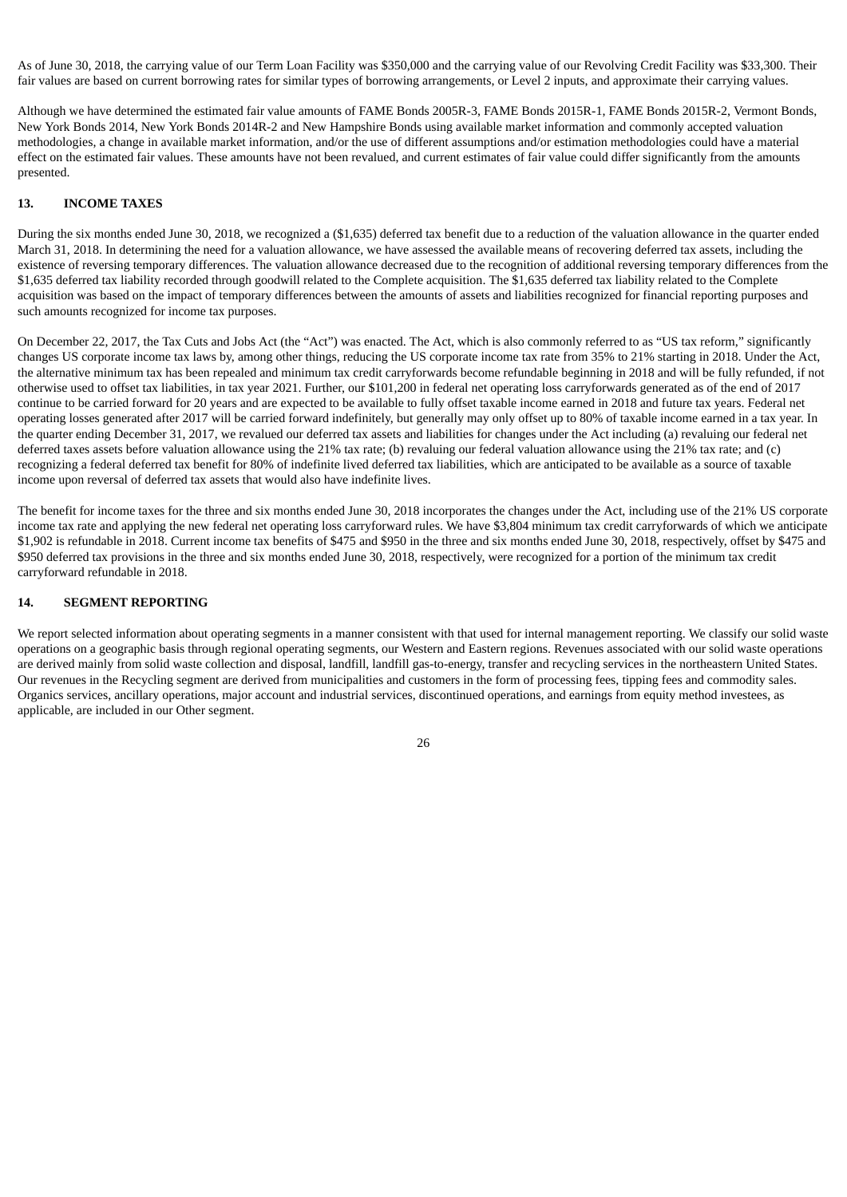As of June 30, 2018, the carrying value of our Term Loan Facility was \$350,000 and the carrying value of our Revolving Credit Facility was \$33,300. Their fair values are based on current borrowing rates for similar types of borrowing arrangements, or Level 2 inputs, and approximate their carrying values.

Although we have determined the estimated fair value amounts of FAME Bonds 2005R-3, FAME Bonds 2015R-1, FAME Bonds 2015R-2, Vermont Bonds, New York Bonds 2014, New York Bonds 2014R-2 and New Hampshire Bonds using available market information and commonly accepted valuation methodologies, a change in available market information, and/or the use of different assumptions and/or estimation methodologies could have a material effect on the estimated fair values. These amounts have not been revalued, and current estimates of fair value could differ significantly from the amounts presented.

## **13. INCOME TAXES**

During the six months ended June 30, 2018, we recognized a (\$1,635) deferred tax benefit due to a reduction of the valuation allowance in the quarter ended March 31, 2018. In determining the need for a valuation allowance, we have assessed the available means of recovering deferred tax assets, including the existence of reversing temporary differences. The valuation allowance decreased due to the recognition of additional reversing temporary differences from the \$1,635 deferred tax liability recorded through goodwill related to the Complete acquisition. The \$1,635 deferred tax liability related to the Complete acquisition was based on the impact of temporary differences between the amounts of assets and liabilities recognized for financial reporting purposes and such amounts recognized for income tax purposes.

On December 22, 2017, the Tax Cuts and Jobs Act (the "Act") was enacted. The Act, which is also commonly referred to as "US tax reform," significantly changes US corporate income tax laws by, among other things, reducing the US corporate income tax rate from 35% to 21% starting in 2018. Under the Act, the alternative minimum tax has been repealed and minimum tax credit carryforwards become refundable beginning in 2018 and will be fully refunded, if not otherwise used to offset tax liabilities, in tax year 2021. Further, our \$101,200 in federal net operating loss carryforwards generated as of the end of 2017 continue to be carried forward for 20 years and are expected to be available to fully offset taxable income earned in 2018 and future tax years. Federal net operating losses generated after 2017 will be carried forward indefinitely, but generally may only offset up to 80% of taxable income earned in a tax year. In the quarter ending December 31, 2017, we revalued our deferred tax assets and liabilities for changes under the Act including (a) revaluing our federal net deferred taxes assets before valuation allowance using the 21% tax rate; (b) revaluing our federal valuation allowance using the 21% tax rate; and (c) recognizing a federal deferred tax benefit for 80% of indefinite lived deferred tax liabilities, which are anticipated to be available as a source of taxable income upon reversal of deferred tax assets that would also have indefinite lives.

The benefit for income taxes for the three and six months ended June 30, 2018 incorporates the changes under the Act, including use of the 21% US corporate income tax rate and applying the new federal net operating loss carryforward rules. We have \$3,804 minimum tax credit carryforwards of which we anticipate \$1,902 is refundable in 2018. Current income tax benefits of \$475 and \$950 in the three and six months ended June 30, 2018, respectively, offset by \$475 and \$950 deferred tax provisions in the three and six months ended June 30, 2018, respectively, were recognized for a portion of the minimum tax credit carryforward refundable in 2018.

## **14. SEGMENT REPORTING**

We report selected information about operating segments in a manner consistent with that used for internal management reporting. We classify our solid waste operations on a geographic basis through regional operating segments, our Western and Eastern regions. Revenues associated with our solid waste operations are derived mainly from solid waste collection and disposal, landfill, landfill gas-to-energy, transfer and recycling services in the northeastern United States. Our revenues in the Recycling segment are derived from municipalities and customers in the form of processing fees, tipping fees and commodity sales. Organics services, ancillary operations, major account and industrial services, discontinued operations, and earnings from equity method investees, as applicable, are included in our Other segment.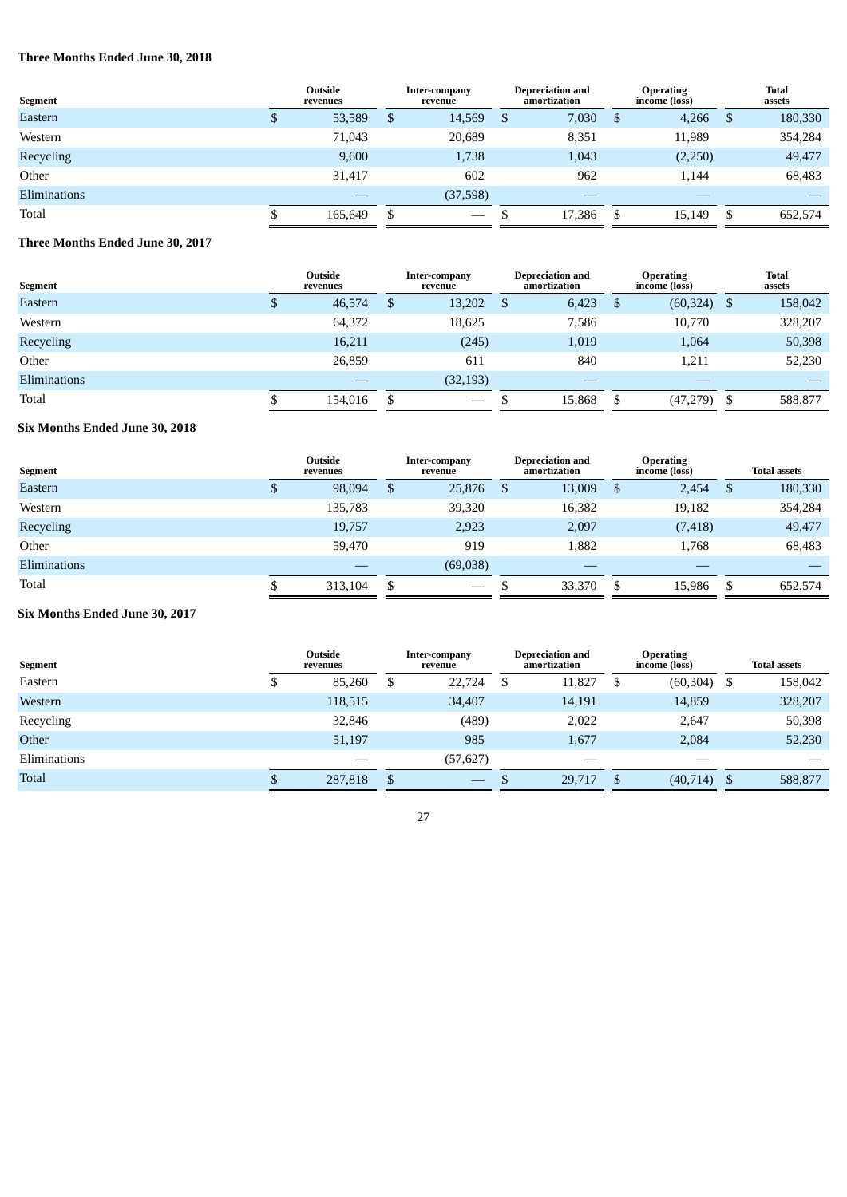# **Three Months Ended June 30, 2018**

| Segment      |   | Outside<br>revenues |    | Inter-company<br>revenue        |  | <b>Depreciation and</b><br>amortization |    | <b>Operating</b><br>income (loss) | <b>Total</b><br>assets |         |
|--------------|---|---------------------|----|---------------------------------|--|-----------------------------------------|----|-----------------------------------|------------------------|---------|
| Eastern      | ۰ | 53,589              | \$ | 14,569                          |  | 7,030                                   | \$ | 4,266                             | -\$                    | 180,330 |
| Western      |   | 71,043              |    | 20,689                          |  | 8,351                                   |    | 11,989                            |                        | 354,284 |
| Recycling    |   | 9,600               |    | 1,738                           |  | 1,043                                   |    | (2,250)                           |                        | 49,477  |
| Other        |   | 31,417              |    | 602                             |  | 962                                     |    | 1,144                             |                        | 68,483  |
| Eliminations |   |                     |    | (37,598)                        |  | __                                      |    | __                                |                        |         |
| Total        |   | 165,649             | S. | $\hspace{0.1mm}-\hspace{0.1mm}$ |  | 17,386                                  | S  | 15,149                            | -S                     | 652,574 |

# **Three Months Ended June 30, 2017**

| Segment             | Outside<br>revenues |     | Inter-company<br>revenue | <b>Depreciation and</b><br>amortization | <b>Operating</b><br>income (loss) |      | <b>Total</b><br>assets |
|---------------------|---------------------|-----|--------------------------|-----------------------------------------|-----------------------------------|------|------------------------|
| Eastern             | 46,574              | \$. | 13,202                   | 6,423                                   | \$<br>(60, 324)                   | - \$ | 158,042                |
| Western             | 64,372              |     | 18,625                   | 7,586                                   | 10,770                            |      | 328,207                |
| Recycling           | 16,211              |     | (245)                    | 1,019                                   | 1,064                             |      | 50,398                 |
| Other               | 26,859              |     | 611                      | 840                                     | 1,211                             |      | 52,230                 |
| <b>Eliminations</b> |                     |     | (32, 193)                |                                         |                                   |      |                        |
| Total               | 154.016             | -S  | $\overline{\phantom{a}}$ | 15,868                                  | (47, 279)                         | - \$ | 588,877                |

# **Six Months Ended June 30, 2018**

| Segment             |     | Outside<br>revenues |              | Inter-company<br>revenue        |    | <b>Depreciation and</b><br>amortization |   | <b>Operating</b><br>income (loss) |     | <b>Total assets</b> |
|---------------------|-----|---------------------|--------------|---------------------------------|----|-----------------------------------------|---|-----------------------------------|-----|---------------------|
| Eastern             | ۰Ļ. | 98,094              | $\mathbf{S}$ | 25,876                          | -S | 13,009                                  | S | 2,454                             | -\$ | 180,330             |
| Western             |     | 135,783             |              | 39,320                          |    | 16,382                                  |   | 19,182                            |     | 354,284             |
| Recycling           |     | 19,757              |              | 2,923                           |    | 2,097                                   |   | (7, 418)                          |     | 49,477              |
| Other               |     | 59,470              |              | 919                             |    | 1,882                                   |   | 1,768                             |     | 68,483              |
| <b>Eliminations</b> |     |                     |              | (69,038)                        |    | –                                       |   |                                   |     |                     |
| Total               |     | 313,104             | S            | $\hspace{0.1mm}-\hspace{0.1mm}$ |    | 33,370                                  | S | 15,986                            | \$  | 652,574             |

# **Six Months Ended June 30, 2017**

| Segment      |    | <b>Outside</b><br>revenues | Inter-company<br>revenue              | <b>Depreciation and</b><br>amortization |   | <b>Operating</b><br>income (loss) | <b>Total assets</b> |
|--------------|----|----------------------------|---------------------------------------|-----------------------------------------|---|-----------------------------------|---------------------|
| Eastern      | ۰υ | 85,260                     | \$<br>22,724                          | 11,827                                  | S | (60, 304)                         | 158,042             |
| Western      |    | 118,515                    | 34,407                                | 14,191                                  |   | 14,859                            | 328,207             |
| Recycling    |    | 32,846                     | (489)                                 | 2,022                                   |   | 2,647                             | 50,398              |
| Other        |    | 51,197                     | 985                                   | 1,677                                   |   | 2,084                             | 52,230              |
| Eliminations |    |                            | (57, 627)                             |                                         |   | __                                |                     |
| <b>Total</b> | D  | 287,818                    | \$<br>$\hspace{0.1mm}-\hspace{0.1mm}$ | 29,717                                  | S | $(40,714)$ \$                     | 588,877             |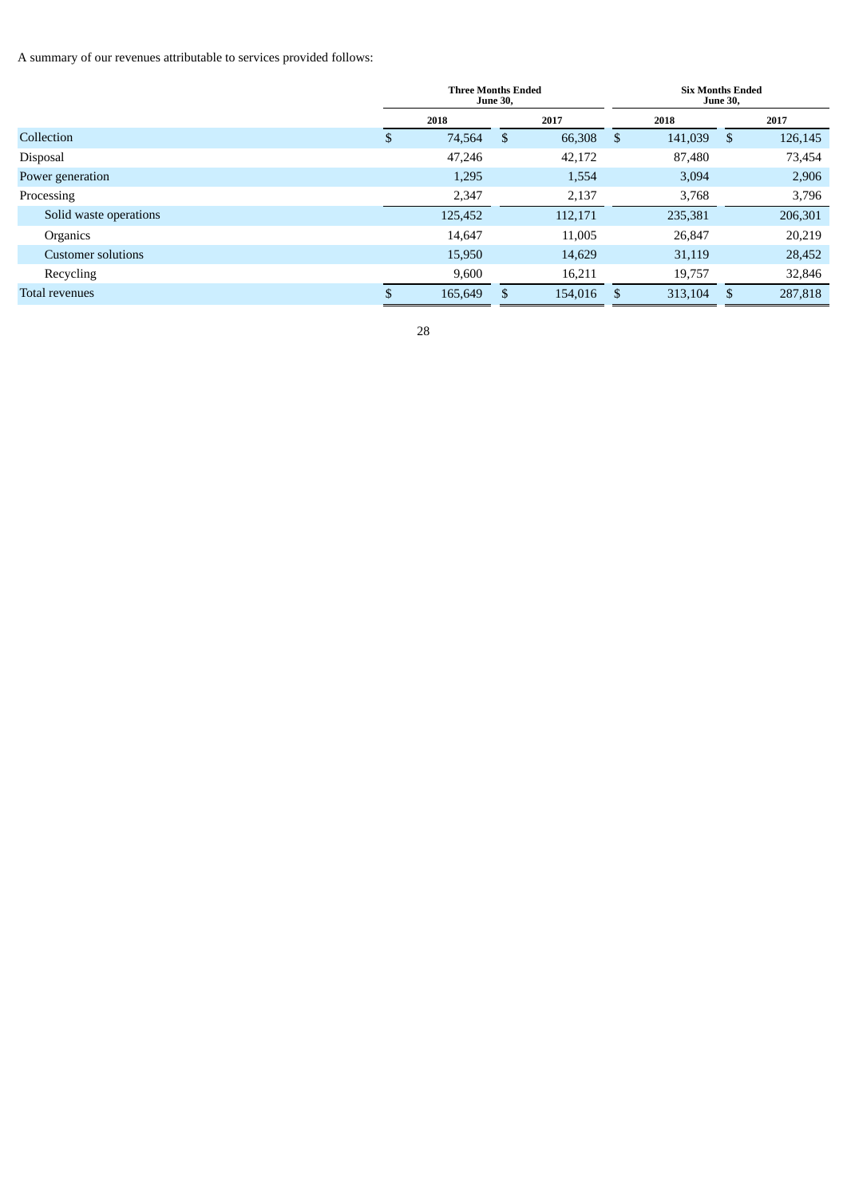A summary of our revenues attributable to services provided follows:

|                           |     | <b>Three Months Ended</b> | <b>June 30,</b> |         |               | <b>Six Months Ended</b> | <b>June 30,</b> |         |
|---------------------------|-----|---------------------------|-----------------|---------|---------------|-------------------------|-----------------|---------|
|                           |     | 2018                      |                 | 2017    |               | 2018                    |                 | 2017    |
| Collection                | \$  | 74,564                    | \$              | 66,308  | <sup>\$</sup> | 141,039                 | - \$            | 126,145 |
| Disposal                  |     | 47.246                    |                 | 42,172  |               | 87,480                  |                 | 73,454  |
| Power generation          |     | 1,295                     |                 | 1,554   |               | 3,094                   |                 | 2,906   |
| Processing                |     | 2,347                     |                 | 2,137   |               | 3,768                   |                 | 3,796   |
| Solid waste operations    |     | 125,452                   |                 | 112,171 |               | 235,381                 |                 | 206,301 |
| Organics                  |     | 14,647                    |                 | 11,005  |               | 26,847                  |                 | 20,219  |
| <b>Customer solutions</b> |     | 15,950                    |                 | 14,629  |               | 31,119                  |                 | 28,452  |
| Recycling                 |     | 9,600                     |                 | 16,211  |               | 19,757                  |                 | 32,846  |
| Total revenues            | \$. | 165,649                   |                 | 154,016 | \$.           | 313,104                 | -S              | 287,818 |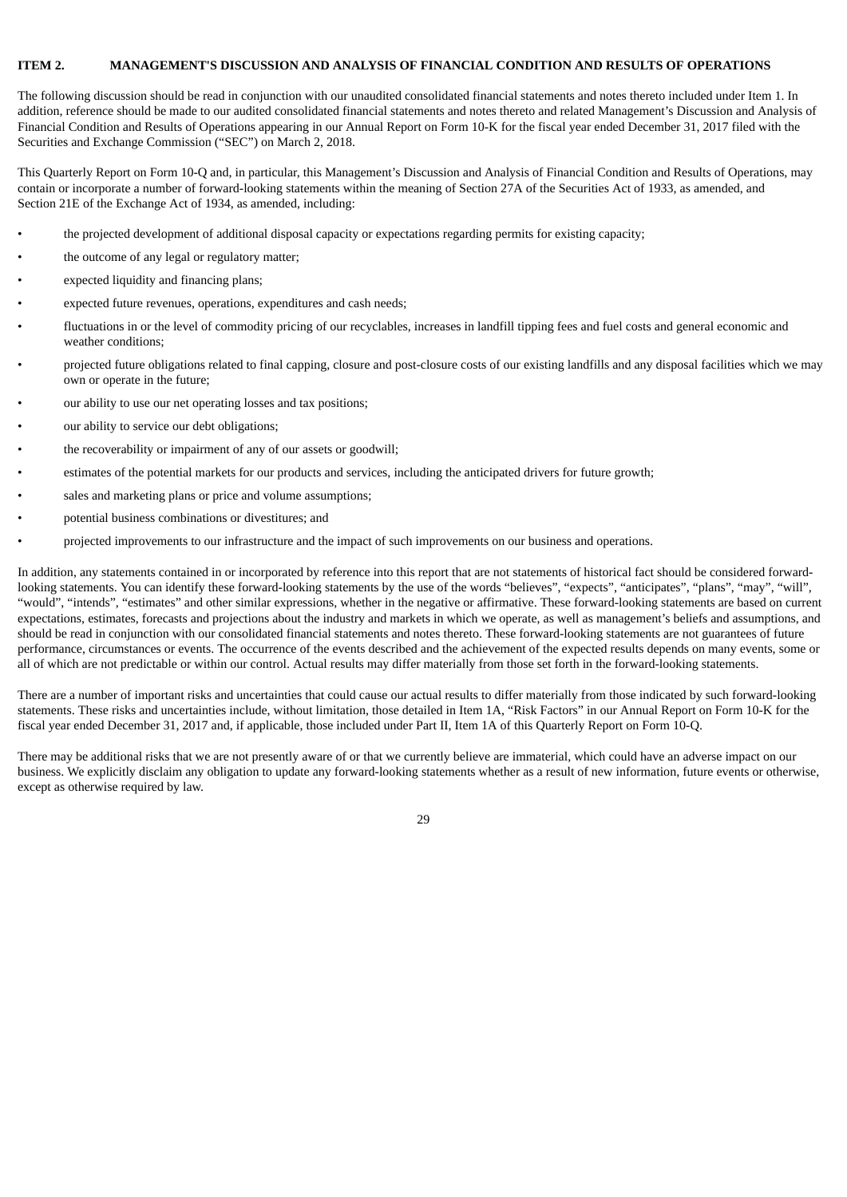### **ITEM 2. MANAGEMENT'S DISCUSSION AND ANALYSIS OF FINANCIAL CONDITION AND RESULTS OF OPERATIONS**

The following discussion should be read in conjunction with our unaudited consolidated financial statements and notes thereto included under Item 1. In addition, reference should be made to our audited consolidated financial statements and notes thereto and related Management's Discussion and Analysis of Financial Condition and Results of Operations appearing in our Annual Report on Form 10-K for the fiscal year ended December 31, 2017 filed with the Securities and Exchange Commission ("SEC") on March 2, 2018.

This Quarterly Report on Form 10-Q and, in particular, this Management's Discussion and Analysis of Financial Condition and Results of Operations, may contain or incorporate a number of forward-looking statements within the meaning of Section 27A of the Securities Act of 1933, as amended, and Section 21E of the Exchange Act of 1934, as amended, including:

- the projected development of additional disposal capacity or expectations regarding permits for existing capacity;
- the outcome of any legal or regulatory matter;
- expected liquidity and financing plans;
- expected future revenues, operations, expenditures and cash needs;
- fluctuations in or the level of commodity pricing of our recyclables, increases in landfill tipping fees and fuel costs and general economic and weather conditions;
- projected future obligations related to final capping, closure and post-closure costs of our existing landfills and any disposal facilities which we may own or operate in the future;
- our ability to use our net operating losses and tax positions;
- our ability to service our debt obligations;
- the recoverability or impairment of any of our assets or goodwill;
- estimates of the potential markets for our products and services, including the anticipated drivers for future growth;
- sales and marketing plans or price and volume assumptions;
- potential business combinations or divestitures; and
- projected improvements to our infrastructure and the impact of such improvements on our business and operations.

In addition, any statements contained in or incorporated by reference into this report that are not statements of historical fact should be considered forwardlooking statements. You can identify these forward-looking statements by the use of the words "believes", "expects", "anticipates", "plans", "may", "will", "would", "intends", "estimates" and other similar expressions, whether in the negative or affirmative. These forward-looking statements are based on current expectations, estimates, forecasts and projections about the industry and markets in which we operate, as well as management's beliefs and assumptions, and should be read in conjunction with our consolidated financial statements and notes thereto. These forward-looking statements are not guarantees of future performance, circumstances or events. The occurrence of the events described and the achievement of the expected results depends on many events, some or all of which are not predictable or within our control. Actual results may differ materially from those set forth in the forward-looking statements.

There are a number of important risks and uncertainties that could cause our actual results to differ materially from those indicated by such forward-looking statements. These risks and uncertainties include, without limitation, those detailed in Item 1A, "Risk Factors" in our Annual Report on Form 10-K for the fiscal year ended December 31, 2017 and, if applicable, those included under Part II, Item 1A of this Quarterly Report on Form 10-Q.

There may be additional risks that we are not presently aware of or that we currently believe are immaterial, which could have an adverse impact on our business. We explicitly disclaim any obligation to update any forward-looking statements whether as a result of new information, future events or otherwise, except as otherwise required by law.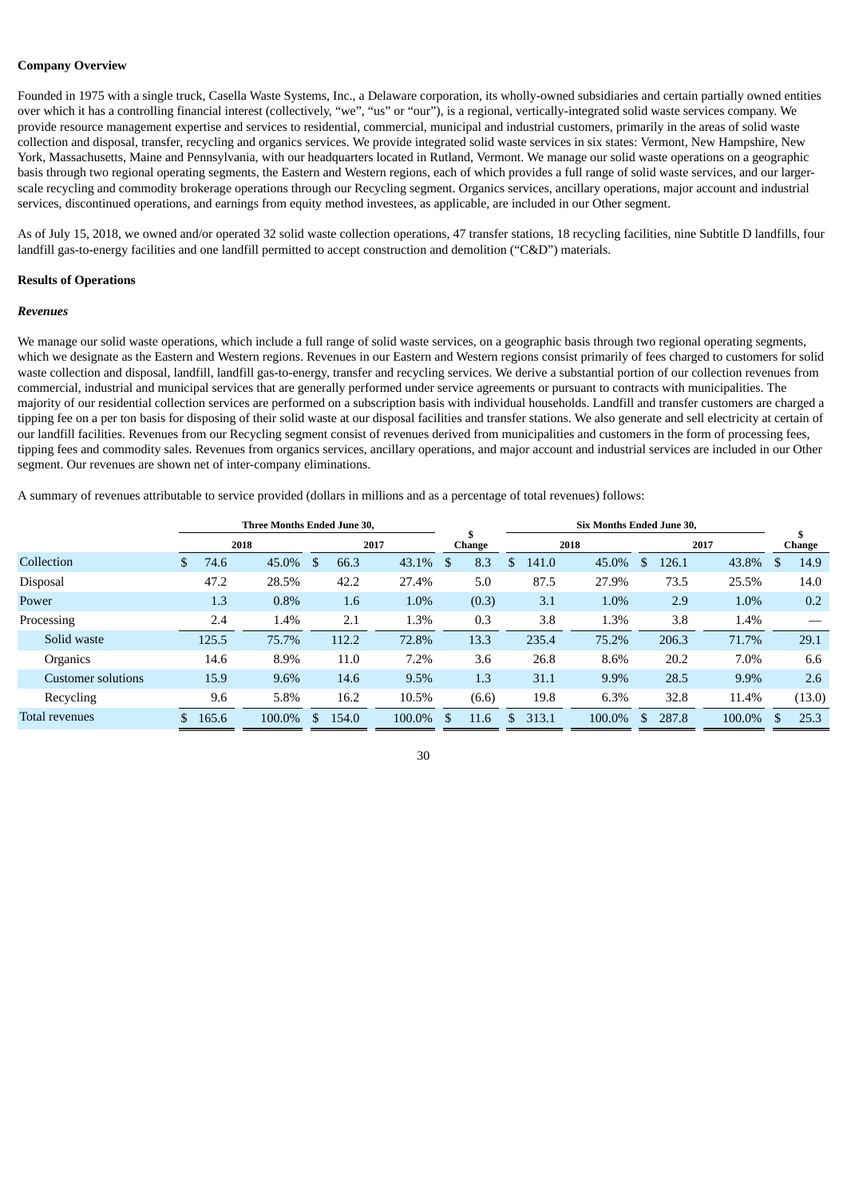### **Company Overview**

Founded in 1975 with a single truck, Casella Waste Systems, Inc., a Delaware corporation, its wholly-owned subsidiaries and certain partially owned entities over which it has a controlling financial interest (collectively, "we", "us" or "our"), is a regional, vertically-integrated solid waste services company. We provide resource management expertise and services to residential, commercial, municipal and industrial customers, primarily in the areas of solid waste collection and disposal, transfer, recycling and organics services. We provide integrated solid waste services in six states: Vermont, New Hampshire, New York, Massachusetts, Maine and Pennsylvania, with our headquarters located in Rutland, Vermont. We manage our solid waste operations on a geographic basis through two regional operating segments, the Eastern and Western regions, each of which provides a full range of solid waste services, and our largerscale recycling and commodity brokerage operations through our Recycling segment. Organics services, ancillary operations, major account and industrial services, discontinued operations, and earnings from equity method investees, as applicable, are included in our Other segment.

As of July 15, 2018, we owned and/or operated 32 solid waste collection operations, 47 transfer stations, 18 recycling facilities, nine Subtitle D landfills, four landfill gas-to-energy facilities and one landfill permitted to accept construction and demolition ("C&D") materials.

### **Results of Operations**

#### *Revenues*

We manage our solid waste operations, which include a full range of solid waste services, on a geographic basis through two regional operating segments, which we designate as the Eastern and Western regions. Revenues in our Eastern and Western regions consist primarily of fees charged to customers for solid waste collection and disposal, landfill, landfill gas-to-energy, transfer and recycling services. We derive a substantial portion of our collection revenues from commercial, industrial and municipal services that are generally performed under service agreements or pursuant to contracts with municipalities. The majority of our residential collection services are performed on a subscription basis with individual households. Landfill and transfer customers are charged a tipping fee on a per ton basis for disposing of their solid waste at our disposal facilities and transfer stations. We also generate and sell electricity at certain of our landfill facilities. Revenues from our Recycling segment consist of revenues derived from municipalities and customers in the form of processing fees, tipping fees and commodity sales. Revenues from organics services, ancillary operations, and major account and industrial services are included in our Other segment. Our revenues are shown net of inter-company eliminations.

A summary of revenues attributable to service provided (dollars in millions and as a percentage of total revenues) follows:

|                           | <b>Three Months Ended June 30.</b> |       |      |        |               |       |      |        |               |        |     | <b>Six Months Ended June 30.</b> |      |        |     |       |      |        |     |        |
|---------------------------|------------------------------------|-------|------|--------|---------------|-------|------|--------|---------------|--------|-----|----------------------------------|------|--------|-----|-------|------|--------|-----|--------|
|                           |                                    |       | 2018 |        |               |       | 2017 |        |               | Change |     |                                  | 2018 |        |     |       | 2017 |        |     | Change |
| Collection                | \$                                 | 74.6  |      | 45.0%  | <sup>\$</sup> | 66.3  |      | 43.1%  | <sup>\$</sup> | 8.3    | \$. | 141.0                            |      | 45.0%  | \$. | 126.1 |      | 43.8%  |     | 14.9   |
| <b>Disposal</b>           |                                    | 47.2  |      | 28.5%  |               | 42.2  |      | 27.4%  |               | 5.0    |     | 87.5                             |      | 27.9%  |     | 73.5  |      | 25.5%  |     | 14.0   |
| Power                     |                                    | 1.3   |      | 0.8%   |               | 1.6   |      | 1.0%   |               | (0.3)  |     | 3.1                              |      | 1.0%   |     | 2.9   |      | 1.0%   |     | 0.2    |
| Processing                |                                    | 2.4   |      | 1.4%   |               | 2.1   |      | 1.3%   |               | 0.3    |     | 3.8                              |      | 1.3%   |     | 3.8   |      | 1.4%   |     |        |
| Solid waste               |                                    | 125.5 |      | 75.7%  |               | 112.2 |      | 72.8%  |               | 13.3   |     | 235.4                            |      | 75.2%  |     | 206.3 |      | 71.7%  |     | 29.1   |
| Organics                  |                                    | 14.6  |      | 8.9%   |               | 11.0  |      | 7.2%   |               | 3.6    |     | 26.8                             |      | 8.6%   |     | 20.2  |      | 7.0%   |     | 6.6    |
| <b>Customer solutions</b> |                                    | 15.9  |      | 9.6%   |               | 14.6  |      | 9.5%   |               | 1.3    |     | 31.1                             |      | 9.9%   |     | 28.5  |      | 9.9%   |     | 2.6    |
| Recycling                 |                                    | 9.6   |      | 5.8%   |               | 16.2  |      | 10.5%  |               | (6.6)  |     | 19.8                             |      | 6.3%   |     | 32.8  |      | 11.4%  |     | (13.0) |
| Total revenues            | \$.                                | 165.6 |      | 100.0% | S             | 154.0 |      | 100.0% | <sup>\$</sup> | 11.6   |     | 313.1                            |      | 100.0% | \$. | 287.8 |      | 100.0% | \$. | 25.3   |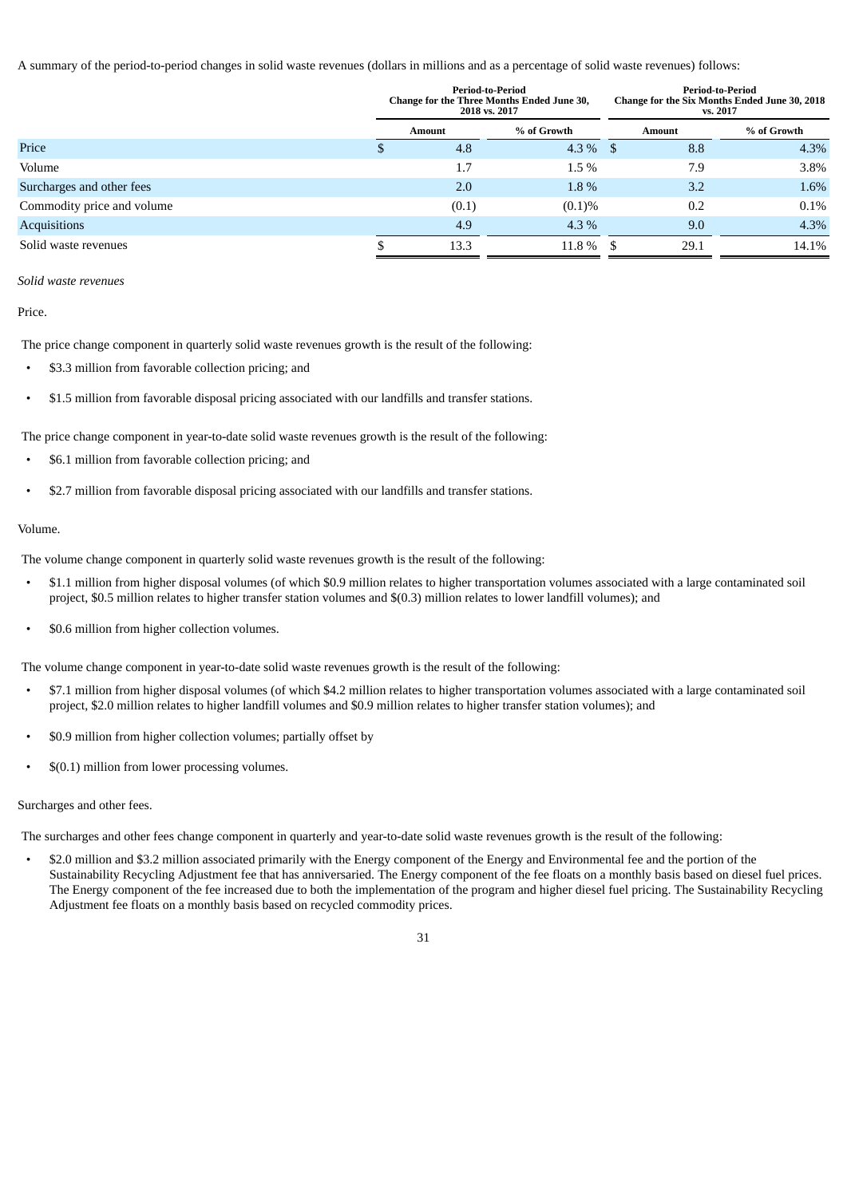A summary of the period-to-period changes in solid waste revenues (dollars in millions and as a percentage of solid waste revenues) follows:

|                            |   |        | <b>Period-to-Period</b><br>Change for the Three Months Ended June 30,<br>2018 vs. 2017 |               | <b>Period-to-Period</b><br>Change for the Six Months Ended June 30, 2018<br>vs. 2017 |
|----------------------------|---|--------|----------------------------------------------------------------------------------------|---------------|--------------------------------------------------------------------------------------|
|                            |   | Amount | % of Growth                                                                            | <b>Amount</b> | % of Growth                                                                          |
| Price                      | Φ | 4.8    | $4.3\%$ \$                                                                             | 8.8           | 4.3%                                                                                 |
| Volume                     |   | 1.7    | 1.5%                                                                                   | 7.9           | 3.8%                                                                                 |
| Surcharges and other fees  |   | 2.0    | 1.8%                                                                                   | 3.2           | 1.6%                                                                                 |
| Commodity price and volume |   | (0.1)  | (0.1)%                                                                                 | 0.2           | 0.1%                                                                                 |
| <b>Acquisitions</b>        |   | 4.9    | $4.3\%$                                                                                | 9.0           | 4.3%                                                                                 |
| Solid waste revenues       |   | 13.3   | $11.8\%$ \$                                                                            | 29.1          | 14.1%                                                                                |

#### *Solid waste revenues*

Price.

The price change component in quarterly solid waste revenues growth is the result of the following:

- \$3.3 million from favorable collection pricing; and
- \$1.5 million from favorable disposal pricing associated with our landfills and transfer stations.

The price change component in year-to-date solid waste revenues growth is the result of the following:

- \$6.1 million from favorable collection pricing; and
- \$2.7 million from favorable disposal pricing associated with our landfills and transfer stations.

## Volume.

The volume change component in quarterly solid waste revenues growth is the result of the following:

- \$1.1 million from higher disposal volumes (of which \$0.9 million relates to higher transportation volumes associated with a large contaminated soil project, \$0.5 million relates to higher transfer station volumes and \$(0.3) million relates to lower landfill volumes); and
- \$0.6 million from higher collection volumes.

The volume change component in year-to-date solid waste revenues growth is the result of the following:

- \$7.1 million from higher disposal volumes (of which \$4.2 million relates to higher transportation volumes associated with a large contaminated soil project, \$2.0 million relates to higher landfill volumes and \$0.9 million relates to higher transfer station volumes); and
- \$0.9 million from higher collection volumes; partially offset by
- \$(0.1) million from lower processing volumes.

## Surcharges and other fees.

The surcharges and other fees change component in quarterly and year-to-date solid waste revenues growth is the result of the following:

• \$2.0 million and \$3.2 million associated primarily with the Energy component of the Energy and Environmental fee and the portion of the Sustainability Recycling Adjustment fee that has anniversaried. The Energy component of the fee floats on a monthly basis based on diesel fuel prices. The Energy component of the fee increased due to both the implementation of the program and higher diesel fuel pricing. The Sustainability Recycling Adjustment fee floats on a monthly basis based on recycled commodity prices.

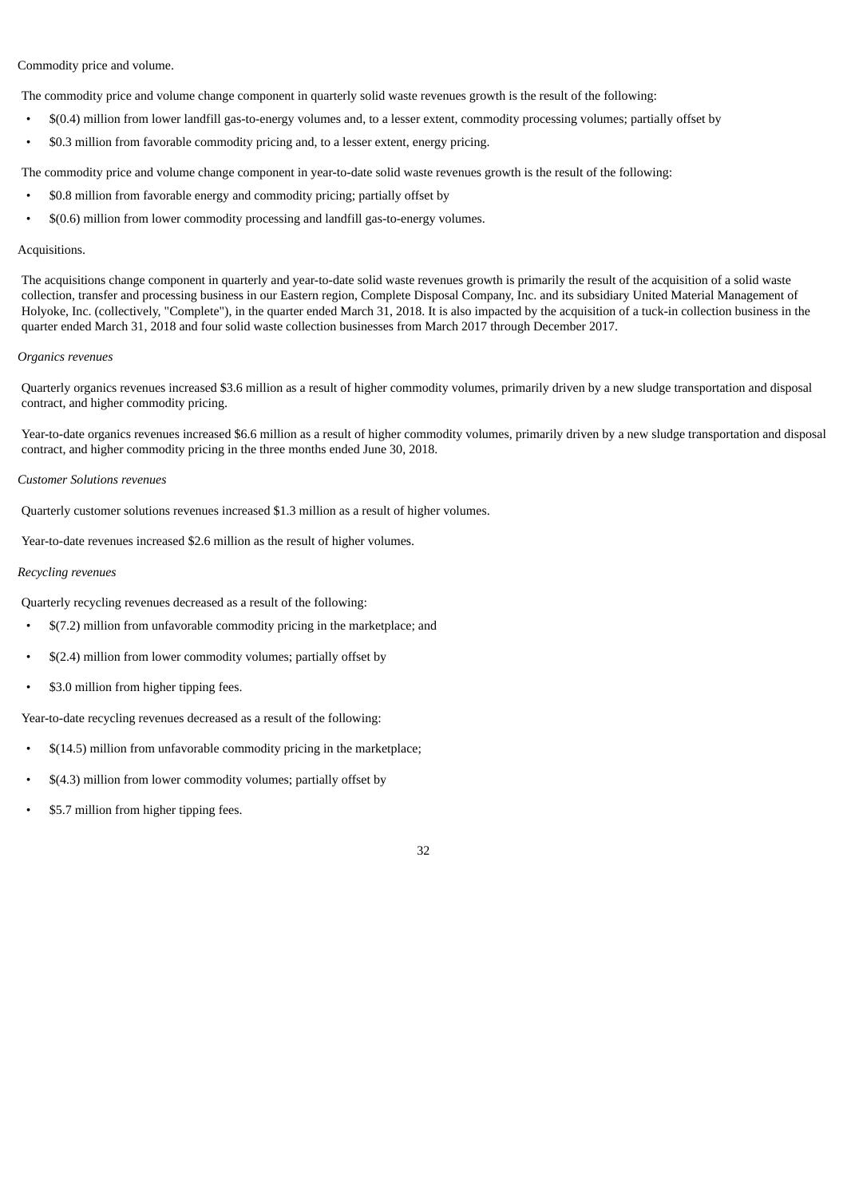Commodity price and volume.

The commodity price and volume change component in quarterly solid waste revenues growth is the result of the following:

- \$(0.4) million from lower landfill gas-to-energy volumes and, to a lesser extent, commodity processing volumes; partially offset by
- \$0.3 million from favorable commodity pricing and, to a lesser extent, energy pricing.

The commodity price and volume change component in year-to-date solid waste revenues growth is the result of the following:

- \$0.8 million from favorable energy and commodity pricing; partially offset by
- \$(0.6) million from lower commodity processing and landfill gas-to-energy volumes.

## Acquisitions.

The acquisitions change component in quarterly and year-to-date solid waste revenues growth is primarily the result of the acquisition of a solid waste collection, transfer and processing business in our Eastern region, Complete Disposal Company, Inc. and its subsidiary United Material Management of Holyoke, Inc. (collectively, "Complete"), in the quarter ended March 31, 2018. It is also impacted by the acquisition of a tuck-in collection business in the quarter ended March 31, 2018 and four solid waste collection businesses from March 2017 through December 2017.

#### *Organics revenues*

Quarterly organics revenues increased \$3.6 million as a result of higher commodity volumes, primarily driven by a new sludge transportation and disposal contract, and higher commodity pricing.

Year-to-date organics revenues increased \$6.6 million as a result of higher commodity volumes, primarily driven by a new sludge transportation and disposal contract, and higher commodity pricing in the three months ended June 30, 2018.

## *Customer Solutions revenues*

Quarterly customer solutions revenues increased \$1.3 million as a result of higher volumes.

Year-to-date revenues increased \$2.6 million as the result of higher volumes.

## *Recycling revenues*

Quarterly recycling revenues decreased as a result of the following:

- \$(7.2) million from unfavorable commodity pricing in the marketplace; and
- \$(2.4) million from lower commodity volumes; partially offset by
- \$3.0 million from higher tipping fees.

Year-to-date recycling revenues decreased as a result of the following:

- \$(14.5) million from unfavorable commodity pricing in the marketplace;
- \$(4.3) million from lower commodity volumes; partially offset by
- \$5.7 million from higher tipping fees.

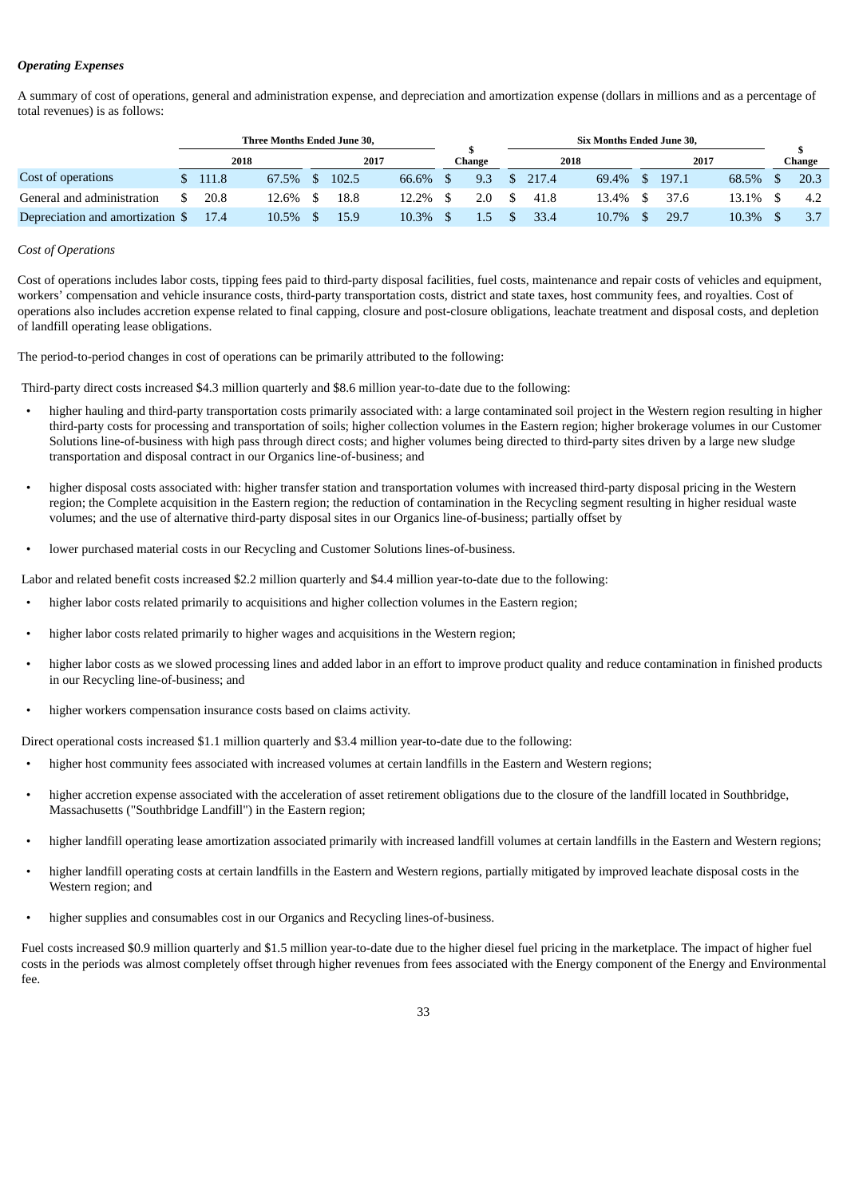## *Operating Expenses*

A summary of cost of operations, general and administration expense, and depreciation and amortization expense (dollars in millions and as a percentage of total revenues) is as follows:

|                                  |     | Three Months Ended June 30, |       |  |       |       |  |        |         | Six Months Ended June 30, |       |       |        |
|----------------------------------|-----|-----------------------------|-------|--|-------|-------|--|--------|---------|---------------------------|-------|-------|--------|
|                                  |     | 2018                        |       |  | 2017  |       |  | Change | 2018    |                           | 2017  |       | Change |
| Cost of operations               |     | \$111.8                     | 67.5% |  | 102.5 | 66.6% |  | 9.3    | \$217.4 | 69.4% \$                  | 197.1 | 68.5% | 20.3   |
| General and administration       | \$. | 20.8                        | 12.6% |  | 18.8  | 12.2% |  | 2.0    | 41.8    | 13.4% \$                  | 37.6  | 13.1% | 4.2    |
| Depreciation and amortization \$ |     | 17.4                        | 10.5% |  | 15.9  | 10.3% |  |        | 33.4    | 10.7%                     | 29.7  | 10.3% |        |

## *Cost of Operations*

Cost of operations includes labor costs, tipping fees paid to third-party disposal facilities, fuel costs, maintenance and repair costs of vehicles and equipment, workers' compensation and vehicle insurance costs, third-party transportation costs, district and state taxes, host community fees, and royalties. Cost of operations also includes accretion expense related to final capping, closure and post-closure obligations, leachate treatment and disposal costs, and depletion of landfill operating lease obligations.

The period-to-period changes in cost of operations can be primarily attributed to the following:

Third-party direct costs increased \$4.3 million quarterly and \$8.6 million year-to-date due to the following:

- higher hauling and third-party transportation costs primarily associated with: a large contaminated soil project in the Western region resulting in higher third-party costs for processing and transportation of soils; higher collection volumes in the Eastern region; higher brokerage volumes in our Customer Solutions line-of-business with high pass through direct costs; and higher volumes being directed to third-party sites driven by a large new sludge transportation and disposal contract in our Organics line-of-business; and
- higher disposal costs associated with: higher transfer station and transportation volumes with increased third-party disposal pricing in the Western region; the Complete acquisition in the Eastern region; the reduction of contamination in the Recycling segment resulting in higher residual waste volumes; and the use of alternative third-party disposal sites in our Organics line-of-business; partially offset by
- lower purchased material costs in our Recycling and Customer Solutions lines-of-business.

Labor and related benefit costs increased \$2.2 million quarterly and \$4.4 million year-to-date due to the following:

- higher labor costs related primarily to acquisitions and higher collection volumes in the Eastern region;
- higher labor costs related primarily to higher wages and acquisitions in the Western region;
- higher labor costs as we slowed processing lines and added labor in an effort to improve product quality and reduce contamination in finished products in our Recycling line-of-business; and
- higher workers compensation insurance costs based on claims activity.

Direct operational costs increased \$1.1 million quarterly and \$3.4 million year-to-date due to the following:

- higher host community fees associated with increased volumes at certain landfills in the Eastern and Western regions;
- higher accretion expense associated with the acceleration of asset retirement obligations due to the closure of the landfill located in Southbridge, Massachusetts ("Southbridge Landfill") in the Eastern region;
- higher landfill operating lease amortization associated primarily with increased landfill volumes at certain landfills in the Eastern and Western regions;
- higher landfill operating costs at certain landfills in the Eastern and Western regions, partially mitigated by improved leachate disposal costs in the Western region; and
- higher supplies and consumables cost in our Organics and Recycling lines-of-business.

Fuel costs increased \$0.9 million quarterly and \$1.5 million year-to-date due to the higher diesel fuel pricing in the marketplace. The impact of higher fuel costs in the periods was almost completely offset through higher revenues from fees associated with the Energy component of the Energy and Environmental fee.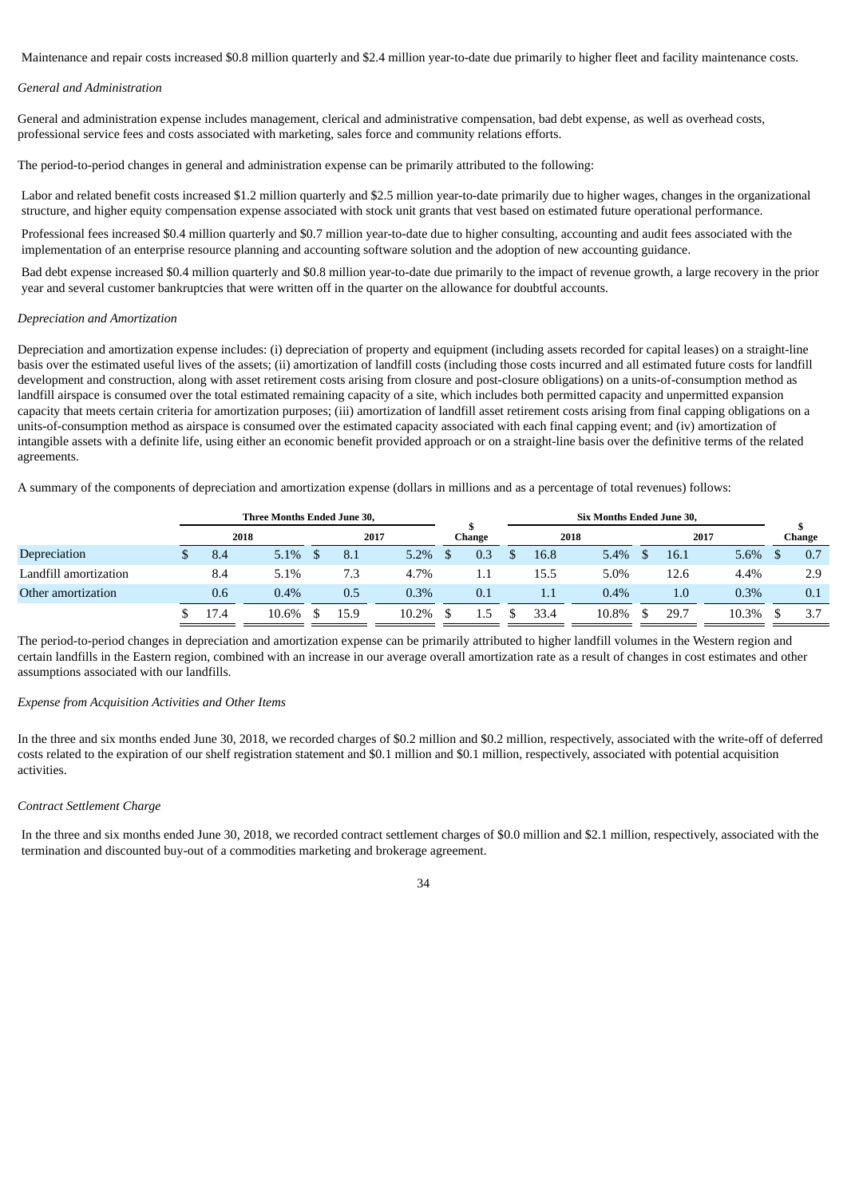Maintenance and repair costs increased \$0.8 million quarterly and \$2.4 million year-to-date due primarily to higher fleet and facility maintenance costs.

#### *General and Administration*

General and administration expense includes management, clerical and administrative compensation, bad debt expense, as well as overhead costs, professional service fees and costs associated with marketing, sales force and community relations efforts.

The period-to-period changes in general and administration expense can be primarily attributed to the following:

Labor and related benefit costs increased \$1.2 million quarterly and \$2.5 million year-to-date primarily due to higher wages, changes in the organizational structure, and higher equity compensation expense associated with stock unit grants that vest based on estimated future operational performance.

Professional fees increased \$0.4 million quarterly and \$0.7 million year-to-date due to higher consulting, accounting and audit fees associated with the implementation of an enterprise resource planning and accounting software solution and the adoption of new accounting guidance.

Bad debt expense increased \$0.4 million quarterly and \$0.8 million year-to-date due primarily to the impact of revenue growth, a large recovery in the prior year and several customer bankruptcies that were written off in the quarter on the allowance for doubtful accounts.

#### *Depreciation and Amortization*

Depreciation and amortization expense includes: (i) depreciation of property and equipment (including assets recorded for capital leases) on a straight-line basis over the estimated useful lives of the assets; (ii) amortization of landfill costs (including those costs incurred and all estimated future costs for landfill development and construction, along with asset retirement costs arising from closure and post-closure obligations) on a units-of-consumption method as landfill airspace is consumed over the total estimated remaining capacity of a site, which includes both permitted capacity and unpermitted expansion capacity that meets certain criteria for amortization purposes; (iii) amortization of landfill asset retirement costs arising from final capping obligations on a units-of-consumption method as airspace is consumed over the estimated capacity associated with each final capping event; and (iv) amortization of intangible assets with a definite life, using either an economic benefit provided approach or on a straight-line basis over the definitive terms of the related agreements.

A summary of the components of depreciation and amortization expense (dollars in millions and as a percentage of total revenues) follows:

|                       | Three Months Ended June 30, |       |  |      |         |        |  |      |         |         |       |        |
|-----------------------|-----------------------------|-------|--|------|---------|--------|--|------|---------|---------|-------|--------|
|                       |                             | 2018  |  |      | 2017    | Change |  |      | 2018    |         | 2017  | Change |
| Depreciation          | 8.4                         | 5.1%  |  | 8.1  | $5.2\%$ | 0.3    |  | 16.8 | 5.4%    | 16.1    | 5.6%  | 0.7    |
| Landfill amortization | 8.4                         | 5.1%  |  | 7.3  | 4.7%    | 1.1    |  | 15.5 | 5.0%    | 12.6    | 4.4%  | 2.9    |
| Other amortization    | 0.6                         | 0.4%  |  | 0.5  | 0.3%    | 0.1    |  | 1.1  | $0.4\%$ | $1.0\,$ | 0.3%  | 0.1    |
|                       | 17.4                        | 10.6% |  | 15.9 | 10.2%   |        |  | 33.4 | 10.8%   | 29.7    | 10.3% | 3.7    |

The period-to-period changes in depreciation and amortization expense can be primarily attributed to higher landfill volumes in the Western region and certain landfills in the Eastern region, combined with an increase in our average overall amortization rate as a result of changes in cost estimates and other assumptions associated with our landfills.

#### *Expense from Acquisition Activities and Other Items*

In the three and six months ended June 30, 2018, we recorded charges of \$0.2 million and \$0.2 million, respectively, associated with the write-off of deferred costs related to the expiration of our shelf registration statement and \$0.1 million and \$0.1 million, respectively, associated with potential acquisition activities.

#### *Contract Settlement Charge*

In the three and six months ended June 30, 2018, we recorded contract settlement charges of \$0.0 million and \$2.1 million, respectively, associated with the termination and discounted buy-out of a commodities marketing and brokerage agreement.

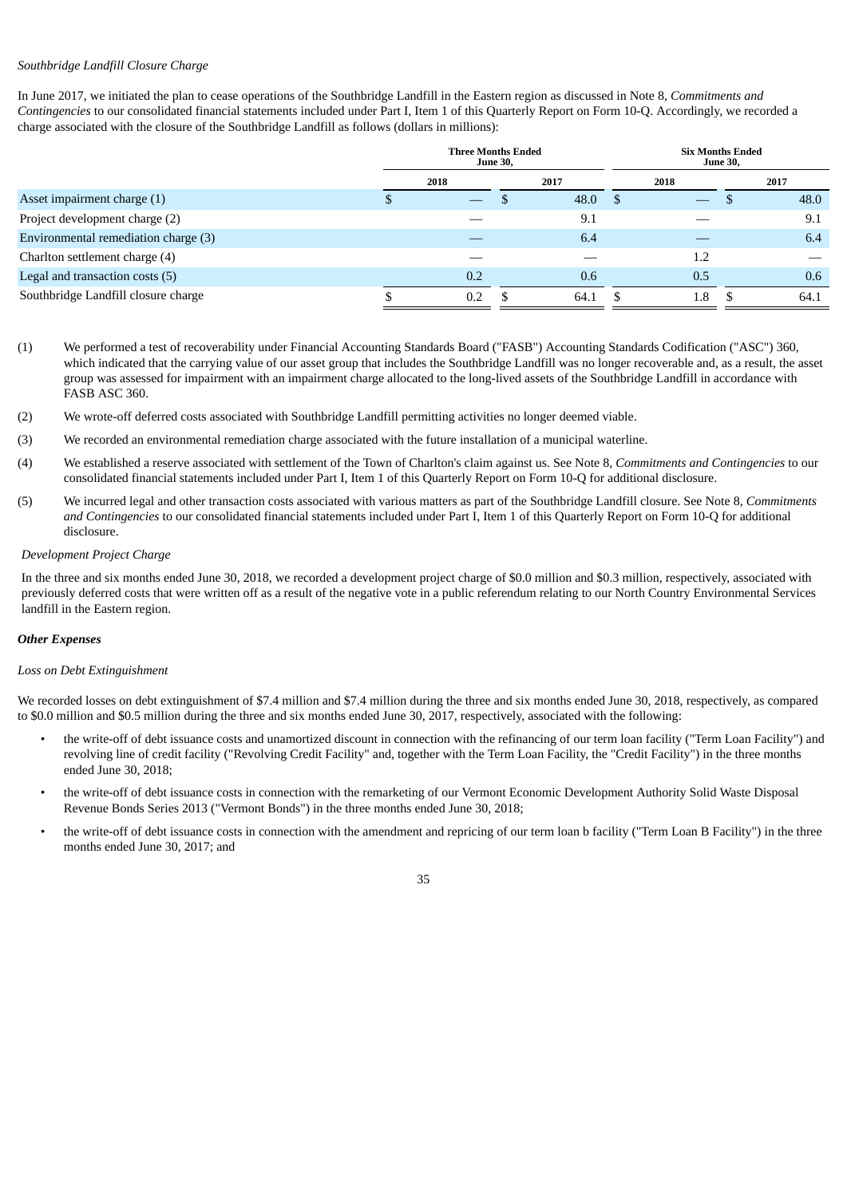## *Southbridge Landfill Closure Charge*

In June 2017, we initiated the plan to cease operations of the Southbridge Landfill in the Eastern region as discussed in Note 8, *Commitments and Contingencies* to our consolidated financial statements included under Part I, Item 1 of this Quarterly Report on Form 10-Q. Accordingly, we recorded a charge associated with the closure of the Southbridge Landfill as follows (dollars in millions):

|                                      | <b>Three Months Ended</b> | <b>June 30,</b> |      |               | <b>Six Months Ended</b><br><b>June 30,</b> |  |      |  |  |
|--------------------------------------|---------------------------|-----------------|------|---------------|--------------------------------------------|--|------|--|--|
|                                      | 2018                      |                 | 2017 |               | 2018                                       |  | 2017 |  |  |
| Asset impairment charge (1)          |                           |                 | 48.0 | <sup>\$</sup> |                                            |  | 48.0 |  |  |
| Project development charge (2)       |                           |                 | 9.1  |               |                                            |  | 9.1  |  |  |
| Environmental remediation charge (3) |                           |                 | 6.4  |               |                                            |  | 6.4  |  |  |
| Charlton settlement charge (4)       |                           |                 |      |               | 1.2                                        |  |      |  |  |
| Legal and transaction costs (5)      | 0.2                       |                 | 0.6  |               | 0.5                                        |  | 0.6  |  |  |
| Southbridge Landfill closure charge  | 0.2                       |                 | 64.1 |               | 1.8                                        |  | 64.1 |  |  |

- (1) We performed a test of recoverability under Financial Accounting Standards Board ("FASB") Accounting Standards Codification ("ASC") 360, which indicated that the carrying value of our asset group that includes the Southbridge Landfill was no longer recoverable and, as a result, the asset group was assessed for impairment with an impairment charge allocated to the long-lived assets of the Southbridge Landfill in accordance with FASB ASC 360.
- (2) We wrote-off deferred costs associated with Southbridge Landfill permitting activities no longer deemed viable.
- (3) We recorded an environmental remediation charge associated with the future installation of a municipal waterline.
- (4) We established a reserve associated with settlement of the Town of Charlton's claim against us. See Note 8, *Commitments and Contingencies* to our consolidated financial statements included under Part I, Item 1 of this Quarterly Report on Form 10-Q for additional disclosure.
- (5) We incurred legal and other transaction costs associated with various matters as part of the Southbridge Landfill closure. See Note 8, *Commitments and Contingencies* to our consolidated financial statements included under Part I, Item 1 of this Quarterly Report on Form 10-Q for additional disclosure.

## *Development Project Charge*

In the three and six months ended June 30, 2018, we recorded a development project charge of \$0.0 million and \$0.3 million, respectively, associated with previously deferred costs that were written off as a result of the negative vote in a public referendum relating to our North Country Environmental Services landfill in the Eastern region.

## *Other Expenses*

## *Loss on Debt Extinguishment*

We recorded losses on debt extinguishment of \$7.4 million and \$7.4 million during the three and six months ended June 30, 2018, respectively, as compared to \$0.0 million and \$0.5 million during the three and six months ended June 30, 2017, respectively, associated with the following:

- the write-off of debt issuance costs and unamortized discount in connection with the refinancing of our term loan facility ("Term Loan Facility") and revolving line of credit facility ("Revolving Credit Facility" and, together with the Term Loan Facility, the "Credit Facility") in the three months ended June 30, 2018;
- the write-off of debt issuance costs in connection with the remarketing of our Vermont Economic Development Authority Solid Waste Disposal Revenue Bonds Series 2013 ("Vermont Bonds") in the three months ended June 30, 2018;
- the write-off of debt issuance costs in connection with the amendment and repricing of our term loan b facility ("Term Loan B Facility") in the three months ended June 30, 2017; and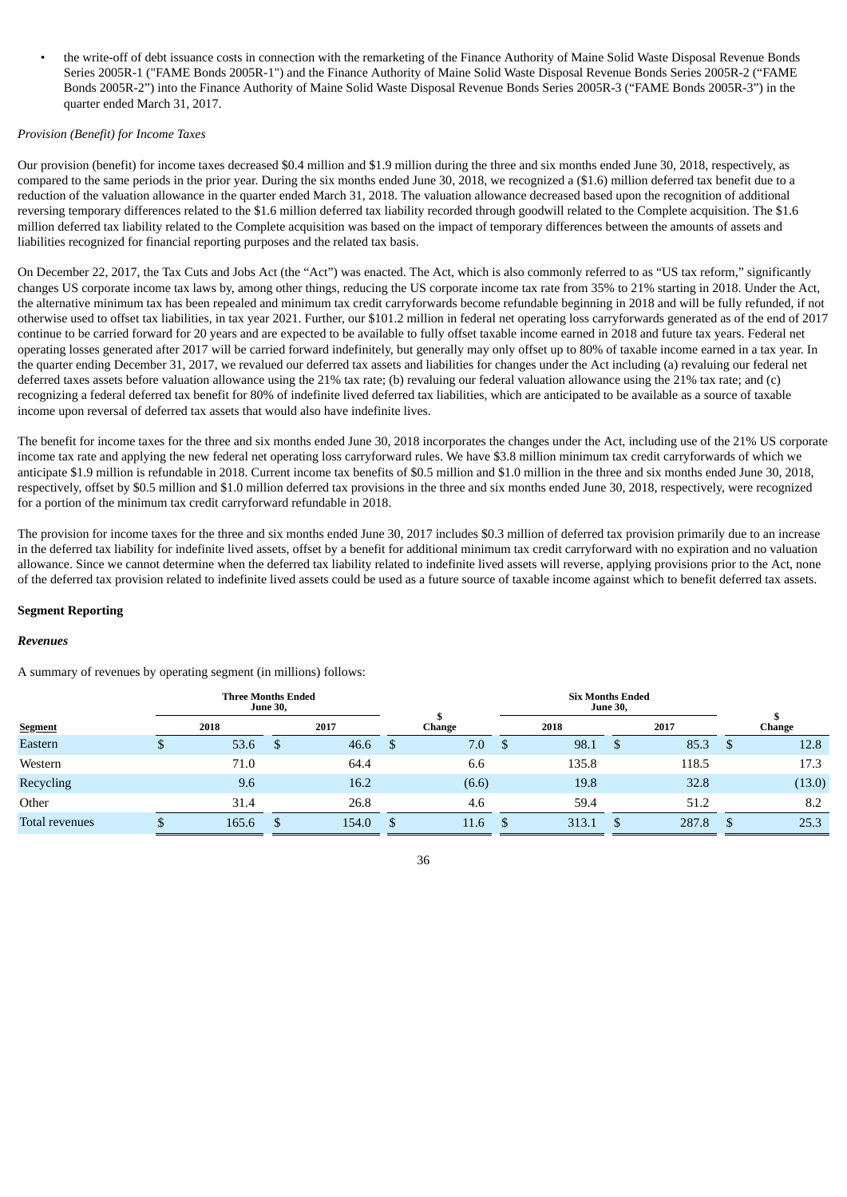• the write-off of debt issuance costs in connection with the remarketing of the Finance Authority of Maine Solid Waste Disposal Revenue Bonds Series 2005R-1 ("FAME Bonds 2005R-1") and the Finance Authority of Maine Solid Waste Disposal Revenue Bonds Series 2005R-2 ("FAME Bonds 2005R-2") into the Finance Authority of Maine Solid Waste Disposal Revenue Bonds Series 2005R-3 ("FAME Bonds 2005R-3") in the quarter ended March 31, 2017.

## *Provision (Benefit) for Income Taxes*

Our provision (benefit) for income taxes decreased \$0.4 million and \$1.9 million during the three and six months ended June 30, 2018, respectively, as compared to the same periods in the prior year. During the six months ended June 30, 2018, we recognized a (\$1.6) million deferred tax benefit due to a reduction of the valuation allowance in the quarter ended March 31, 2018. The valuation allowance decreased based upon the recognition of additional reversing temporary differences related to the \$1.6 million deferred tax liability recorded through goodwill related to the Complete acquisition. The \$1.6 million deferred tax liability related to the Complete acquisition was based on the impact of temporary differences between the amounts of assets and liabilities recognized for financial reporting purposes and the related tax basis.

On December 22, 2017, the Tax Cuts and Jobs Act (the "Act") was enacted. The Act, which is also commonly referred to as "US tax reform," significantly changes US corporate income tax laws by, among other things, reducing the US corporate income tax rate from 35% to 21% starting in 2018. Under the Act, the alternative minimum tax has been repealed and minimum tax credit carryforwards become refundable beginning in 2018 and will be fully refunded, if not otherwise used to offset tax liabilities, in tax year 2021. Further, our \$101.2 million in federal net operating loss carryforwards generated as of the end of 2017 continue to be carried forward for 20 years and are expected to be available to fully offset taxable income earned in 2018 and future tax years. Federal net operating losses generated after 2017 will be carried forward indefinitely, but generally may only offset up to 80% of taxable income earned in a tax year. In the quarter ending December 31, 2017, we revalued our deferred tax assets and liabilities for changes under the Act including (a) revaluing our federal net deferred taxes assets before valuation allowance using the 21% tax rate; (b) revaluing our federal valuation allowance using the 21% tax rate; and (c) recognizing a federal deferred tax benefit for 80% of indefinite lived deferred tax liabilities, which are anticipated to be available as a source of taxable income upon reversal of deferred tax assets that would also have indefinite lives.

The benefit for income taxes for the three and six months ended June 30, 2018 incorporates the changes under the Act, including use of the 21% US corporate income tax rate and applying the new federal net operating loss carryforward rules. We have \$3.8 million minimum tax credit carryforwards of which we anticipate \$1.9 million is refundable in 2018. Current income tax benefits of \$0.5 million and \$1.0 million in the three and six months ended June 30, 2018, respectively, offset by \$0.5 million and \$1.0 million deferred tax provisions in the three and six months ended June 30, 2018, respectively, were recognized for a portion of the minimum tax credit carryforward refundable in 2018.

The provision for income taxes for the three and six months ended June 30, 2017 includes \$0.3 million of deferred tax provision primarily due to an increase in the deferred tax liability for indefinite lived assets, offset by a benefit for additional minimum tax credit carryforward with no expiration and no valuation allowance. Since we cannot determine when the deferred tax liability related to indefinite lived assets will reverse, applying provisions prior to the Act, none of the deferred tax provision related to indefinite lived assets could be used as a future source of taxable income against which to benefit deferred tax assets.

#### **Segment Reporting**

#### *Revenues*

A summary of revenues by operating segment (in millions) follows:

|                | <b>Three Months Ended</b><br><b>June 30,</b> |       |   |       |  |               |   | <b>Six Months Ended</b><br><b>June 30,</b> |              |       |    |        |
|----------------|----------------------------------------------|-------|---|-------|--|---------------|---|--------------------------------------------|--------------|-------|----|--------|
| <b>Segment</b> |                                              | 2018  |   | 2017  |  | <b>Change</b> |   | 2018                                       |              | 2017  |    | Change |
| Eastern        | Φ                                            | 53.6  | S | 46.6  |  | 7.0           | D | 98.1                                       | <sup>S</sup> | 85.3  | -S | 12.8   |
| Western        |                                              | 71.0  |   | 64.4  |  | 6.6           |   | 135.8                                      |              | 118.5 |    | 17.3   |
| Recycling      |                                              | 9.6   |   | 16.2  |  | (6.6)         |   | 19.8                                       |              | 32.8  |    | (13.0) |
| Other          |                                              | 31.4  |   | 26.8  |  | 4.6           |   | 59.4                                       |              | 51.2  |    | 8.2    |
| Total revenues |                                              | 165.6 | S | 154.0 |  | 11.6          |   | 313.1                                      |              | 287.8 |    | 25.3   |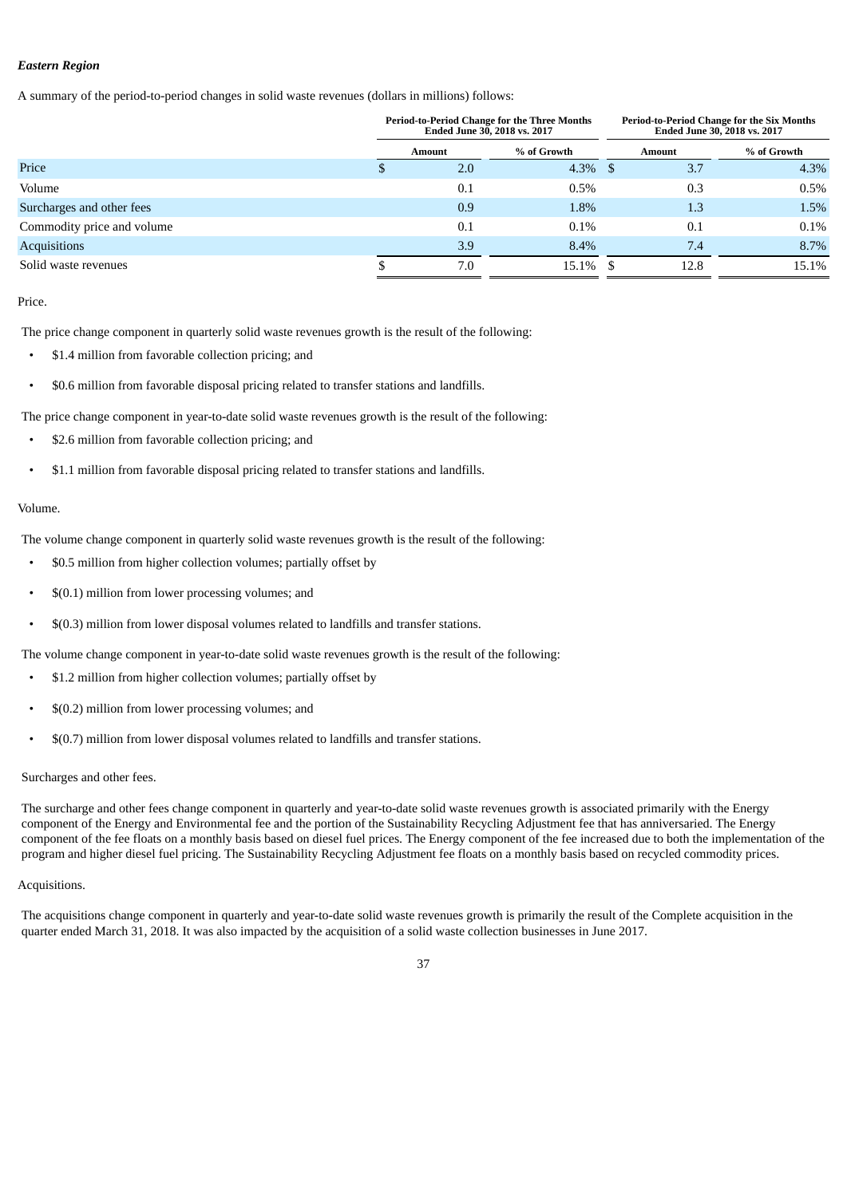# *Eastern Region*

A summary of the period-to-period changes in solid waste revenues (dollars in millions) follows:

|                            |        |     | <b>Period-to-Period Change for the Three Months</b><br>Ended June 30, 2018 vs. 2017 |               | <b>Period-to-Period Change for the Six Months</b><br>Ended June 30, 2018 vs. 2017 |  |  |
|----------------------------|--------|-----|-------------------------------------------------------------------------------------|---------------|-----------------------------------------------------------------------------------|--|--|
|                            | Amount |     | % of Growth                                                                         | <b>Amount</b> | % of Growth                                                                       |  |  |
| Price                      | D      | 2.0 | $4.3\%$ \$                                                                          | 3.7           | 4.3%                                                                              |  |  |
| Volume                     |        | 0.1 | 0.5%                                                                                | 0.3           | 0.5%                                                                              |  |  |
| Surcharges and other fees  |        | 0.9 | 1.8%                                                                                | 1.3           | 1.5%                                                                              |  |  |
| Commodity price and volume |        | 0.1 | $0.1\%$                                                                             | 0.1           | $0.1\%$                                                                           |  |  |
| <b>Acquisitions</b>        |        | 3.9 | 8.4%                                                                                | 7.4           | 8.7%                                                                              |  |  |
| Solid waste revenues       |        | 7.0 | $15.1\%$ \$                                                                         | 12.8          | 15.1%                                                                             |  |  |

Price.

The price change component in quarterly solid waste revenues growth is the result of the following:

- \$1.4 million from favorable collection pricing; and
- \$0.6 million from favorable disposal pricing related to transfer stations and landfills.

The price change component in year-to-date solid waste revenues growth is the result of the following:

- \$2.6 million from favorable collection pricing; and
- \$1.1 million from favorable disposal pricing related to transfer stations and landfills.

## Volume.

The volume change component in quarterly solid waste revenues growth is the result of the following:

- \$0.5 million from higher collection volumes; partially offset by
- \$(0.1) million from lower processing volumes; and
- \$(0.3) million from lower disposal volumes related to landfills and transfer stations.

The volume change component in year-to-date solid waste revenues growth is the result of the following:

- \$1.2 million from higher collection volumes; partially offset by
- \$(0.2) million from lower processing volumes; and
- \$(0.7) million from lower disposal volumes related to landfills and transfer stations.

## Surcharges and other fees.

The surcharge and other fees change component in quarterly and year-to-date solid waste revenues growth is associated primarily with the Energy component of the Energy and Environmental fee and the portion of the Sustainability Recycling Adjustment fee that has anniversaried. The Energy component of the fee floats on a monthly basis based on diesel fuel prices. The Energy component of the fee increased due to both the implementation of the program and higher diesel fuel pricing. The Sustainability Recycling Adjustment fee floats on a monthly basis based on recycled commodity prices.

#### Acquisitions.

The acquisitions change component in quarterly and year-to-date solid waste revenues growth is primarily the result of the Complete acquisition in the quarter ended March 31, 2018. It was also impacted by the acquisition of a solid waste collection businesses in June 2017.

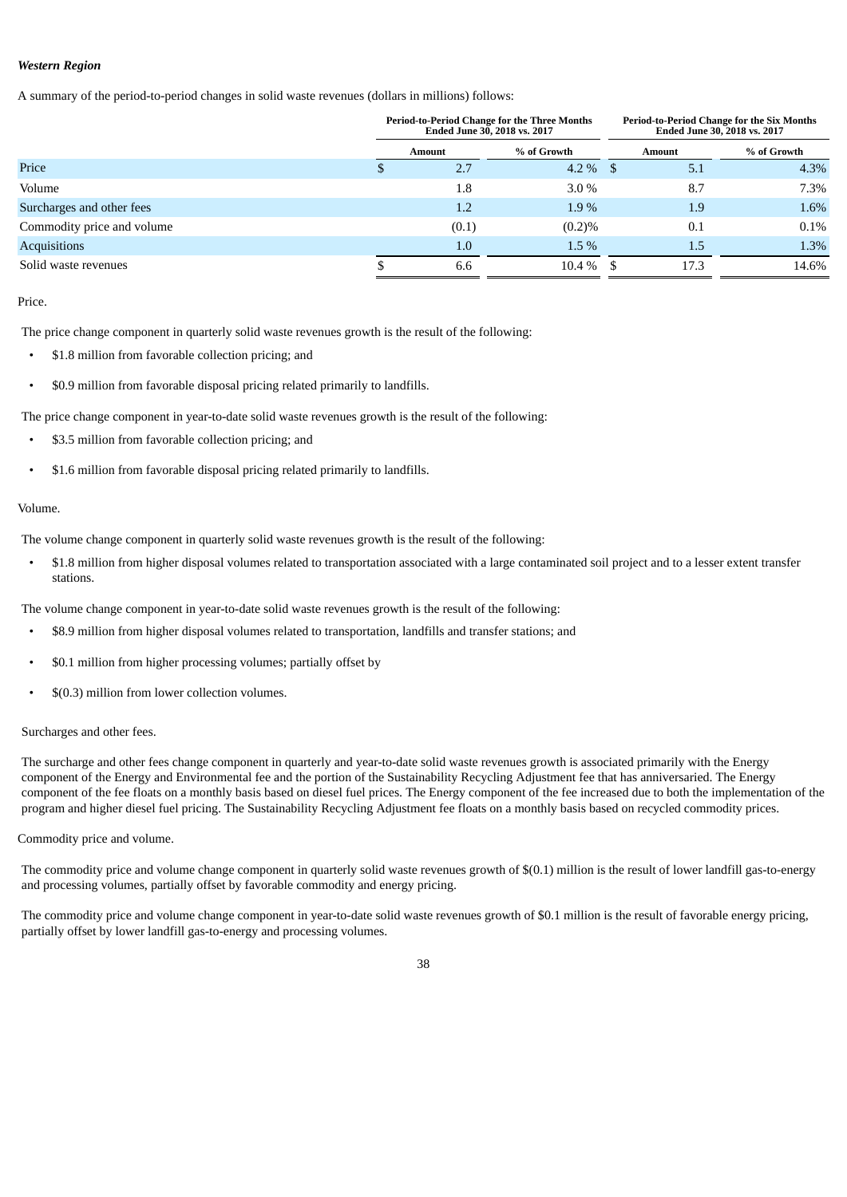## *Western Region*

A summary of the period-to-period changes in solid waste revenues (dollars in millions) follows:

|                            |        |       | <b>Period-to-Period Change for the Three Months</b><br>Ended June 30, 2018 vs. 2017 |        | <b>Period-to-Period Change for the Six Months</b><br>Ended June 30, 2018 vs. 2017 |  |  |
|----------------------------|--------|-------|-------------------------------------------------------------------------------------|--------|-----------------------------------------------------------------------------------|--|--|
|                            | Amount |       | % of Growth                                                                         | Amount | % of Growth                                                                       |  |  |
| Price                      |        | 2.7   | $4.2\%$ \$                                                                          | 5.1    | 4.3%                                                                              |  |  |
| Volume                     |        | 1.8   | $3.0\%$                                                                             | 8.7    | 7.3%                                                                              |  |  |
| Surcharges and other fees  |        | 1.2   | 1.9%                                                                                | 1.9    | 1.6%                                                                              |  |  |
| Commodity price and volume |        | (0.1) | (0.2)%                                                                              | 0.1    | $0.1\%$                                                                           |  |  |
| <b>Acquisitions</b>        |        | 1.0   | $1.5\%$                                                                             | 1.5    | 1.3%                                                                              |  |  |
| Solid waste revenues       |        | 6.6   | $10.4\%$ \$                                                                         | 17.3   | 14.6%                                                                             |  |  |

Price.

The price change component in quarterly solid waste revenues growth is the result of the following:

- \$1.8 million from favorable collection pricing; and
- \$0.9 million from favorable disposal pricing related primarily to landfills.

The price change component in year-to-date solid waste revenues growth is the result of the following:

- \$3.5 million from favorable collection pricing; and
- \$1.6 million from favorable disposal pricing related primarily to landfills.

## Volume.

The volume change component in quarterly solid waste revenues growth is the result of the following:

• \$1.8 million from higher disposal volumes related to transportation associated with a large contaminated soil project and to a lesser extent transfer stations.

The volume change component in year-to-date solid waste revenues growth is the result of the following:

- \$8.9 million from higher disposal volumes related to transportation, landfills and transfer stations; and
- \$0.1 million from higher processing volumes; partially offset by
- \$(0.3) million from lower collection volumes.

## Surcharges and other fees.

The surcharge and other fees change component in quarterly and year-to-date solid waste revenues growth is associated primarily with the Energy component of the Energy and Environmental fee and the portion of the Sustainability Recycling Adjustment fee that has anniversaried. The Energy component of the fee floats on a monthly basis based on diesel fuel prices. The Energy component of the fee increased due to both the implementation of the program and higher diesel fuel pricing. The Sustainability Recycling Adjustment fee floats on a monthly basis based on recycled commodity prices.

## Commodity price and volume.

The commodity price and volume change component in quarterly solid waste revenues growth of \$(0.1) million is the result of lower landfill gas-to-energy and processing volumes, partially offset by favorable commodity and energy pricing.

The commodity price and volume change component in year-to-date solid waste revenues growth of \$0.1 million is the result of favorable energy pricing, partially offset by lower landfill gas-to-energy and processing volumes.

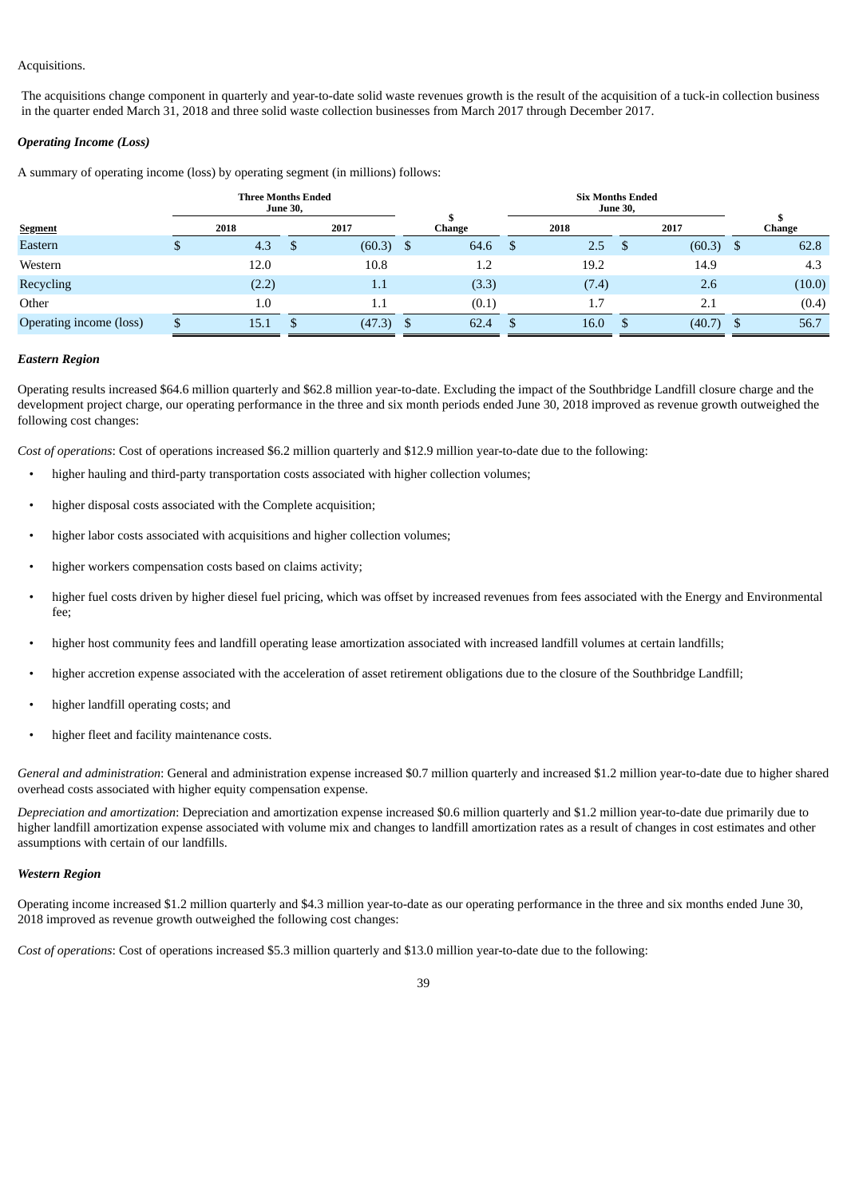## Acquisitions.

The acquisitions change component in quarterly and year-to-date solid waste revenues growth is the result of the acquisition of a tuck-in collection business in the quarter ended March 31, 2018 and three solid waste collection businesses from March 2017 through December 2017.

## *Operating Income (Loss)*

A summary of operating income (loss) by operating segment (in millions) follows:

|                         |   | <b>Three Months Ended</b> | <b>June 30,</b> |         |   |        | <b>Six Months Ended</b> | <b>June 30,</b> |        |      |        |
|-------------------------|---|---------------------------|-----------------|---------|---|--------|-------------------------|-----------------|--------|------|--------|
| <b>Segment</b>          |   | 2018                      |                 | 2017    |   | Change | 2018                    |                 | 2017   |      | Change |
| Eastern                 | Φ | 4.3                       | ъ               | (60.3)  | ა | 64.6   | 2.5                     | \$              | (60.3) | - \$ | 62.8   |
| Western                 |   | 12.0                      |                 | 10.8    |   | 1.2    | 19.2                    |                 | 14.9   |      | 4.3    |
| Recycling               |   | (2.2)                     |                 | 1.1     |   | (3.3)  | (7.4)                   |                 | 2.6    |      | (10.0) |
| Other                   |   | 1.0                       |                 | $1.1\,$ |   | (0.1)  | 1.7                     |                 | 2.1    |      | (0.4)  |
| Operating income (loss) |   | 15.1                      |                 | (47.3)  |   | 62.4   | 16.0                    |                 | (40.7) |      | 56.7   |

## *Eastern Region*

Operating results increased \$64.6 million quarterly and \$62.8 million year-to-date. Excluding the impact of the Southbridge Landfill closure charge and the development project charge, our operating performance in the three and six month periods ended June 30, 2018 improved as revenue growth outweighed the following cost changes:

*Cost of operations*: Cost of operations increased \$6.2 million quarterly and \$12.9 million year-to-date due to the following:

- higher hauling and third-party transportation costs associated with higher collection volumes;
- higher disposal costs associated with the Complete acquisition;
- higher labor costs associated with acquisitions and higher collection volumes;
- higher workers compensation costs based on claims activity;
- higher fuel costs driven by higher diesel fuel pricing, which was offset by increased revenues from fees associated with the Energy and Environmental fee;
- higher host community fees and landfill operating lease amortization associated with increased landfill volumes at certain landfills;
- higher accretion expense associated with the acceleration of asset retirement obligations due to the closure of the Southbridge Landfill;
- higher landfill operating costs; and
- higher fleet and facility maintenance costs.

*General and administration*: General and administration expense increased \$0.7 million quarterly and increased \$1.2 million year-to-date due to higher shared overhead costs associated with higher equity compensation expense.

*Depreciation and amortization*: Depreciation and amortization expense increased \$0.6 million quarterly and \$1.2 million year-to-date due primarily due to higher landfill amortization expense associated with volume mix and changes to landfill amortization rates as a result of changes in cost estimates and other assumptions with certain of our landfills.

#### *Western Region*

Operating income increased \$1.2 million quarterly and \$4.3 million year-to-date as our operating performance in the three and six months ended June 30, 2018 improved as revenue growth outweighed the following cost changes:

*Cost of operations*: Cost of operations increased \$5.3 million quarterly and \$13.0 million year-to-date due to the following: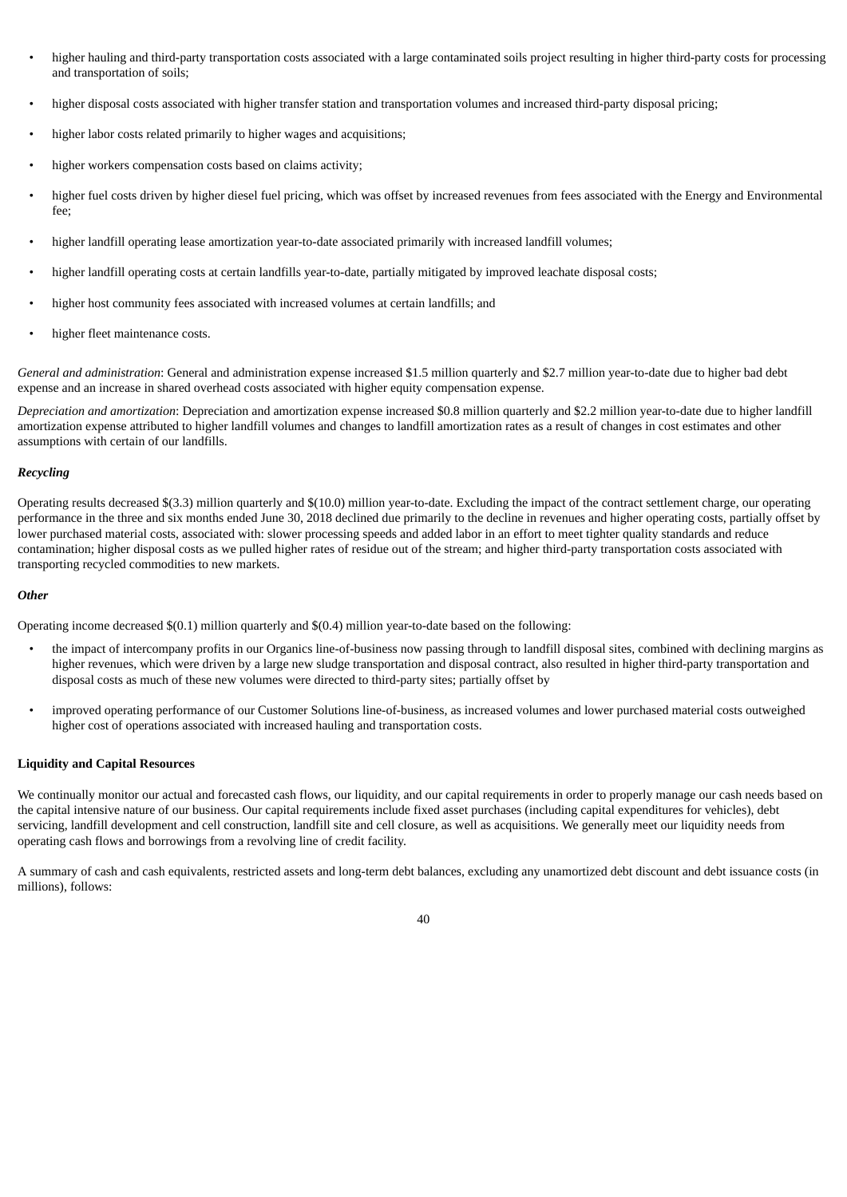- higher hauling and third-party transportation costs associated with a large contaminated soils project resulting in higher third-party costs for processing and transportation of soils;
- higher disposal costs associated with higher transfer station and transportation volumes and increased third-party disposal pricing;
- higher labor costs related primarily to higher wages and acquisitions;
- higher workers compensation costs based on claims activity;
- higher fuel costs driven by higher diesel fuel pricing, which was offset by increased revenues from fees associated with the Energy and Environmental fee;
- higher landfill operating lease amortization year-to-date associated primarily with increased landfill volumes;
- higher landfill operating costs at certain landfills year-to-date, partially mitigated by improved leachate disposal costs;
- higher host community fees associated with increased volumes at certain landfills; and
- higher fleet maintenance costs.

*General and administration*: General and administration expense increased \$1.5 million quarterly and \$2.7 million year-to-date due to higher bad debt expense and an increase in shared overhead costs associated with higher equity compensation expense.

*Depreciation and amortization*: Depreciation and amortization expense increased \$0.8 million quarterly and \$2.2 million year-to-date due to higher landfill amortization expense attributed to higher landfill volumes and changes to landfill amortization rates as a result of changes in cost estimates and other assumptions with certain of our landfills.

## *Recycling*

Operating results decreased \$(3.3) million quarterly and \$(10.0) million year-to-date. Excluding the impact of the contract settlement charge, our operating performance in the three and six months ended June 30, 2018 declined due primarily to the decline in revenues and higher operating costs, partially offset by lower purchased material costs, associated with: slower processing speeds and added labor in an effort to meet tighter quality standards and reduce contamination; higher disposal costs as we pulled higher rates of residue out of the stream; and higher third-party transportation costs associated with transporting recycled commodities to new markets.

#### *Other*

Operating income decreased \$(0.1) million quarterly and \$(0.4) million year-to-date based on the following:

- the impact of intercompany profits in our Organics line-of-business now passing through to landfill disposal sites, combined with declining margins as higher revenues, which were driven by a large new sludge transportation and disposal contract, also resulted in higher third-party transportation and disposal costs as much of these new volumes were directed to third-party sites; partially offset by
- improved operating performance of our Customer Solutions line-of-business, as increased volumes and lower purchased material costs outweighed higher cost of operations associated with increased hauling and transportation costs.

#### **Liquidity and Capital Resources**

We continually monitor our actual and forecasted cash flows, our liquidity, and our capital requirements in order to properly manage our cash needs based on the capital intensive nature of our business. Our capital requirements include fixed asset purchases (including capital expenditures for vehicles), debt servicing, landfill development and cell construction, landfill site and cell closure, as well as acquisitions. We generally meet our liquidity needs from operating cash flows and borrowings from a revolving line of credit facility.

A summary of cash and cash equivalents, restricted assets and long-term debt balances, excluding any unamortized debt discount and debt issuance costs (in millions), follows:

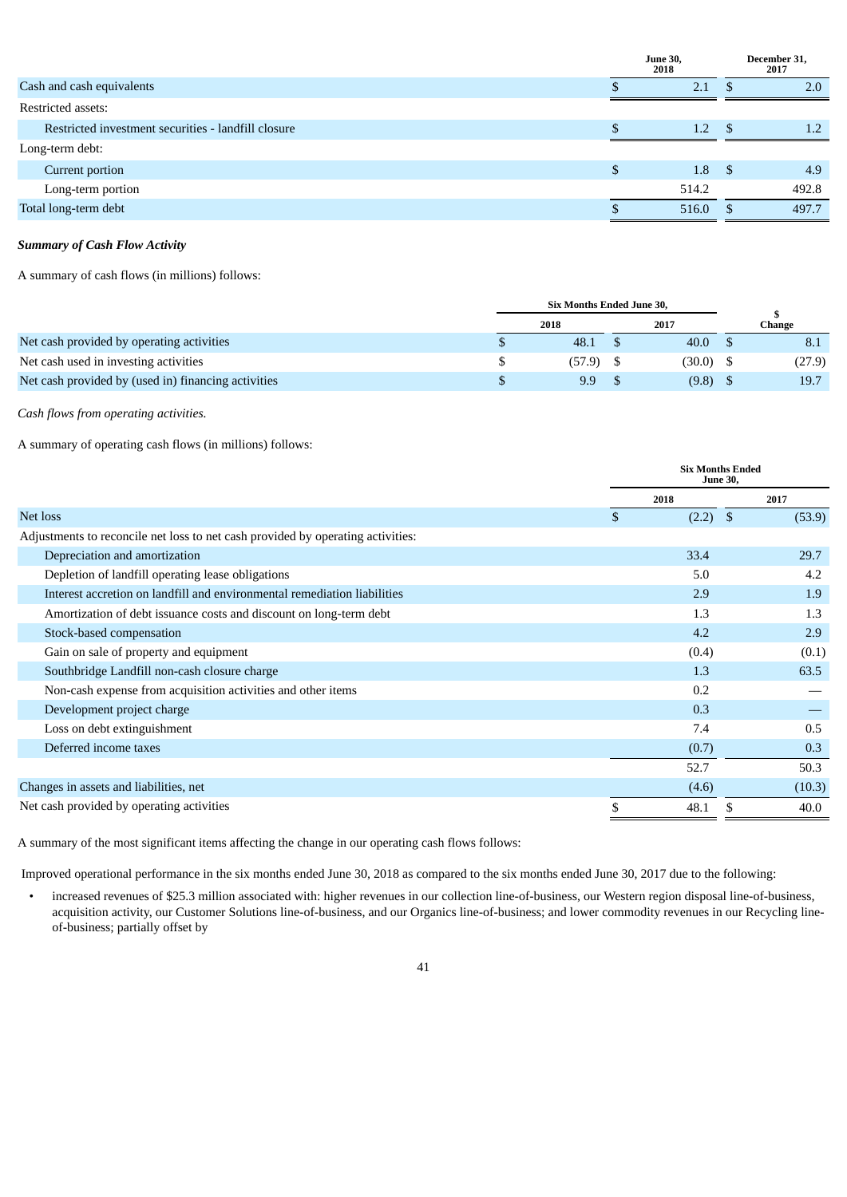|                                                     |   | <b>June 30,</b><br>2018 |      | December 31,<br>2017 |
|-----------------------------------------------------|---|-------------------------|------|----------------------|
| Cash and cash equivalents                           |   | 2.1                     | -86  | 2.0                  |
| Restricted assets:                                  |   |                         |      |                      |
| Restricted investment securities - landfill closure |   | 1.2                     | - \$ | 1.2                  |
| Long-term debt:                                     |   |                         |      |                      |
| Current portion                                     | S | 1.8                     | - \$ | 4.9                  |
| Long-term portion                                   |   | 514.2                   |      | 492.8                |
| Total long-term debt                                |   | 516.0                   | - \$ | 497.7                |
|                                                     |   |                         |      |                      |

# *Summary of Cash Flow Activity*

A summary of cash flows (in millions) follows:

|                                                     |      | <b>Six Months Ended June 30,</b> |             |        |
|-----------------------------------------------------|------|----------------------------------|-------------|--------|
|                                                     | 2018 |                                  | 2017        | Change |
| Net cash provided by operating activities           |      | 48.1                             | 40.0        | 8.1    |
| Net cash used in investing activities               |      | (57.9)                           | $(30.0)$ \$ | (27.9) |
| Net cash provided by (used in) financing activities |      | 9.9                              | (9.8)       | 19.7   |

*Cash flows from operating activities.*

A summary of operating cash flows (in millions) follows:

|                                                                                 | <b>Six Months Ended</b><br><b>June 30,</b> |      |        |
|---------------------------------------------------------------------------------|--------------------------------------------|------|--------|
|                                                                                 | 2018                                       | 2017 |        |
| Net loss                                                                        | \$<br>$(2.2)$ \$                           |      | (53.9) |
| Adjustments to reconcile net loss to net cash provided by operating activities: |                                            |      |        |
| Depreciation and amortization                                                   | 33.4                                       |      | 29.7   |
| Depletion of landfill operating lease obligations                               | 5.0                                        |      | 4.2    |
| Interest accretion on landfill and environmental remediation liabilities        | 2.9                                        |      | 1.9    |
| Amortization of debt issuance costs and discount on long-term debt              | 1.3                                        |      | 1.3    |
| Stock-based compensation                                                        | 4.2                                        |      | 2.9    |
| Gain on sale of property and equipment                                          | (0.4)                                      |      | (0.1)  |
| Southbridge Landfill non-cash closure charge                                    | 1.3                                        |      | 63.5   |
| Non-cash expense from acquisition activities and other items                    | 0.2                                        |      |        |
| Development project charge                                                      | 0.3                                        |      |        |
| Loss on debt extinguishment                                                     | 7.4                                        |      | 0.5    |
| Deferred income taxes                                                           | (0.7)                                      |      | 0.3    |
|                                                                                 | 52.7                                       |      | 50.3   |
| Changes in assets and liabilities, net                                          | (4.6)                                      |      | (10.3) |
| Net cash provided by operating activities                                       | \$<br>48.1                                 |      | 40.0   |

A summary of the most significant items affecting the change in our operating cash flows follows:

Improved operational performance in the six months ended June 30, 2018 as compared to the six months ended June 30, 2017 due to the following:

• increased revenues of \$25.3 million associated with: higher revenues in our collection line-of-business, our Western region disposal line-of-business, acquisition activity, our Customer Solutions line-of-business, and our Organics line-of-business; and lower commodity revenues in our Recycling lineof-business; partially offset by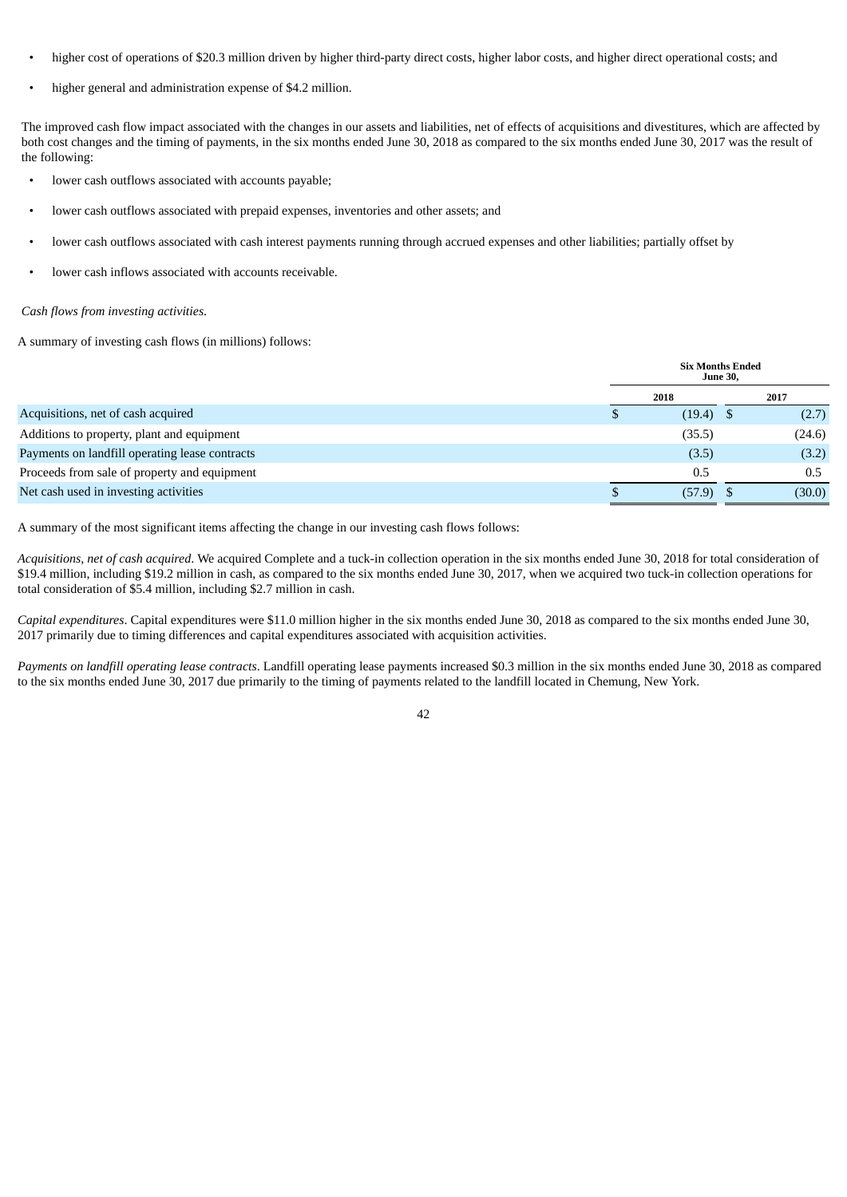- higher cost of operations of \$20.3 million driven by higher third-party direct costs, higher labor costs, and higher direct operational costs; and
- higher general and administration expense of \$4.2 million.

The improved cash flow impact associated with the changes in our assets and liabilities, net of effects of acquisitions and divestitures, which are affected by both cost changes and the timing of payments, in the six months ended June 30, 2018 as compared to the six months ended June 30, 2017 was the result of the following:

- lower cash outflows associated with accounts payable;
- lower cash outflows associated with prepaid expenses, inventories and other assets; and
- lower cash outflows associated with cash interest payments running through accrued expenses and other liabilities; partially offset by
- lower cash inflows associated with accounts receivable.

#### *Cash flows from investing activities*.

A summary of investing cash flows (in millions) follows:

|                                                | <b>Six Months Ended</b><br><b>June 30,</b> |             |  |        |
|------------------------------------------------|--------------------------------------------|-------------|--|--------|
|                                                |                                            | 2018        |  | 2017   |
| Acquisitions, net of cash acquired             |                                            | $(19.4)$ \$ |  | (2.7)  |
| Additions to property, plant and equipment     |                                            | (35.5)      |  | (24.6) |
| Payments on landfill operating lease contracts |                                            | (3.5)       |  | (3.2)  |
| Proceeds from sale of property and equipment   |                                            | 0.5         |  | 0.5    |
| Net cash used in investing activities          |                                            | (57.9)      |  | (30.0) |

A summary of the most significant items affecting the change in our investing cash flows follows:

*Acquisitions, net of cash acquired*. We acquired Complete and a tuck-in collection operation in the six months ended June 30, 2018 for total consideration of \$19.4 million, including \$19.2 million in cash, as compared to the six months ended June 30, 2017, when we acquired two tuck-in collection operations for total consideration of \$5.4 million, including \$2.7 million in cash.

*Capital expenditures*. Capital expenditures were \$11.0 million higher in the six months ended June 30, 2018 as compared to the six months ended June 30, 2017 primarily due to timing differences and capital expenditures associated with acquisition activities.

*Payments on landfill operating lease contracts*. Landfill operating lease payments increased \$0.3 million in the six months ended June 30, 2018 as compared to the six months ended June 30, 2017 due primarily to the timing of payments related to the landfill located in Chemung, New York.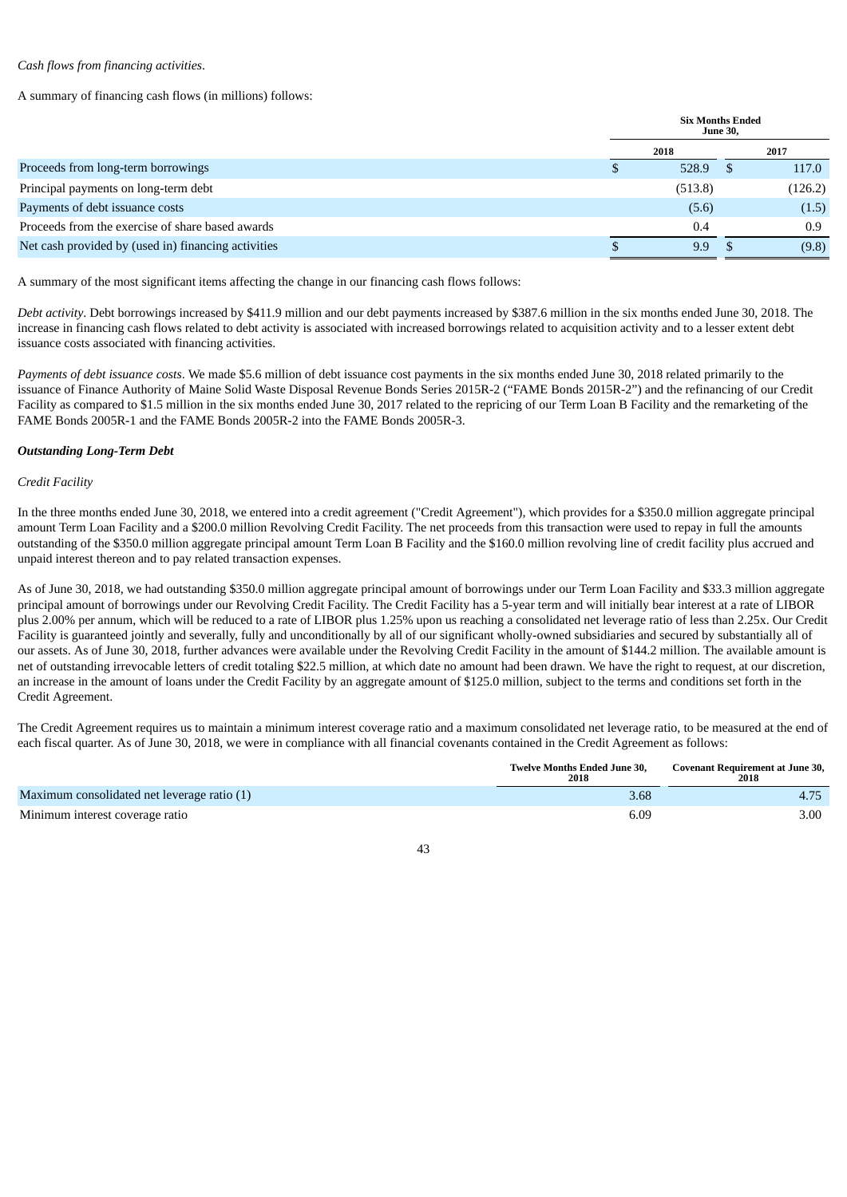## *Cash flows from financing activities*.

A summary of financing cash flows (in millions) follows:

|                                                     | <b>Six Months Ended</b><br><b>June 30,</b> |         |  |         |
|-----------------------------------------------------|--------------------------------------------|---------|--|---------|
|                                                     |                                            | 2018    |  | 2017    |
| Proceeds from long-term borrowings                  |                                            | 528.9   |  | 117.0   |
| Principal payments on long-term debt                |                                            | (513.8) |  | (126.2) |
| Payments of debt issuance costs                     |                                            | (5.6)   |  | (1.5)   |
| Proceeds from the exercise of share based awards    |                                            | 0.4     |  | 0.9     |
| Net cash provided by (used in) financing activities |                                            | 9.9     |  | (9.8)   |
|                                                     |                                            |         |  |         |

A summary of the most significant items affecting the change in our financing cash flows follows:

*Debt activity*. Debt borrowings increased by \$411.9 million and our debt payments increased by \$387.6 million in the six months ended June 30, 2018. The increase in financing cash flows related to debt activity is associated with increased borrowings related to acquisition activity and to a lesser extent debt issuance costs associated with financing activities.

*Payments of debt issuance costs*. We made \$5.6 million of debt issuance cost payments in the six months ended June 30, 2018 related primarily to the issuance of Finance Authority of Maine Solid Waste Disposal Revenue Bonds Series 2015R-2 ("FAME Bonds 2015R-2") and the refinancing of our Credit Facility as compared to \$1.5 million in the six months ended June 30, 2017 related to the repricing of our Term Loan B Facility and the remarketing of the FAME Bonds 2005R-1 and the FAME Bonds 2005R-2 into the FAME Bonds 2005R-3.

## *Outstanding Long-Term Debt*

## *Credit Facility*

In the three months ended June 30, 2018, we entered into a credit agreement ("Credit Agreement"), which provides for a \$350.0 million aggregate principal amount Term Loan Facility and a \$200.0 million Revolving Credit Facility. The net proceeds from this transaction were used to repay in full the amounts outstanding of the \$350.0 million aggregate principal amount Term Loan B Facility and the \$160.0 million revolving line of credit facility plus accrued and unpaid interest thereon and to pay related transaction expenses.

As of June 30, 2018, we had outstanding \$350.0 million aggregate principal amount of borrowings under our Term Loan Facility and \$33.3 million aggregate principal amount of borrowings under our Revolving Credit Facility. The Credit Facility has a 5-year term and will initially bear interest at a rate of LIBOR plus 2.00% per annum, which will be reduced to a rate of LIBOR plus 1.25% upon us reaching a consolidated net leverage ratio of less than 2.25x. Our Credit Facility is guaranteed jointly and severally, fully and unconditionally by all of our significant wholly-owned subsidiaries and secured by substantially all of our assets. As of June 30, 2018, further advances were available under the Revolving Credit Facility in the amount of \$144.2 million. The available amount is net of outstanding irrevocable letters of credit totaling \$22.5 million, at which date no amount had been drawn. We have the right to request, at our discretion, an increase in the amount of loans under the Credit Facility by an aggregate amount of \$125.0 million, subject to the terms and conditions set forth in the Credit Agreement.

The Credit Agreement requires us to maintain a minimum interest coverage ratio and a maximum consolidated net leverage ratio, to be measured at the end of each fiscal quarter. As of June 30, 2018, we were in compliance with all financial covenants contained in the Credit Agreement as follows:

|                                             | <b>Twelve Months Ended June 30.</b><br>2018 | Covenant Requirement at June 30,<br>2018 |  |
|---------------------------------------------|---------------------------------------------|------------------------------------------|--|
| Maximum consolidated net leverage ratio (1) | 3.68                                        |                                          |  |
| Minimum interest coverage ratio             | 6.09                                        | 3.00                                     |  |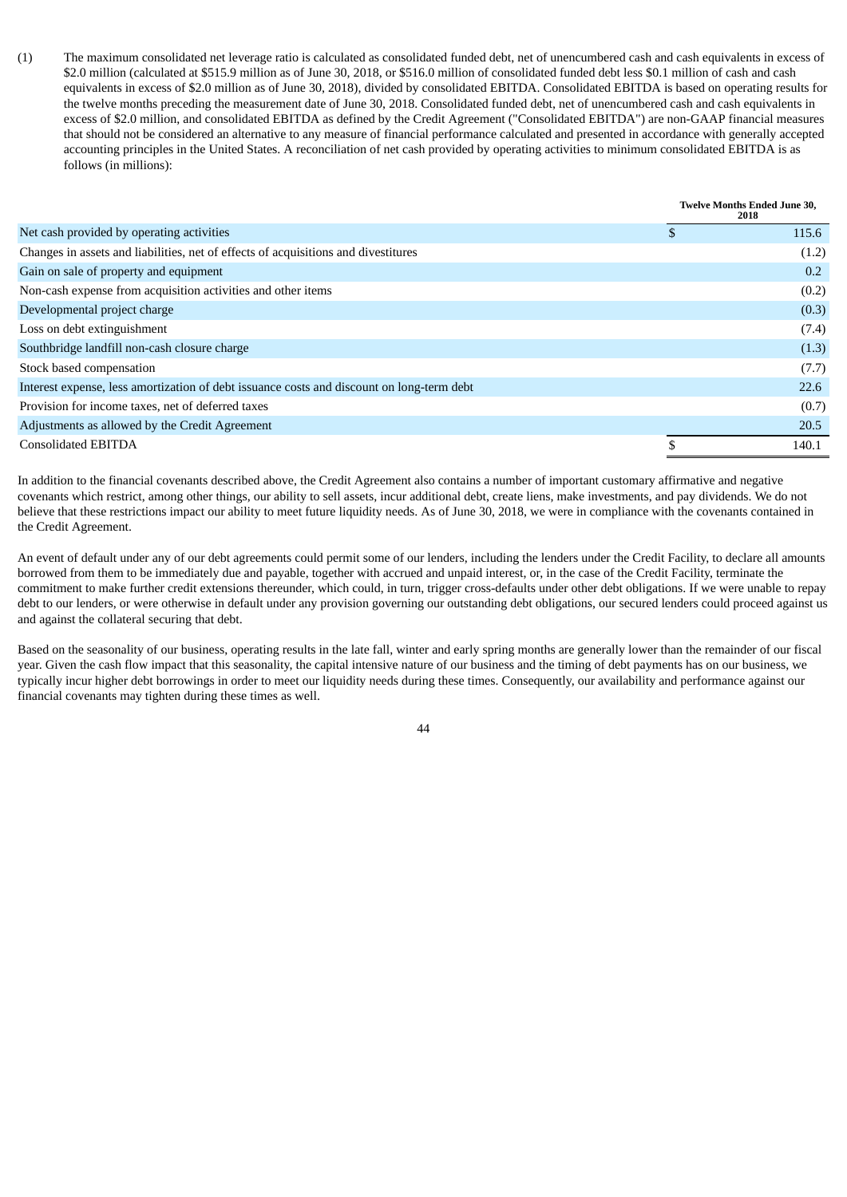(1) The maximum consolidated net leverage ratio is calculated as consolidated funded debt, net of unencumbered cash and cash equivalents in excess of \$2.0 million (calculated at \$515.9 million as of June 30, 2018, or \$516.0 million of consolidated funded debt less \$0.1 million of cash and cash equivalents in excess of \$2.0 million as of June 30, 2018), divided by consolidated EBITDA. Consolidated EBITDA is based on operating results for the twelve months preceding the measurement date of June 30, 2018. Consolidated funded debt, net of unencumbered cash and cash equivalents in excess of \$2.0 million, and consolidated EBITDA as defined by the Credit Agreement ("Consolidated EBITDA") are non-GAAP financial measures that should not be considered an alternative to any measure of financial performance calculated and presented in accordance with generally accepted accounting principles in the United States. A reconciliation of net cash provided by operating activities to minimum consolidated EBITDA is as follows (in millions):

|                                                                                           |    | <b>Twelve Months Ended June 30,</b><br>2018 |
|-------------------------------------------------------------------------------------------|----|---------------------------------------------|
| Net cash provided by operating activities                                                 | Эħ | 115.6                                       |
| Changes in assets and liabilities, net of effects of acquisitions and divestitures        |    | (1.2)                                       |
| Gain on sale of property and equipment                                                    |    | 0.2                                         |
| Non-cash expense from acquisition activities and other items                              |    | (0.2)                                       |
| Developmental project charge                                                              |    | (0.3)                                       |
| Loss on debt extinguishment                                                               |    | (7.4)                                       |
| Southbridge landfill non-cash closure charge                                              |    | (1.3)                                       |
| Stock based compensation                                                                  |    | (7.7)                                       |
| Interest expense, less amortization of debt issuance costs and discount on long-term debt |    | 22.6                                        |
| Provision for income taxes, net of deferred taxes                                         |    | (0.7)                                       |
| Adjustments as allowed by the Credit Agreement                                            |    | 20.5                                        |
| <b>Consolidated EBITDA</b>                                                                | \$ | 140.1                                       |

In addition to the financial covenants described above, the Credit Agreement also contains a number of important customary affirmative and negative covenants which restrict, among other things, our ability to sell assets, incur additional debt, create liens, make investments, and pay dividends. We do not believe that these restrictions impact our ability to meet future liquidity needs. As of June 30, 2018, we were in compliance with the covenants contained in the Credit Agreement.

An event of default under any of our debt agreements could permit some of our lenders, including the lenders under the Credit Facility, to declare all amounts borrowed from them to be immediately due and payable, together with accrued and unpaid interest, or, in the case of the Credit Facility, terminate the commitment to make further credit extensions thereunder, which could, in turn, trigger cross-defaults under other debt obligations. If we were unable to repay debt to our lenders, or were otherwise in default under any provision governing our outstanding debt obligations, our secured lenders could proceed against us and against the collateral securing that debt.

Based on the seasonality of our business, operating results in the late fall, winter and early spring months are generally lower than the remainder of our fiscal year. Given the cash flow impact that this seasonality, the capital intensive nature of our business and the timing of debt payments has on our business, we typically incur higher debt borrowings in order to meet our liquidity needs during these times. Consequently, our availability and performance against our financial covenants may tighten during these times as well.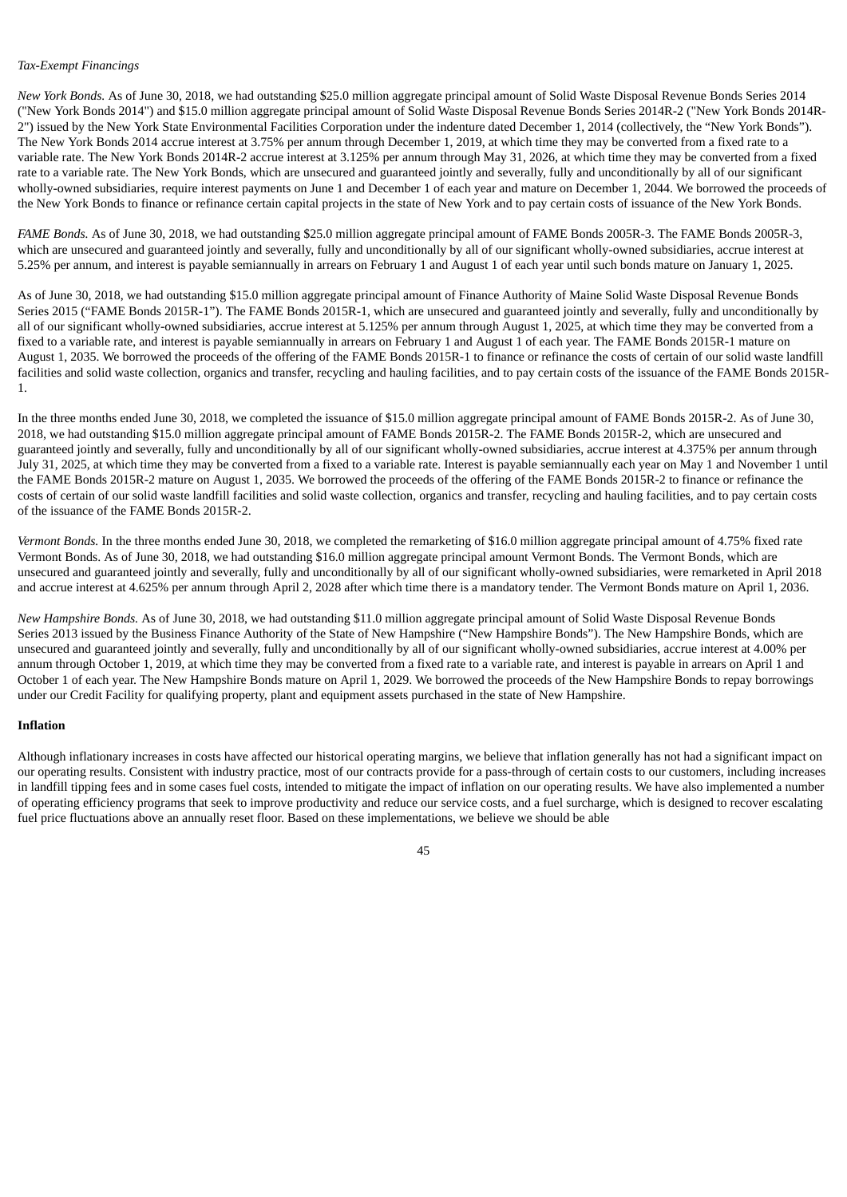#### *Tax-Exempt Financings*

*New York Bonds.* As of June 30, 2018, we had outstanding \$25.0 million aggregate principal amount of Solid Waste Disposal Revenue Bonds Series 2014 ("New York Bonds 2014") and \$15.0 million aggregate principal amount of Solid Waste Disposal Revenue Bonds Series 2014R-2 ("New York Bonds 2014R-2") issued by the New York State Environmental Facilities Corporation under the indenture dated December 1, 2014 (collectively, the "New York Bonds"). The New York Bonds 2014 accrue interest at 3.75% per annum through December 1, 2019, at which time they may be converted from a fixed rate to a variable rate. The New York Bonds 2014R-2 accrue interest at 3.125% per annum through May 31, 2026, at which time they may be converted from a fixed rate to a variable rate. The New York Bonds, which are unsecured and guaranteed jointly and severally, fully and unconditionally by all of our significant wholly-owned subsidiaries, require interest payments on June 1 and December 1 of each year and mature on December 1, 2044. We borrowed the proceeds of the New York Bonds to finance or refinance certain capital projects in the state of New York and to pay certain costs of issuance of the New York Bonds.

*FAME Bonds.* As of June 30, 2018, we had outstanding \$25.0 million aggregate principal amount of FAME Bonds 2005R-3. The FAME Bonds 2005R-3, which are unsecured and guaranteed jointly and severally, fully and unconditionally by all of our significant wholly-owned subsidiaries, accrue interest at 5.25% per annum, and interest is payable semiannually in arrears on February 1 and August 1 of each year until such bonds mature on January 1, 2025.

As of June 30, 2018, we had outstanding \$15.0 million aggregate principal amount of Finance Authority of Maine Solid Waste Disposal Revenue Bonds Series 2015 ("FAME Bonds 2015R-1"). The FAME Bonds 2015R-1, which are unsecured and guaranteed jointly and severally, fully and unconditionally by all of our significant wholly-owned subsidiaries, accrue interest at 5.125% per annum through August 1, 2025, at which time they may be converted from a fixed to a variable rate, and interest is payable semiannually in arrears on February 1 and August 1 of each year. The FAME Bonds 2015R-1 mature on August 1, 2035. We borrowed the proceeds of the offering of the FAME Bonds 2015R-1 to finance or refinance the costs of certain of our solid waste landfill facilities and solid waste collection, organics and transfer, recycling and hauling facilities, and to pay certain costs of the issuance of the FAME Bonds 2015R-1.

In the three months ended June 30, 2018, we completed the issuance of \$15.0 million aggregate principal amount of FAME Bonds 2015R-2. As of June 30, 2018, we had outstanding \$15.0 million aggregate principal amount of FAME Bonds 2015R-2. The FAME Bonds 2015R-2, which are unsecured and guaranteed jointly and severally, fully and unconditionally by all of our significant wholly-owned subsidiaries, accrue interest at 4.375% per annum through July 31, 2025, at which time they may be converted from a fixed to a variable rate. Interest is payable semiannually each year on May 1 and November 1 until the FAME Bonds 2015R-2 mature on August 1, 2035. We borrowed the proceeds of the offering of the FAME Bonds 2015R-2 to finance or refinance the costs of certain of our solid waste landfill facilities and solid waste collection, organics and transfer, recycling and hauling facilities, and to pay certain costs of the issuance of the FAME Bonds 2015R-2.

*Vermont Bonds.* In the three months ended June 30, 2018, we completed the remarketing of \$16.0 million aggregate principal amount of 4.75% fixed rate Vermont Bonds. As of June 30, 2018, we had outstanding \$16.0 million aggregate principal amount Vermont Bonds. The Vermont Bonds, which are unsecured and guaranteed jointly and severally, fully and unconditionally by all of our significant wholly-owned subsidiaries, were remarketed in April 2018 and accrue interest at 4.625% per annum through April 2, 2028 after which time there is a mandatory tender. The Vermont Bonds mature on April 1, 2036.

*New Hampshire Bonds.* As of June 30, 2018, we had outstanding \$11.0 million aggregate principal amount of Solid Waste Disposal Revenue Bonds Series 2013 issued by the Business Finance Authority of the State of New Hampshire ("New Hampshire Bonds"). The New Hampshire Bonds, which are unsecured and guaranteed jointly and severally, fully and unconditionally by all of our significant wholly-owned subsidiaries, accrue interest at 4.00% per annum through October 1, 2019, at which time they may be converted from a fixed rate to a variable rate, and interest is payable in arrears on April 1 and October 1 of each year. The New Hampshire Bonds mature on April 1, 2029. We borrowed the proceeds of the New Hampshire Bonds to repay borrowings under our Credit Facility for qualifying property, plant and equipment assets purchased in the state of New Hampshire.

## **Inflation**

Although inflationary increases in costs have affected our historical operating margins, we believe that inflation generally has not had a significant impact on our operating results. Consistent with industry practice, most of our contracts provide for a pass-through of certain costs to our customers, including increases in landfill tipping fees and in some cases fuel costs, intended to mitigate the impact of inflation on our operating results. We have also implemented a number of operating efficiency programs that seek to improve productivity and reduce our service costs, and a fuel surcharge, which is designed to recover escalating fuel price fluctuations above an annually reset floor. Based on these implementations, we believe we should be able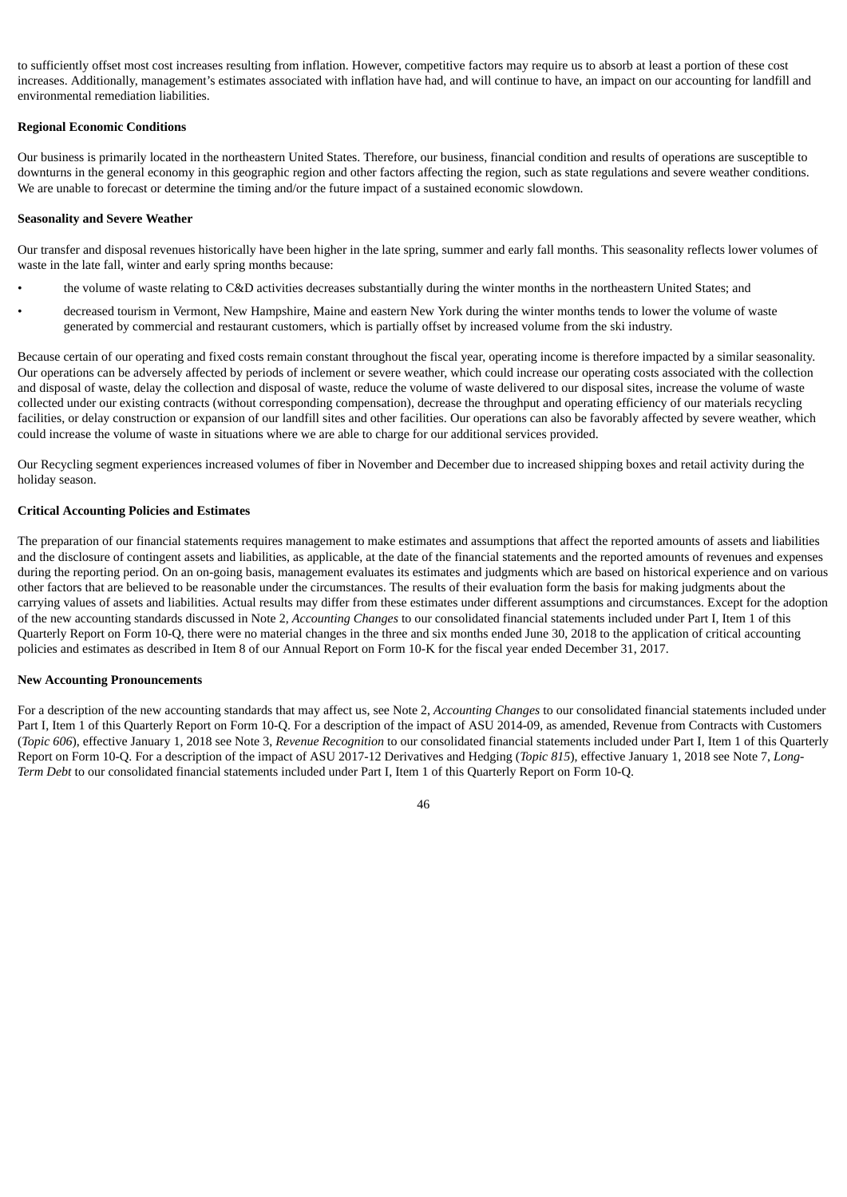to sufficiently offset most cost increases resulting from inflation. However, competitive factors may require us to absorb at least a portion of these cost increases. Additionally, management's estimates associated with inflation have had, and will continue to have, an impact on our accounting for landfill and environmental remediation liabilities.

#### **Regional Economic Conditions**

Our business is primarily located in the northeastern United States. Therefore, our business, financial condition and results of operations are susceptible to downturns in the general economy in this geographic region and other factors affecting the region, such as state regulations and severe weather conditions. We are unable to forecast or determine the timing and/or the future impact of a sustained economic slowdown.

#### **Seasonality and Severe Weather**

Our transfer and disposal revenues historically have been higher in the late spring, summer and early fall months. This seasonality reflects lower volumes of waste in the late fall, winter and early spring months because:

- the volume of waste relating to C&D activities decreases substantially during the winter months in the northeastern United States; and
- decreased tourism in Vermont, New Hampshire, Maine and eastern New York during the winter months tends to lower the volume of waste generated by commercial and restaurant customers, which is partially offset by increased volume from the ski industry.

Because certain of our operating and fixed costs remain constant throughout the fiscal year, operating income is therefore impacted by a similar seasonality. Our operations can be adversely affected by periods of inclement or severe weather, which could increase our operating costs associated with the collection and disposal of waste, delay the collection and disposal of waste, reduce the volume of waste delivered to our disposal sites, increase the volume of waste collected under our existing contracts (without corresponding compensation), decrease the throughput and operating efficiency of our materials recycling facilities, or delay construction or expansion of our landfill sites and other facilities. Our operations can also be favorably affected by severe weather, which could increase the volume of waste in situations where we are able to charge for our additional services provided.

Our Recycling segment experiences increased volumes of fiber in November and December due to increased shipping boxes and retail activity during the holiday season.

## **Critical Accounting Policies and Estimates**

The preparation of our financial statements requires management to make estimates and assumptions that affect the reported amounts of assets and liabilities and the disclosure of contingent assets and liabilities, as applicable, at the date of the financial statements and the reported amounts of revenues and expenses during the reporting period. On an on-going basis, management evaluates its estimates and judgments which are based on historical experience and on various other factors that are believed to be reasonable under the circumstances. The results of their evaluation form the basis for making judgments about the carrying values of assets and liabilities. Actual results may differ from these estimates under different assumptions and circumstances. Except for the adoption of the new accounting standards discussed in Note 2, *Accounting Changes* to our consolidated financial statements included under Part I, Item 1 of this Quarterly Report on Form 10-Q, there were no material changes in the three and six months ended June 30, 2018 to the application of critical accounting policies and estimates as described in Item 8 of our Annual Report on Form 10-K for the fiscal year ended December 31, 2017.

## **New Accounting Pronouncements**

For a description of the new accounting standards that may affect us, see Note 2, *Accounting Changes* to our consolidated financial statements included under Part I, Item 1 of this Quarterly Report on Form 10-Q. For a description of the impact of ASU 2014-09, as amended, Revenue from Contracts with Customers (*Topic 606*), effective January 1, 2018 see Note 3, *Revenue Recognition* to our consolidated financial statements included under Part I, Item 1 of this Quarterly Report on Form 10-Q. For a description of the impact of ASU 2017-12 Derivatives and Hedging (*Topic 815*), effective January 1, 2018 see Note 7, *Long-Term Debt* to our consolidated financial statements included under Part I, Item 1 of this Quarterly Report on Form 10-Q.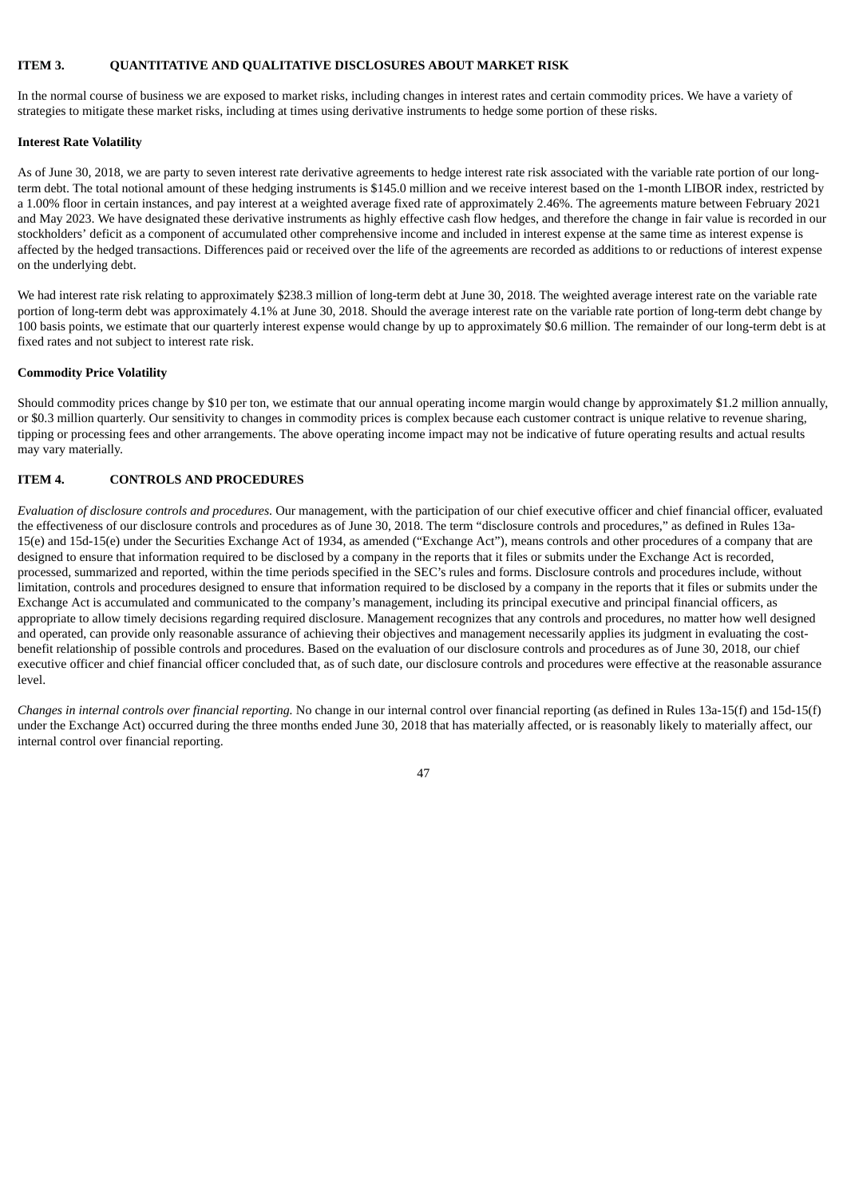## **ITEM 3. QUANTITATIVE AND QUALITATIVE DISCLOSURES ABOUT MARKET RISK**

In the normal course of business we are exposed to market risks, including changes in interest rates and certain commodity prices. We have a variety of strategies to mitigate these market risks, including at times using derivative instruments to hedge some portion of these risks.

## **Interest Rate Volatility**

As of June 30, 2018, we are party to seven interest rate derivative agreements to hedge interest rate risk associated with the variable rate portion of our longterm debt. The total notional amount of these hedging instruments is \$145.0 million and we receive interest based on the 1-month LIBOR index, restricted by a 1.00% floor in certain instances, and pay interest at a weighted average fixed rate of approximately 2.46%. The agreements mature between February 2021 and May 2023. We have designated these derivative instruments as highly effective cash flow hedges, and therefore the change in fair value is recorded in our stockholders' deficit as a component of accumulated other comprehensive income and included in interest expense at the same time as interest expense is affected by the hedged transactions. Differences paid or received over the life of the agreements are recorded as additions to or reductions of interest expense on the underlying debt.

We had interest rate risk relating to approximately \$238.3 million of long-term debt at June 30, 2018. The weighted average interest rate on the variable rate portion of long-term debt was approximately 4.1% at June 30, 2018. Should the average interest rate on the variable rate portion of long-term debt change by 100 basis points, we estimate that our quarterly interest expense would change by up to approximately \$0.6 million. The remainder of our long-term debt is at fixed rates and not subject to interest rate risk.

## **Commodity Price Volatility**

Should commodity prices change by \$10 per ton, we estimate that our annual operating income margin would change by approximately \$1.2 million annually, or \$0.3 million quarterly. Our sensitivity to changes in commodity prices is complex because each customer contract is unique relative to revenue sharing, tipping or processing fees and other arrangements. The above operating income impact may not be indicative of future operating results and actual results may vary materially.

## **ITEM 4. CONTROLS AND PROCEDURES**

*Evaluation of disclosure controls and procedures*. Our management, with the participation of our chief executive officer and chief financial officer, evaluated the effectiveness of our disclosure controls and procedures as of June 30, 2018. The term "disclosure controls and procedures," as defined in Rules 13a-15(e) and 15d-15(e) under the Securities Exchange Act of 1934, as amended ("Exchange Act"), means controls and other procedures of a company that are designed to ensure that information required to be disclosed by a company in the reports that it files or submits under the Exchange Act is recorded, processed, summarized and reported, within the time periods specified in the SEC's rules and forms. Disclosure controls and procedures include, without limitation, controls and procedures designed to ensure that information required to be disclosed by a company in the reports that it files or submits under the Exchange Act is accumulated and communicated to the company's management, including its principal executive and principal financial officers, as appropriate to allow timely decisions regarding required disclosure. Management recognizes that any controls and procedures, no matter how well designed and operated, can provide only reasonable assurance of achieving their objectives and management necessarily applies its judgment in evaluating the costbenefit relationship of possible controls and procedures. Based on the evaluation of our disclosure controls and procedures as of June 30, 2018, our chief executive officer and chief financial officer concluded that, as of such date, our disclosure controls and procedures were effective at the reasonable assurance level.

*Changes in internal controls over financial reporting.* No change in our internal control over financial reporting (as defined in Rules 13a-15(f) and 15d-15(f) under the Exchange Act) occurred during the three months ended June 30, 2018 that has materially affected, or is reasonably likely to materially affect, our internal control over financial reporting.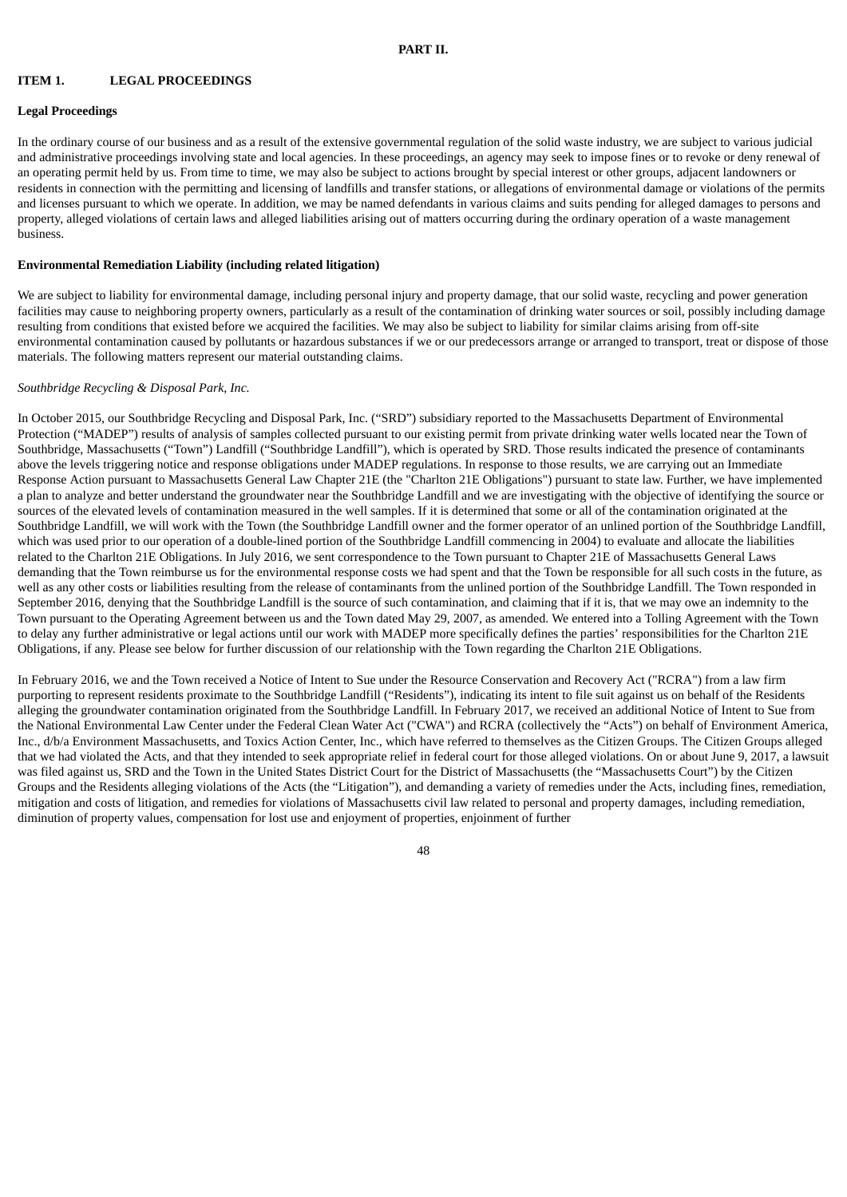## **ITEM 1. LEGAL PROCEEDINGS**

#### **Legal Proceedings**

In the ordinary course of our business and as a result of the extensive governmental regulation of the solid waste industry, we are subject to various judicial and administrative proceedings involving state and local agencies. In these proceedings, an agency may seek to impose fines or to revoke or deny renewal of an operating permit held by us. From time to time, we may also be subject to actions brought by special interest or other groups, adjacent landowners or residents in connection with the permitting and licensing of landfills and transfer stations, or allegations of environmental damage or violations of the permits and licenses pursuant to which we operate. In addition, we may be named defendants in various claims and suits pending for alleged damages to persons and property, alleged violations of certain laws and alleged liabilities arising out of matters occurring during the ordinary operation of a waste management business.

#### **Environmental Remediation Liability (including related litigation)**

We are subject to liability for environmental damage, including personal injury and property damage, that our solid waste, recycling and power generation facilities may cause to neighboring property owners, particularly as a result of the contamination of drinking water sources or soil, possibly including damage resulting from conditions that existed before we acquired the facilities. We may also be subject to liability for similar claims arising from off-site environmental contamination caused by pollutants or hazardous substances if we or our predecessors arrange or arranged to transport, treat or dispose of those materials. The following matters represent our material outstanding claims.

## *Southbridge Recycling & Disposal Park, Inc.*

In October 2015, our Southbridge Recycling and Disposal Park, Inc. ("SRD") subsidiary reported to the Massachusetts Department of Environmental Protection ("MADEP") results of analysis of samples collected pursuant to our existing permit from private drinking water wells located near the Town of Southbridge, Massachusetts ("Town") Landfill ("Southbridge Landfill"), which is operated by SRD. Those results indicated the presence of contaminants above the levels triggering notice and response obligations under MADEP regulations. In response to those results, we are carrying out an Immediate Response Action pursuant to Massachusetts General Law Chapter 21E (the "Charlton 21E Obligations") pursuant to state law. Further, we have implemented a plan to analyze and better understand the groundwater near the Southbridge Landfill and we are investigating with the objective of identifying the source or sources of the elevated levels of contamination measured in the well samples. If it is determined that some or all of the contamination originated at the Southbridge Landfill, we will work with the Town (the Southbridge Landfill owner and the former operator of an unlined portion of the Southbridge Landfill, which was used prior to our operation of a double-lined portion of the Southbridge Landfill commencing in 2004) to evaluate and allocate the liabilities related to the Charlton 21E Obligations. In July 2016, we sent correspondence to the Town pursuant to Chapter 21E of Massachusetts General Laws demanding that the Town reimburse us for the environmental response costs we had spent and that the Town be responsible for all such costs in the future, as well as any other costs or liabilities resulting from the release of contaminants from the unlined portion of the Southbridge Landfill. The Town responded in September 2016, denying that the Southbridge Landfill is the source of such contamination, and claiming that if it is, that we may owe an indemnity to the Town pursuant to the Operating Agreement between us and the Town dated May 29, 2007, as amended. We entered into a Tolling Agreement with the Town to delay any further administrative or legal actions until our work with MADEP more specifically defines the parties' responsibilities for the Charlton 21E Obligations, if any. Please see below for further discussion of our relationship with the Town regarding the Charlton 21E Obligations.

In February 2016, we and the Town received a Notice of Intent to Sue under the Resource Conservation and Recovery Act ("RCRA") from a law firm purporting to represent residents proximate to the Southbridge Landfill ("Residents"), indicating its intent to file suit against us on behalf of the Residents alleging the groundwater contamination originated from the Southbridge Landfill. In February 2017, we received an additional Notice of Intent to Sue from the National Environmental Law Center under the Federal Clean Water Act ("CWA") and RCRA (collectively the "Acts") on behalf of Environment America, Inc., d/b/a Environment Massachusetts, and Toxics Action Center, Inc., which have referred to themselves as the Citizen Groups. The Citizen Groups alleged that we had violated the Acts, and that they intended to seek appropriate relief in federal court for those alleged violations. On or about June 9, 2017, a lawsuit was filed against us, SRD and the Town in the United States District Court for the District of Massachusetts (the "Massachusetts Court") by the Citizen Groups and the Residents alleging violations of the Acts (the "Litigation"), and demanding a variety of remedies under the Acts, including fines, remediation, mitigation and costs of litigation, and remedies for violations of Massachusetts civil law related to personal and property damages, including remediation, diminution of property values, compensation for lost use and enjoyment of properties, enjoinment of further

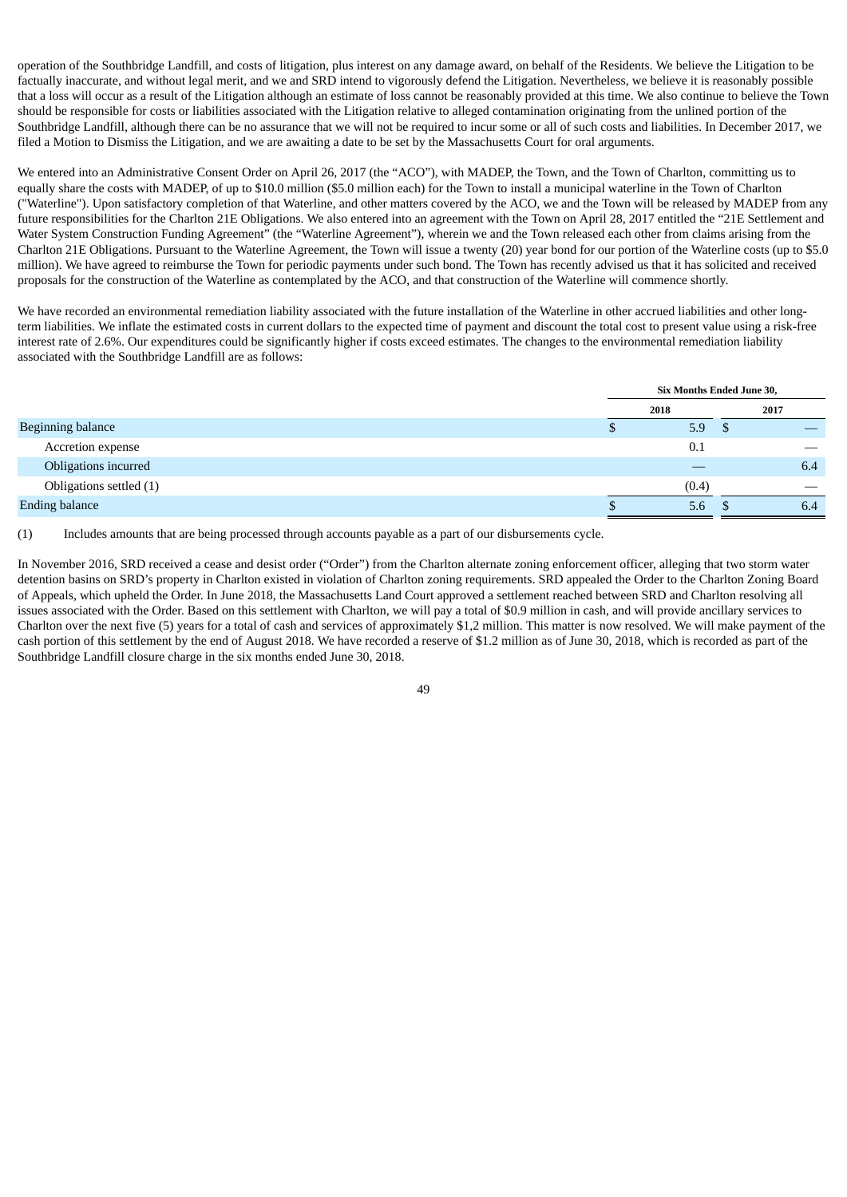operation of the Southbridge Landfill, and costs of litigation, plus interest on any damage award, on behalf of the Residents. We believe the Litigation to be factually inaccurate, and without legal merit, and we and SRD intend to vigorously defend the Litigation. Nevertheless, we believe it is reasonably possible that a loss will occur as a result of the Litigation although an estimate of loss cannot be reasonably provided at this time. We also continue to believe the Town should be responsible for costs or liabilities associated with the Litigation relative to alleged contamination originating from the unlined portion of the Southbridge Landfill, although there can be no assurance that we will not be required to incur some or all of such costs and liabilities. In December 2017, we filed a Motion to Dismiss the Litigation, and we are awaiting a date to be set by the Massachusetts Court for oral arguments.

We entered into an Administrative Consent Order on April 26, 2017 (the "ACO"), with MADEP, the Town, and the Town of Charlton, committing us to equally share the costs with MADEP, of up to \$10.0 million (\$5.0 million each) for the Town to install a municipal waterline in the Town of Charlton ("Waterline"). Upon satisfactory completion of that Waterline, and other matters covered by the ACO, we and the Town will be released by MADEP from any future responsibilities for the Charlton 21E Obligations. We also entered into an agreement with the Town on April 28, 2017 entitled the "21E Settlement and Water System Construction Funding Agreement" (the "Waterline Agreement"), wherein we and the Town released each other from claims arising from the Charlton 21E Obligations. Pursuant to the Waterline Agreement, the Town will issue a twenty (20) year bond for our portion of the Waterline costs (up to \$5.0 million). We have agreed to reimburse the Town for periodic payments under such bond. The Town has recently advised us that it has solicited and received proposals for the construction of the Waterline as contemplated by the ACO, and that construction of the Waterline will commence shortly.

We have recorded an environmental remediation liability associated with the future installation of the Waterline in other accrued liabilities and other longterm liabilities. We inflate the estimated costs in current dollars to the expected time of payment and discount the total cost to present value using a risk-free interest rate of 2.6%. Our expenditures could be significantly higher if costs exceed estimates. The changes to the environmental remediation liability associated with the Southbridge Landfill are as follows:

|                          | Six Months Ended June 30, |   |      |
|--------------------------|---------------------------|---|------|
|                          | 2018                      |   | 2017 |
| <b>Beginning balance</b> | 5.9                       | Φ |      |
| Accretion expense        | 0.1                       |   |      |
| Obligations incurred     |                           |   | 6.4  |
| Obligations settled (1)  | (0.4)                     |   | __   |
| <b>Ending balance</b>    | 5.6                       |   | 6.4  |

(1) Includes amounts that are being processed through accounts payable as a part of our disbursements cycle.

In November 2016, SRD received a cease and desist order ("Order") from the Charlton alternate zoning enforcement officer, alleging that two storm water detention basins on SRD's property in Charlton existed in violation of Charlton zoning requirements. SRD appealed the Order to the Charlton Zoning Board of Appeals, which upheld the Order. In June 2018, the Massachusetts Land Court approved a settlement reached between SRD and Charlton resolving all issues associated with the Order. Based on this settlement with Charlton, we will pay a total of \$0.9 million in cash, and will provide ancillary services to Charlton over the next five (5) years for a total of cash and services of approximately \$1,2 million. This matter is now resolved. We will make payment of the cash portion of this settlement by the end of August 2018. We have recorded a reserve of \$1.2 million as of June 30, 2018, which is recorded as part of the Southbridge Landfill closure charge in the six months ended June 30, 2018.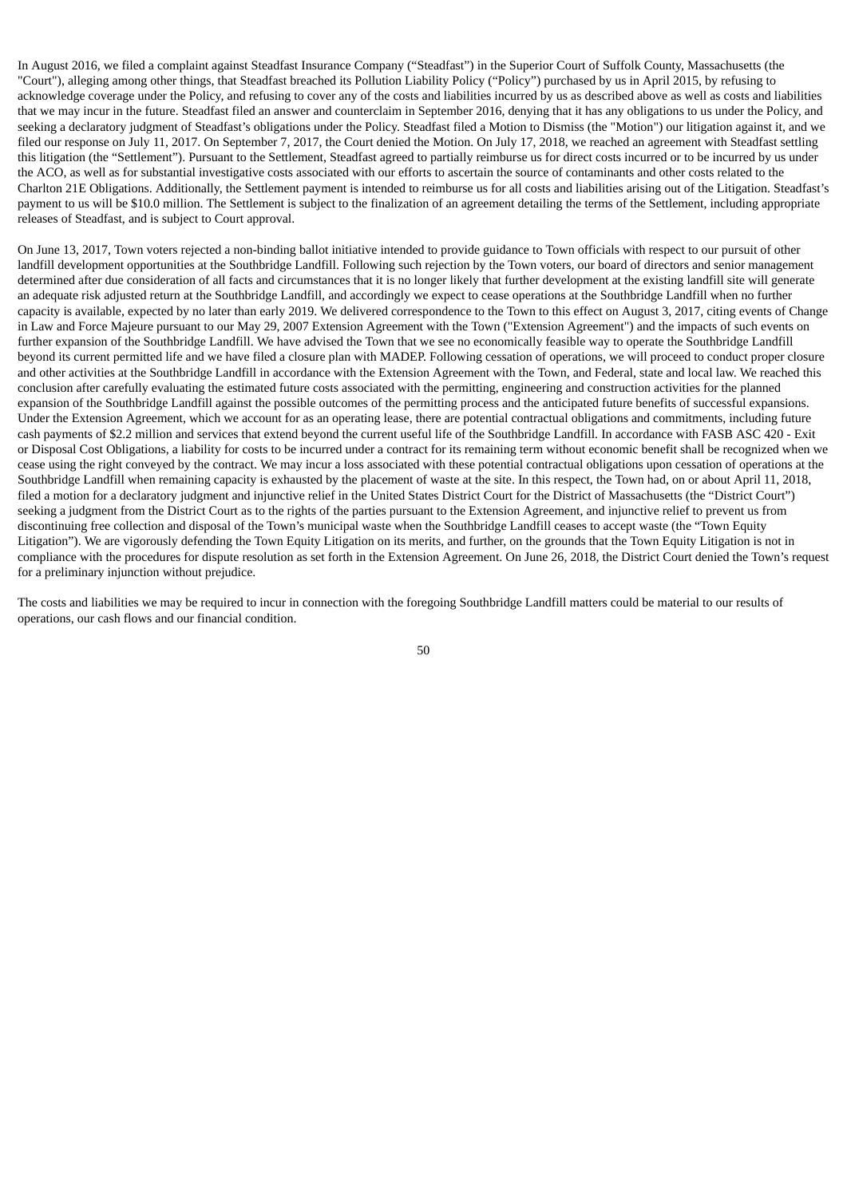In August 2016, we filed a complaint against Steadfast Insurance Company ("Steadfast") in the Superior Court of Suffolk County, Massachusetts (the "Court"), alleging among other things, that Steadfast breached its Pollution Liability Policy ("Policy") purchased by us in April 2015, by refusing to acknowledge coverage under the Policy, and refusing to cover any of the costs and liabilities incurred by us as described above as well as costs and liabilities that we may incur in the future. Steadfast filed an answer and counterclaim in September 2016, denying that it has any obligations to us under the Policy, and seeking a declaratory judgment of Steadfast's obligations under the Policy. Steadfast filed a Motion to Dismiss (the "Motion") our litigation against it, and we filed our response on July 11, 2017. On September 7, 2017, the Court denied the Motion. On July 17, 2018, we reached an agreement with Steadfast settling this litigation (the "Settlement"). Pursuant to the Settlement, Steadfast agreed to partially reimburse us for direct costs incurred or to be incurred by us under the ACO, as well as for substantial investigative costs associated with our efforts to ascertain the source of contaminants and other costs related to the Charlton 21E Obligations. Additionally, the Settlement payment is intended to reimburse us for all costs and liabilities arising out of the Litigation. Steadfast's payment to us will be \$10.0 million. The Settlement is subject to the finalization of an agreement detailing the terms of the Settlement, including appropriate releases of Steadfast, and is subject to Court approval.

On June 13, 2017, Town voters rejected a non-binding ballot initiative intended to provide guidance to Town officials with respect to our pursuit of other landfill development opportunities at the Southbridge Landfill. Following such rejection by the Town voters, our board of directors and senior management determined after due consideration of all facts and circumstances that it is no longer likely that further development at the existing landfill site will generate an adequate risk adjusted return at the Southbridge Landfill, and accordingly we expect to cease operations at the Southbridge Landfill when no further capacity is available, expected by no later than early 2019. We delivered correspondence to the Town to this effect on August 3, 2017, citing events of Change in Law and Force Majeure pursuant to our May 29, 2007 Extension Agreement with the Town ("Extension Agreement") and the impacts of such events on further expansion of the Southbridge Landfill. We have advised the Town that we see no economically feasible way to operate the Southbridge Landfill beyond its current permitted life and we have filed a closure plan with MADEP. Following cessation of operations, we will proceed to conduct proper closure and other activities at the Southbridge Landfill in accordance with the Extension Agreement with the Town, and Federal, state and local law. We reached this conclusion after carefully evaluating the estimated future costs associated with the permitting, engineering and construction activities for the planned expansion of the Southbridge Landfill against the possible outcomes of the permitting process and the anticipated future benefits of successful expansions. Under the Extension Agreement, which we account for as an operating lease, there are potential contractual obligations and commitments, including future cash payments of \$2.2 million and services that extend beyond the current useful life of the Southbridge Landfill. In accordance with FASB ASC 420 - Exit or Disposal Cost Obligations, a liability for costs to be incurred under a contract for its remaining term without economic benefit shall be recognized when we cease using the right conveyed by the contract. We may incur a loss associated with these potential contractual obligations upon cessation of operations at the Southbridge Landfill when remaining capacity is exhausted by the placement of waste at the site. In this respect, the Town had, on or about April 11, 2018, filed a motion for a declaratory judgment and injunctive relief in the United States District Court for the District of Massachusetts (the "District Court") seeking a judgment from the District Court as to the rights of the parties pursuant to the Extension Agreement, and injunctive relief to prevent us from discontinuing free collection and disposal of the Town's municipal waste when the Southbridge Landfill ceases to accept waste (the "Town Equity Litigation"). We are vigorously defending the Town Equity Litigation on its merits, and further, on the grounds that the Town Equity Litigation is not in compliance with the procedures for dispute resolution as set forth in the Extension Agreement. On June 26, 2018, the District Court denied the Town's request for a preliminary injunction without prejudice.

The costs and liabilities we may be required to incur in connection with the foregoing Southbridge Landfill matters could be material to our results of operations, our cash flows and our financial condition.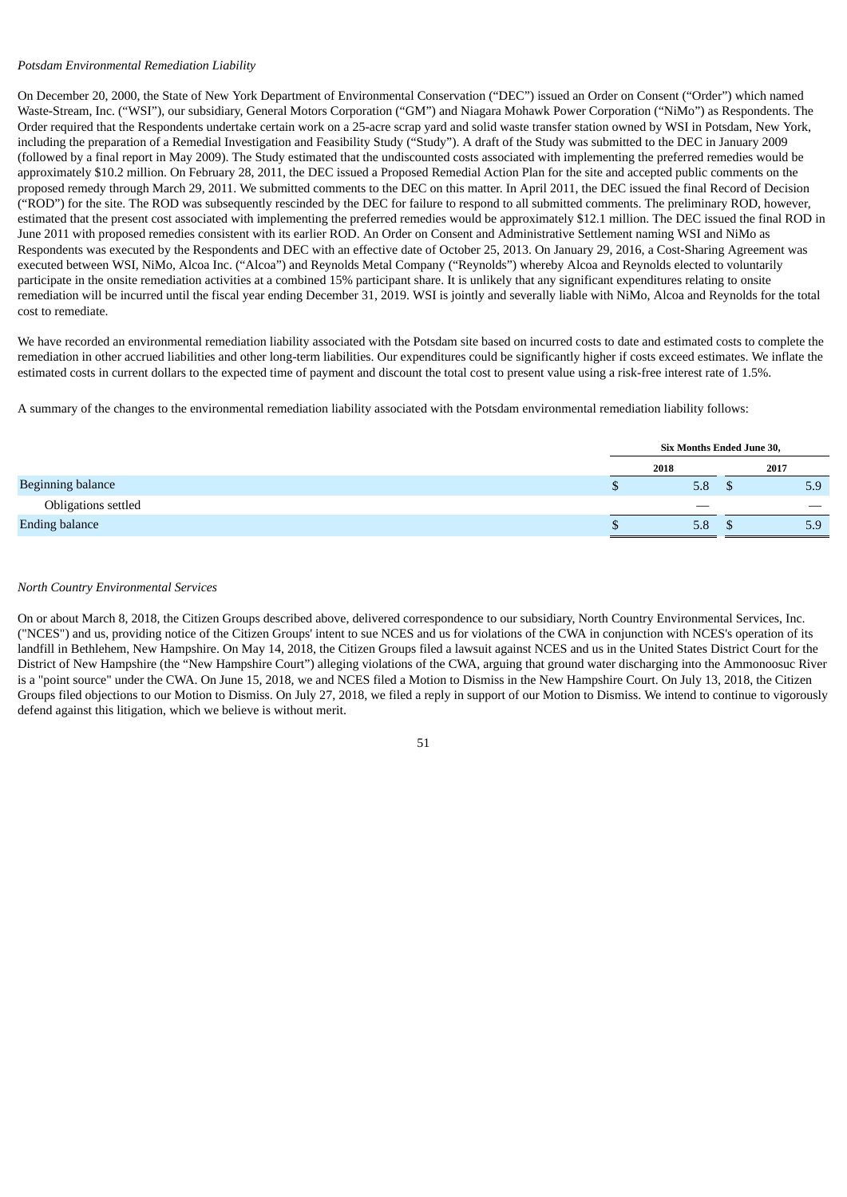### *Potsdam Environmental Remediation Liability*

On December 20, 2000, the State of New York Department of Environmental Conservation ("DEC") issued an Order on Consent ("Order") which named Waste-Stream, Inc. ("WSI"), our subsidiary, General Motors Corporation ("GM") and Niagara Mohawk Power Corporation ("NiMo") as Respondents. The Order required that the Respondents undertake certain work on a 25-acre scrap yard and solid waste transfer station owned by WSI in Potsdam, New York, including the preparation of a Remedial Investigation and Feasibility Study ("Study"). A draft of the Study was submitted to the DEC in January 2009 (followed by a final report in May 2009). The Study estimated that the undiscounted costs associated with implementing the preferred remedies would be approximately \$10.2 million. On February 28, 2011, the DEC issued a Proposed Remedial Action Plan for the site and accepted public comments on the proposed remedy through March 29, 2011. We submitted comments to the DEC on this matter. In April 2011, the DEC issued the final Record of Decision ("ROD") for the site. The ROD was subsequently rescinded by the DEC for failure to respond to all submitted comments. The preliminary ROD, however, estimated that the present cost associated with implementing the preferred remedies would be approximately \$12.1 million. The DEC issued the final ROD in June 2011 with proposed remedies consistent with its earlier ROD. An Order on Consent and Administrative Settlement naming WSI and NiMo as Respondents was executed by the Respondents and DEC with an effective date of October 25, 2013. On January 29, 2016, a Cost-Sharing Agreement was executed between WSI, NiMo, Alcoa Inc. ("Alcoa") and Reynolds Metal Company ("Reynolds") whereby Alcoa and Reynolds elected to voluntarily participate in the onsite remediation activities at a combined 15% participant share. It is unlikely that any significant expenditures relating to onsite remediation will be incurred until the fiscal year ending December 31, 2019. WSI is jointly and severally liable with NiMo, Alcoa and Reynolds for the total cost to remediate.

We have recorded an environmental remediation liability associated with the Potsdam site based on incurred costs to date and estimated costs to complete the remediation in other accrued liabilities and other long-term liabilities. Our expenditures could be significantly higher if costs exceed estimates. We inflate the estimated costs in current dollars to the expected time of payment and discount the total cost to present value using a risk-free interest rate of 1.5%.

A summary of the changes to the environmental remediation liability associated with the Potsdam environmental remediation liability follows:

|                            | Six Months Ended June 30, |  |      |
|----------------------------|---------------------------|--|------|
|                            | 2018                      |  | 2017 |
| <b>Beginning balance</b>   | 5.8                       |  | 5.9  |
| <b>Obligations settled</b> |                           |  | __   |
| <b>Ending balance</b>      | 5.8                       |  | 5.9  |

## *North Country Environmental Services*

On or about March 8, 2018, the Citizen Groups described above, delivered correspondence to our subsidiary, North Country Environmental Services, Inc. ("NCES") and us, providing notice of the Citizen Groups' intent to sue NCES and us for violations of the CWA in conjunction with NCES's operation of its landfill in Bethlehem, New Hampshire. On May 14, 2018, the Citizen Groups filed a lawsuit against NCES and us in the United States District Court for the District of New Hampshire (the "New Hampshire Court") alleging violations of the CWA, arguing that ground water discharging into the Ammonoosuc River is a "point source" under the CWA. On June 15, 2018, we and NCES filed a Motion to Dismiss in the New Hampshire Court. On July 13, 2018, the Citizen Groups filed objections to our Motion to Dismiss. On July 27, 2018, we filed a reply in support of our Motion to Dismiss. We intend to continue to vigorously defend against this litigation, which we believe is without merit.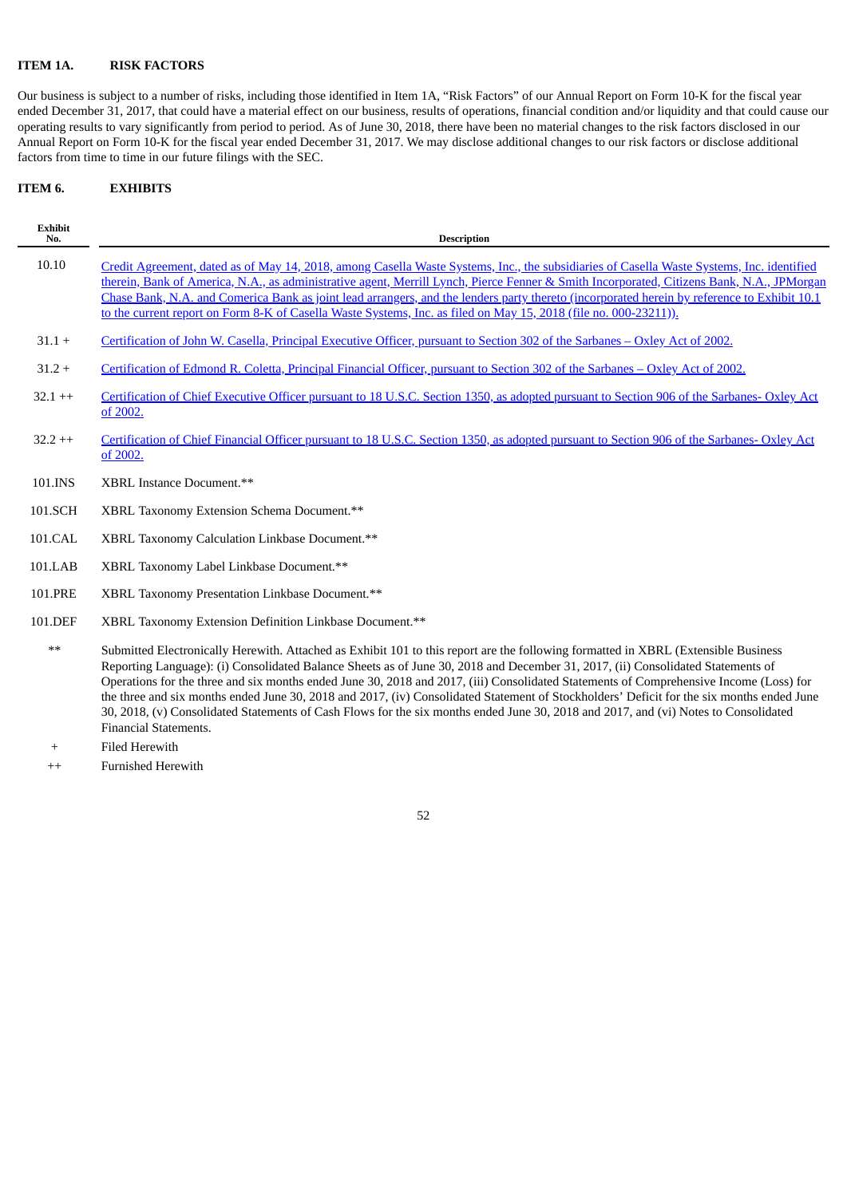## **ITEM 1A. RISK FACTORS**

Our business is subject to a number of risks, including those identified in Item 1A, "Risk Factors" of our Annual Report on Form 10-K for the fiscal year ended December 31, 2017, that could have a material effect on our business, results of operations, financial condition and/or liquidity and that could cause our operating results to vary significantly from period to period. As of June 30, 2018, there have been no material changes to the risk factors disclosed in our Annual Report on Form 10-K for the fiscal year ended December 31, 2017. We may disclose additional changes to our risk factors or disclose additional factors from time to time in our future filings with the SEC.

## **ITEM 6. EXHIBITS**

| <b>Exhibit</b><br>No. | <b>Description</b>                                                                                                                                                                                                                                                                                                                                                                                                                                                                                                                                                                                                                                                                                  |
|-----------------------|-----------------------------------------------------------------------------------------------------------------------------------------------------------------------------------------------------------------------------------------------------------------------------------------------------------------------------------------------------------------------------------------------------------------------------------------------------------------------------------------------------------------------------------------------------------------------------------------------------------------------------------------------------------------------------------------------------|
| 10.10                 | Credit Agreement, dated as of May 14, 2018, among Casella Waste Systems, Inc., the subsidiaries of Casella Waste Systems, Inc. identified<br>therein, Bank of America, N.A., as administrative agent, Merrill Lynch, Pierce Fenner & Smith Incorporated, Citizens Bank, N.A., JPMorgan<br>Chase Bank, N.A. and Comerica Bank as joint lead arrangers, and the lenders party thereto (incorporated herein by reference to Exhibit 10.1<br>to the current report on Form 8-K of Casella Waste Systems, Inc. as filed on May 15, 2018 (file no. 000-23211)).                                                                                                                                           |
| $31.1 +$              | Certification of John W. Casella, Principal Executive Officer, pursuant to Section 302 of the Sarbanes - Oxley Act of 2002.                                                                                                                                                                                                                                                                                                                                                                                                                                                                                                                                                                         |
| $31.2 +$              | Certification of Edmond R. Coletta, Principal Financial Officer, pursuant to Section 302 of the Sarbanes – Oxley Act of 2002.                                                                                                                                                                                                                                                                                                                                                                                                                                                                                                                                                                       |
| $32.1 + +$            | Certification of Chief Executive Officer pursuant to 18 U.S.C. Section 1350, as adopted pursuant to Section 906 of the Sarbanes- Oxley Act<br>of 2002.                                                                                                                                                                                                                                                                                                                                                                                                                                                                                                                                              |
| $32.2$ ++             | Certification of Chief Financial Officer pursuant to 18 U.S.C. Section 1350, as adopted pursuant to Section 906 of the Sarbanes-Oxley Act<br>of 2002.                                                                                                                                                                                                                                                                                                                                                                                                                                                                                                                                               |
| 101.INS               | XBRL Instance Document.**                                                                                                                                                                                                                                                                                                                                                                                                                                                                                                                                                                                                                                                                           |
| 101.SCH               | XBRL Taxonomy Extension Schema Document.**                                                                                                                                                                                                                                                                                                                                                                                                                                                                                                                                                                                                                                                          |
| 101.CAL               | XBRL Taxonomy Calculation Linkbase Document.**                                                                                                                                                                                                                                                                                                                                                                                                                                                                                                                                                                                                                                                      |
| 101.LAB               | XBRL Taxonomy Label Linkbase Document.**                                                                                                                                                                                                                                                                                                                                                                                                                                                                                                                                                                                                                                                            |
| 101.PRE               | XBRL Taxonomy Presentation Linkbase Document.**                                                                                                                                                                                                                                                                                                                                                                                                                                                                                                                                                                                                                                                     |
| 101.DEF               | XBRL Taxonomy Extension Definition Linkbase Document.**                                                                                                                                                                                                                                                                                                                                                                                                                                                                                                                                                                                                                                             |
| $***$                 | Submitted Electronically Herewith. Attached as Exhibit 101 to this report are the following formatted in XBRL (Extensible Business<br>Reporting Language): (i) Consolidated Balance Sheets as of June 30, 2018 and December 31, 2017, (ii) Consolidated Statements of<br>Operations for the three and six months ended June 30, 2018 and 2017, (iii) Consolidated Statements of Comprehensive Income (Loss) for<br>the three and six months ended June 30, 2018 and 2017, (iv) Consolidated Statement of Stockholders' Deficit for the six months ended June<br>30, 2018, (v) Consolidated Statements of Cash Flows for the six months ended June 30, 2018 and 2017, and (vi) Notes to Consolidated |

- Financial Statements. + Filed Herewith
- ++ Furnished Herewith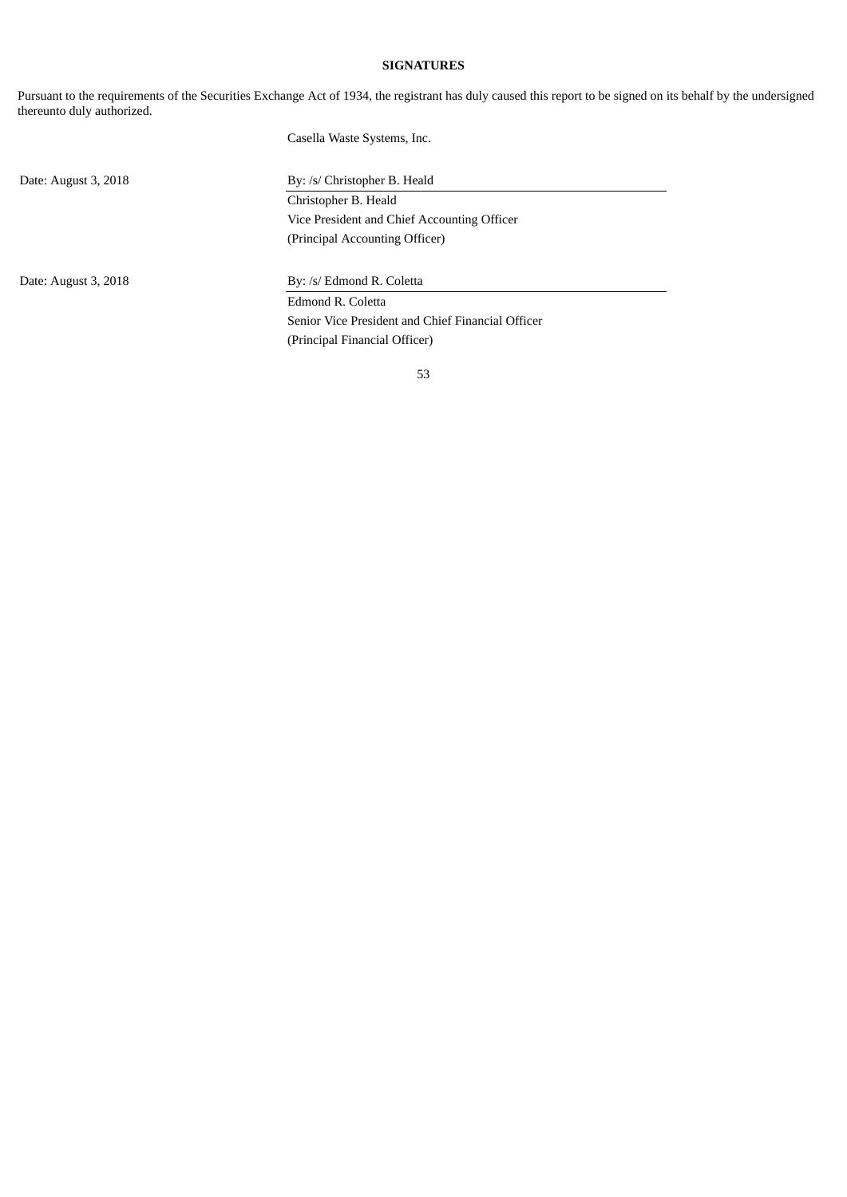## **SIGNATURES**

Pursuant to the requirements of the Securities Exchange Act of 1934, the registrant has duly caused this report to be signed on its behalf by the undersigned thereunto duly authorized.

Casella Waste Systems, Inc.

Date: August 3, 2018 By: /s/ Christopher B. Heald Christopher B. Heald Vice President and Chief Accounting Officer (Principal Accounting Officer)

Date: August 3, 2018 By: /s/ Edmond R. Coletta

Edmond R. Coletta Senior Vice President and Chief Financial Officer (Principal Financial Officer)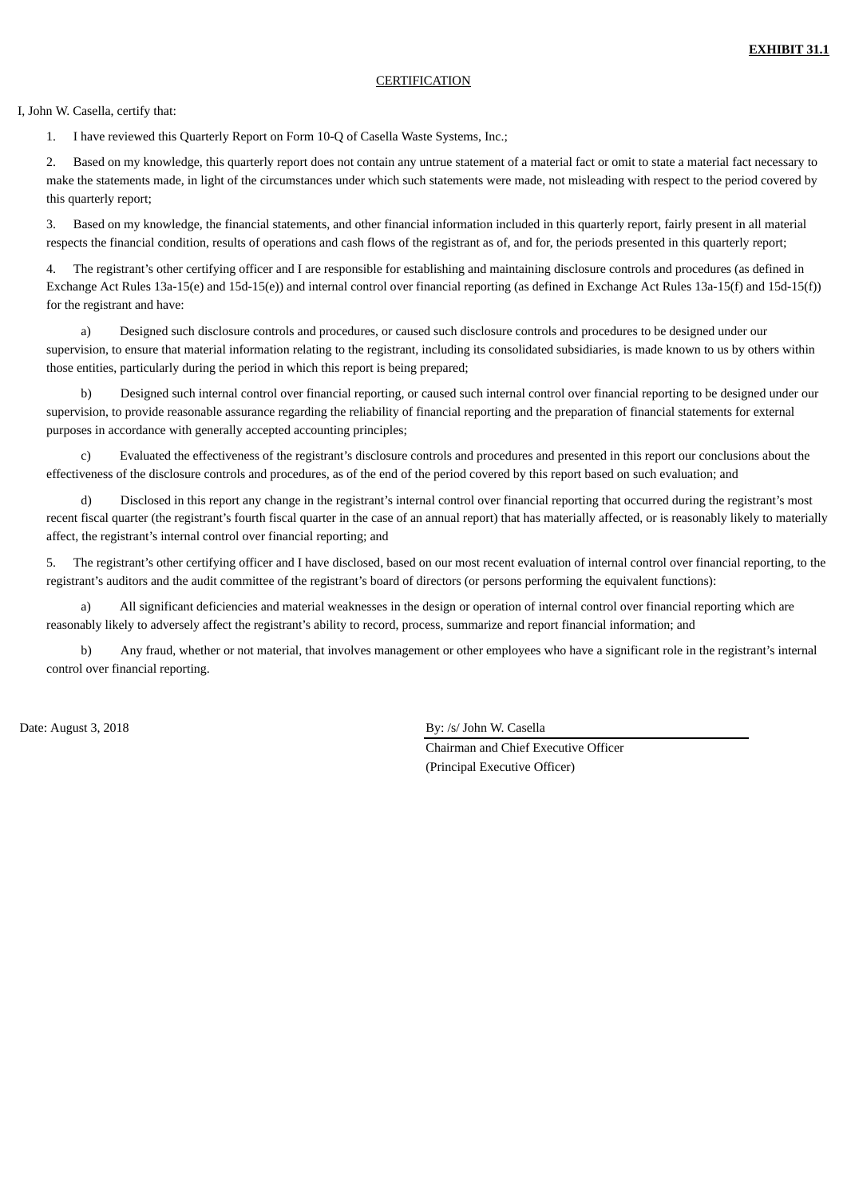### **CERTIFICATION**

#### <span id="page-56-0"></span>I, John W. Casella, certify that:

1. I have reviewed this Quarterly Report on Form 10-Q of Casella Waste Systems, Inc.;

2. Based on my knowledge, this quarterly report does not contain any untrue statement of a material fact or omit to state a material fact necessary to make the statements made, in light of the circumstances under which such statements were made, not misleading with respect to the period covered by this quarterly report;

3. Based on my knowledge, the financial statements, and other financial information included in this quarterly report, fairly present in all material respects the financial condition, results of operations and cash flows of the registrant as of, and for, the periods presented in this quarterly report;

4. The registrant's other certifying officer and I are responsible for establishing and maintaining disclosure controls and procedures (as defined in Exchange Act Rules 13a-15(e) and 15d-15(e)) and internal control over financial reporting (as defined in Exchange Act Rules 13a-15(f) and 15d-15(f)) for the registrant and have:

a) Designed such disclosure controls and procedures, or caused such disclosure controls and procedures to be designed under our supervision, to ensure that material information relating to the registrant, including its consolidated subsidiaries, is made known to us by others within those entities, particularly during the period in which this report is being prepared;

b) Designed such internal control over financial reporting, or caused such internal control over financial reporting to be designed under our supervision, to provide reasonable assurance regarding the reliability of financial reporting and the preparation of financial statements for external purposes in accordance with generally accepted accounting principles;

c) Evaluated the effectiveness of the registrant's disclosure controls and procedures and presented in this report our conclusions about the effectiveness of the disclosure controls and procedures, as of the end of the period covered by this report based on such evaluation; and

d) Disclosed in this report any change in the registrant's internal control over financial reporting that occurred during the registrant's most recent fiscal quarter (the registrant's fourth fiscal quarter in the case of an annual report) that has materially affected, or is reasonably likely to materially affect, the registrant's internal control over financial reporting; and

5. The registrant's other certifying officer and I have disclosed, based on our most recent evaluation of internal control over financial reporting, to the registrant's auditors and the audit committee of the registrant's board of directors (or persons performing the equivalent functions):

a) All significant deficiencies and material weaknesses in the design or operation of internal control over financial reporting which are reasonably likely to adversely affect the registrant's ability to record, process, summarize and report financial information; and

b) Any fraud, whether or not material, that involves management or other employees who have a significant role in the registrant's internal control over financial reporting.

Date: August 3, 2018 By: /s/ John W. Casella

Chairman and Chief Executive Officer (Principal Executive Officer)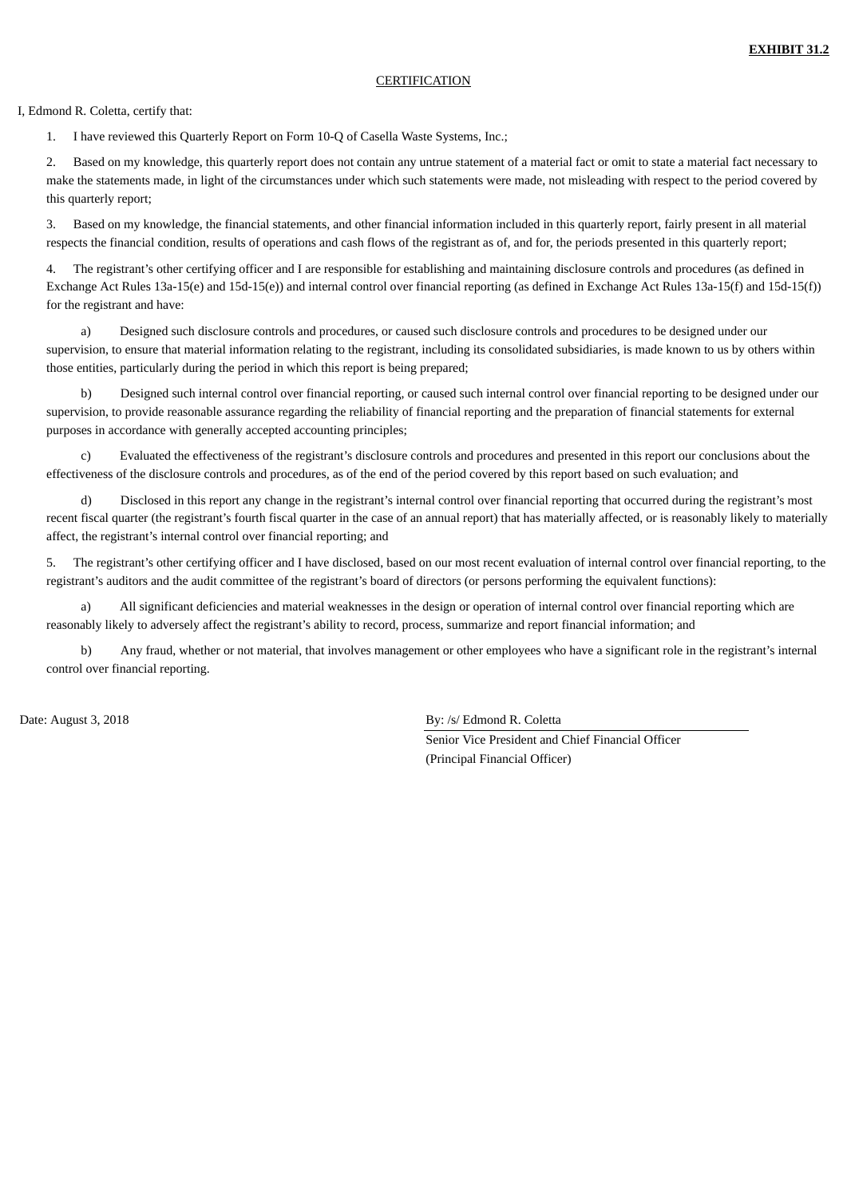## **CERTIFICATION**

#### <span id="page-57-0"></span>I, Edmond R. Coletta, certify that:

1. I have reviewed this Quarterly Report on Form 10-Q of Casella Waste Systems, Inc.;

2. Based on my knowledge, this quarterly report does not contain any untrue statement of a material fact or omit to state a material fact necessary to make the statements made, in light of the circumstances under which such statements were made, not misleading with respect to the period covered by this quarterly report;

3. Based on my knowledge, the financial statements, and other financial information included in this quarterly report, fairly present in all material respects the financial condition, results of operations and cash flows of the registrant as of, and for, the periods presented in this quarterly report;

4. The registrant's other certifying officer and I are responsible for establishing and maintaining disclosure controls and procedures (as defined in Exchange Act Rules 13a-15(e) and 15d-15(e)) and internal control over financial reporting (as defined in Exchange Act Rules 13a-15(f) and 15d-15(f)) for the registrant and have:

a) Designed such disclosure controls and procedures, or caused such disclosure controls and procedures to be designed under our supervision, to ensure that material information relating to the registrant, including its consolidated subsidiaries, is made known to us by others within those entities, particularly during the period in which this report is being prepared;

b) Designed such internal control over financial reporting, or caused such internal control over financial reporting to be designed under our supervision, to provide reasonable assurance regarding the reliability of financial reporting and the preparation of financial statements for external purposes in accordance with generally accepted accounting principles;

c) Evaluated the effectiveness of the registrant's disclosure controls and procedures and presented in this report our conclusions about the effectiveness of the disclosure controls and procedures, as of the end of the period covered by this report based on such evaluation; and

d) Disclosed in this report any change in the registrant's internal control over financial reporting that occurred during the registrant's most recent fiscal quarter (the registrant's fourth fiscal quarter in the case of an annual report) that has materially affected, or is reasonably likely to materially affect, the registrant's internal control over financial reporting; and

The registrant's other certifying officer and I have disclosed, based on our most recent evaluation of internal control over financial reporting, to the registrant's auditors and the audit committee of the registrant's board of directors (or persons performing the equivalent functions):

a) All significant deficiencies and material weaknesses in the design or operation of internal control over financial reporting which are reasonably likely to adversely affect the registrant's ability to record, process, summarize and report financial information; and

b) Any fraud, whether or not material, that involves management or other employees who have a significant role in the registrant's internal control over financial reporting.

Date: August 3, 2018 By: /s/ Edmond R. Coletta

Senior Vice President and Chief Financial Officer (Principal Financial Officer)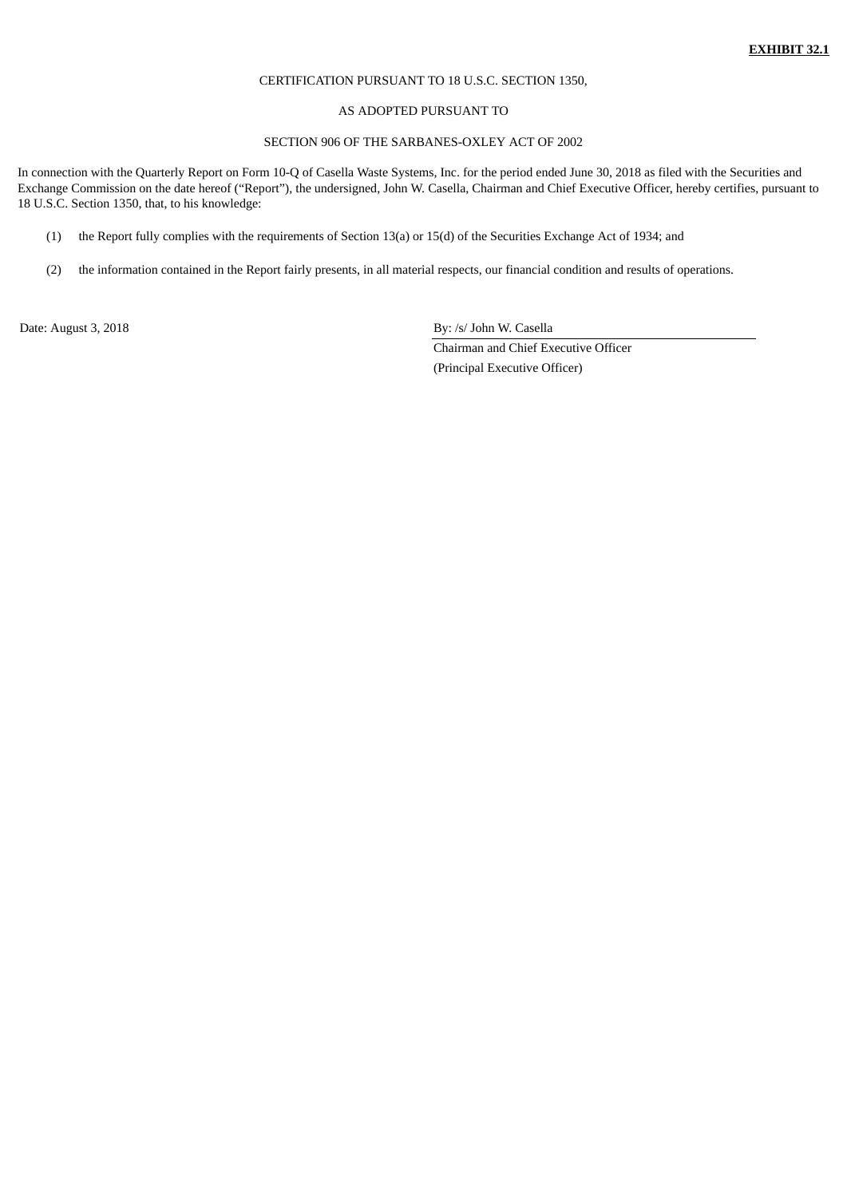## CERTIFICATION PURSUANT TO 18 U.S.C. SECTION 1350,

#### AS ADOPTED PURSUANT TO

## SECTION 906 OF THE SARBANES-OXLEY ACT OF 2002

<span id="page-58-0"></span>In connection with the Quarterly Report on Form 10-Q of Casella Waste Systems, Inc. for the period ended June 30, 2018 as filed with the Securities and Exchange Commission on the date hereof ("Report"), the undersigned, John W. Casella, Chairman and Chief Executive Officer, hereby certifies, pursuant to 18 U.S.C. Section 1350, that, to his knowledge:

- (1) the Report fully complies with the requirements of Section 13(a) or 15(d) of the Securities Exchange Act of 1934; and
- (2) the information contained in the Report fairly presents, in all material respects, our financial condition and results of operations.

Date: August 3, 2018 By: /s/ John W. Casella

Chairman and Chief Executive Officer (Principal Executive Officer)